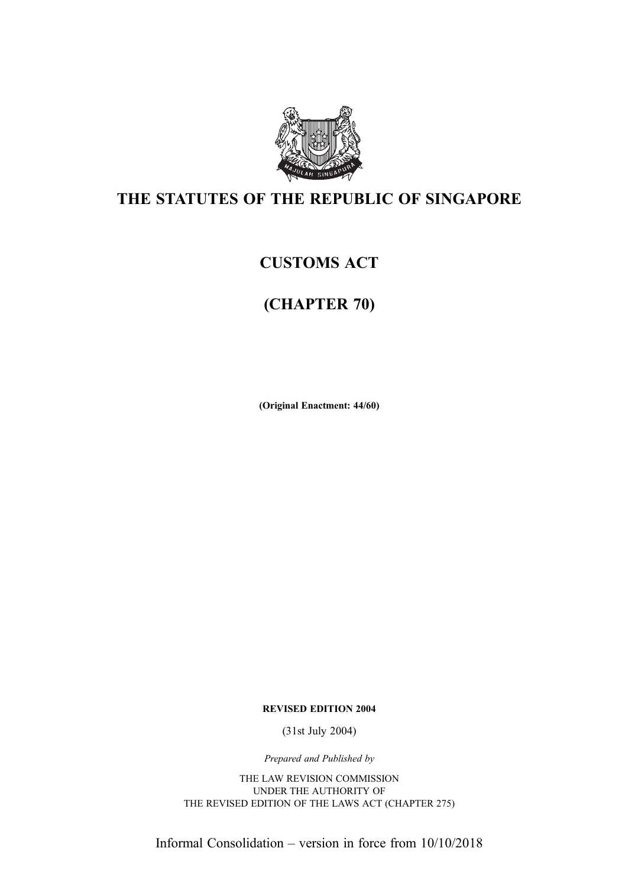

## THE STATUTES OF THE REPUBLIC OF SINGAPORE

## CUSTOMS ACT

## (CHAPTER 70)

(Original Enactment: 44/60)

REVISED EDITION 2004

(31st July 2004)

Prepared and Published by

THE LAW REVISION COMMISSION UNDER THE AUTHORITY OF THE REVISED EDITION OF THE LAWS ACT (CHAPTER 275)

Informal Consolidation – version in force from 10/10/2018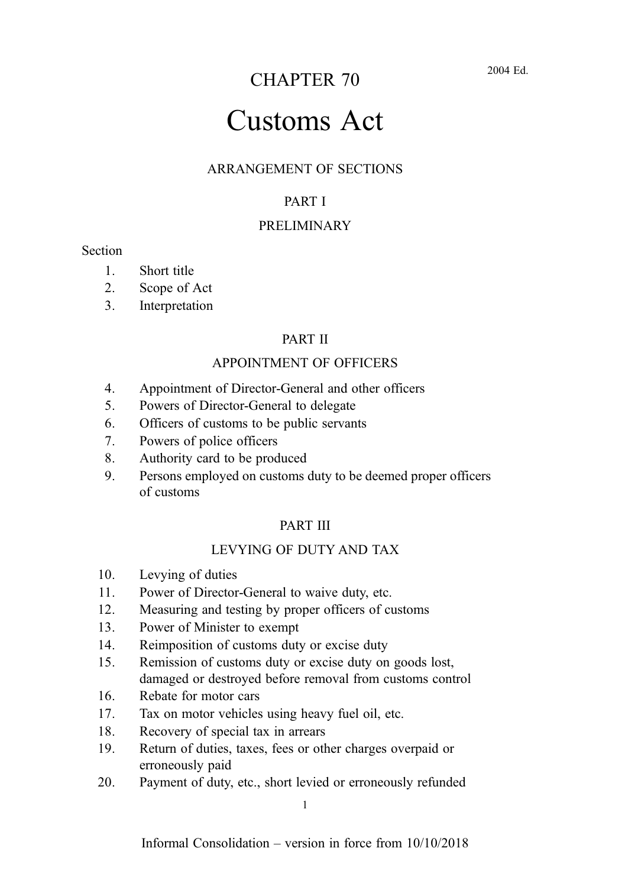## CHAPTER 70

#### 2004 Ed.

# Customs Act

#### ARRANGEMENT OF SECTIONS

#### PART I

#### PRELIMINARY

#### **Section**

- 1. Short title
- 2. Scope of Act
- 3. Interpretation

#### PART II

#### APPOINTMENT OF OFFICERS

- 4. Appointment of Director-General and other officers
- 5. Powers of Director-General to delegate
- 6. Officers of customs to be public servants
- 7. Powers of police officers
- 8. Authority card to be produced
- 9. Persons employed on customs duty to be deemed proper officers of customs

#### PART III

#### LEVYING OF DUTY AND TAX

- 10. Levying of duties
- 11. Power of Director-General to waive duty, etc.
- 12. Measuring and testing by proper officers of customs
- 13. Power of Minister to exempt
- 14. Reimposition of customs duty or excise duty
- 15. Remission of customs duty or excise duty on goods lost, damaged or destroyed before removal from customs control
- 16. Rebate for motor cars
- 17. Tax on motor vehicles using heavy fuel oil, etc.
- 18. Recovery of special tax in arrears
- 19. Return of duties, taxes, fees or other charges overpaid or erroneously paid
- 20. Payment of duty, etc., short levied or erroneously refunded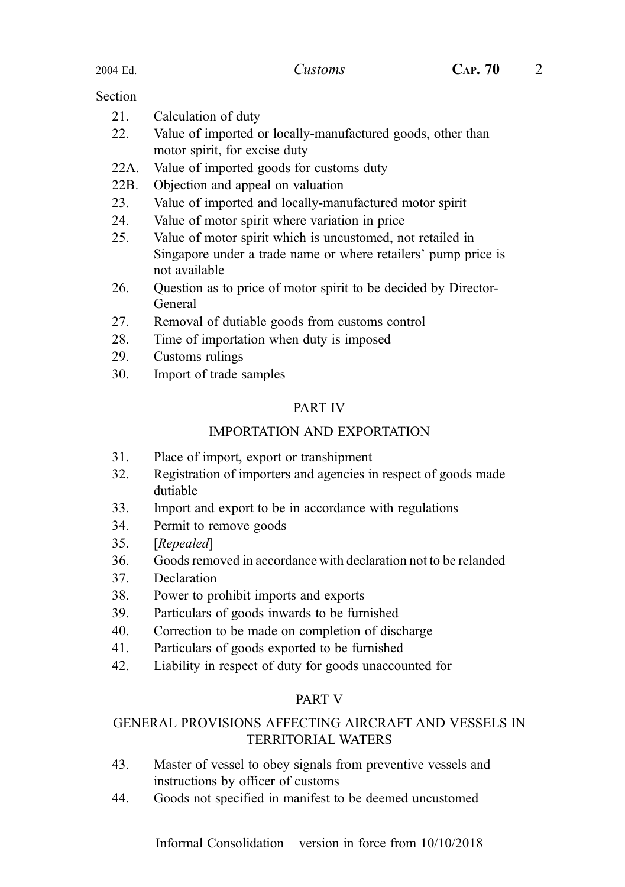#### **Section**

| 21.  | Calculation of duty                                         |
|------|-------------------------------------------------------------|
| 22.  | Value of imported or locally-manufactured goods, other than |
|      | motor spirit, for excise duty                               |
| 22A. | Value of imported goods for customs duty                    |

- 
- 22B. Objection and appeal on valuation
- 23. Value of imported and locally-manufactured motor spirit
- 24. Value of motor spirit where variation in price
- 25. Value of motor spirit which is uncustomed, not retailed in Singapore under a trade name or where retailers' pump price is not available
- 26. Question as to price of motor spirit to be decided by Director-General
- 27. Removal of dutiable goods from customs control
- 28. Time of importation when duty is imposed
- 29. Customs rulings
- 30. Import of trade samples

#### PART IV

#### IMPORTATION AND EXPORTATION

- 31. Place of import, export or transhipment
- 32. Registration of importers and agencies in respect of goods made dutiable
- 33. Import and export to be in accordance with regulations
- 34. Permit to remove goods
- 35. [Repealed]
- 36. Goods removed in accordance with declaration not to be relanded
- 37. Declaration
- 38. Power to prohibit imports and exports
- 39. Particulars of goods inwards to be furnished
- 40. Correction to be made on completion of discharge
- 41. Particulars of goods exported to be furnished
- 42. Liability in respect of duty for goods unaccounted for

#### PART V

#### GENERAL PROVISIONS AFFECTING AIRCRAFT AND VESSELS IN TERRITORIAL WATERS

- 43. Master of vessel to obey signals from preventive vessels and instructions by officer of customs
- 44. Goods not specified in manifest to be deemed uncustomed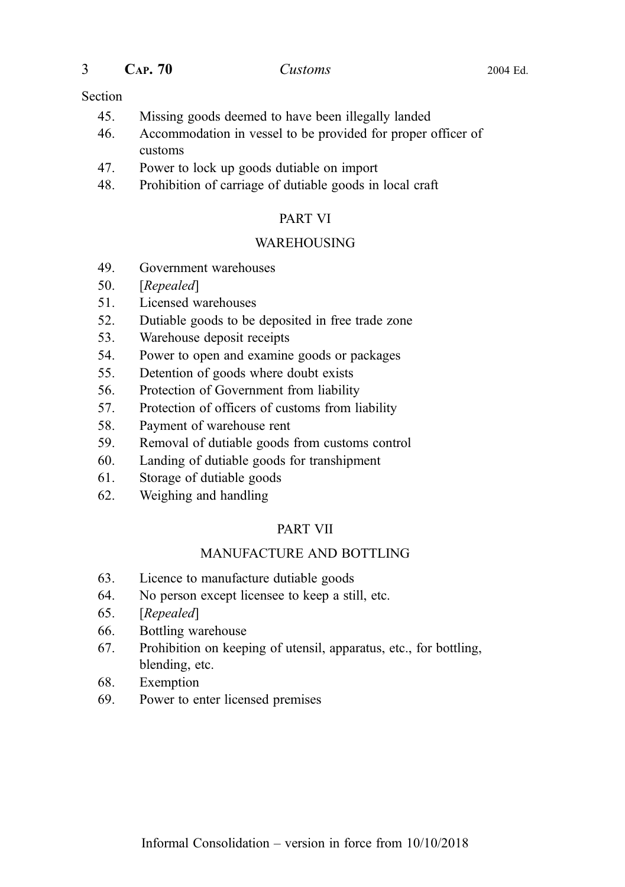| CAP.70 | Customs | 2004 Ed. |
|--------|---------|----------|
|        |         |          |

#### Section

- 45. Missing goods deemed to have been illegally landed
- 46. Accommodation in vessel to be provided for proper officer of customs
- 47. Power to lock up goods dutiable on import
- 48. Prohibition of carriage of dutiable goods in local craft

#### PART VI

#### WAREHOUSING

- 49. Government warehouses
- 50. [Repealed]
- 51. Licensed warehouses
- 52. Dutiable goods to be deposited in free trade zone
- 53. Warehouse deposit receipts
- 54. Power to open and examine goods or packages
- 55. Detention of goods where doubt exists
- 56. Protection of Government from liability
- 57. Protection of officers of customs from liability
- 58. Payment of warehouse rent
- 59. Removal of dutiable goods from customs control
- 60. Landing of dutiable goods for transhipment
- 61. Storage of dutiable goods
- 62. Weighing and handling

## PART VII

## MANUFACTURE AND BOTTLING

- 63. Licence to manufacture dutiable goods
- 64. No person except licensee to keep a still, etc.
- 65. [Repealed]
- 66. Bottling warehouse
- 67. Prohibition on keeping of utensil, apparatus, etc., for bottling, blending, etc.
- 68. Exemption
- 69. Power to enter licensed premises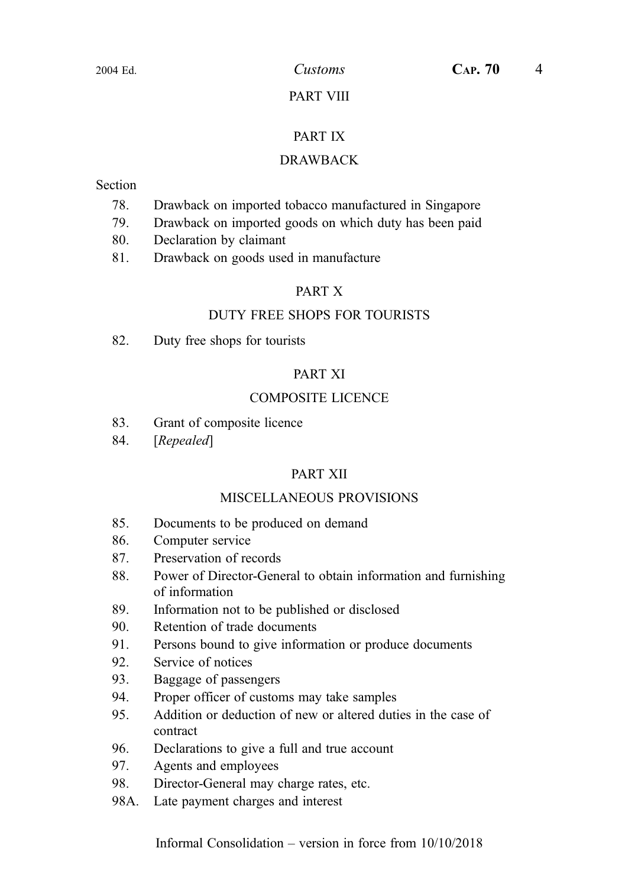#### PART VIII

#### PART IX

#### DRAWBACK

#### Section

- 78. Drawback on imported tobacco manufactured in Singapore
- 79. Drawback on imported goods on which duty has been paid
- 80. Declaration by claimant
- 81. Drawback on goods used in manufacture

#### PART X

#### DUTY FREE SHOPS FOR TOURISTS

82. Duty free shops for tourists

#### PART XI

#### COMPOSITE LICENCE

- 83. Grant of composite licence
- 84. [Repealed]

#### PART XII

#### MISCELLANEOUS PROVISIONS

- 85. Documents to be produced on demand
- 86. Computer service
- 87. Preservation of records
- 88. Power of Director-General to obtain information and furnishing of information
- 89. Information not to be published or disclosed
- 90. Retention of trade documents
- 91. Persons bound to give information or produce documents
- 92. Service of notices
- 93. Baggage of passengers
- 94. Proper officer of customs may take samples
- 95. Addition or deduction of new or altered duties in the case of contract
- 96. Declarations to give a full and true account
- 97. Agents and employees
- 98. Director-General may charge rates, etc.
- 98A. Late payment charges and interest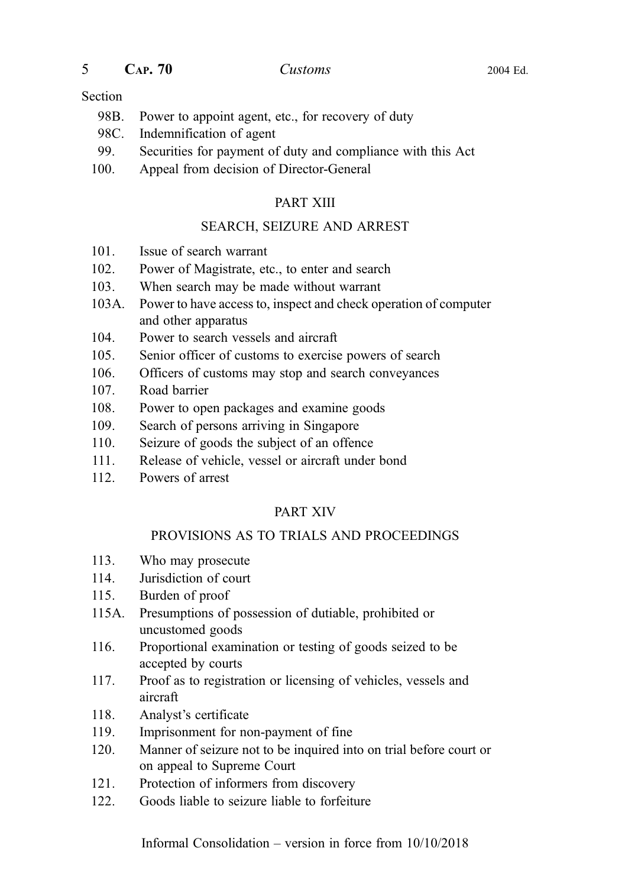$5$  CAP.  $70$  Customs 2004 Ed.

#### Section

- 98B. Power to appoint agent, etc., for recovery of duty
- 98C. Indemnification of agent
- 99. Securities for payment of duty and compliance with this Act
- 100. Appeal from decision of Director-General

#### PART XIII

#### SEARCH, SEIZURE AND ARREST

- 101. Issue of search warrant
- 102. Power of Magistrate, etc., to enter and search
- 103. When search may be made without warrant
- 103A. Power to have access to, inspect and check operation of computer and other apparatus
- 104. Power to search vessels and aircraft
- 105. Senior officer of customs to exercise powers of search
- 106. Officers of customs may stop and search conveyances
- 107. Road barrier
- 108. Power to open packages and examine goods
- 109. Search of persons arriving in Singapore
- 110. Seizure of goods the subject of an offence
- 111. Release of vehicle, vessel or aircraft under bond
- 112. Powers of arrest

#### PART XIV

#### PROVISIONS AS TO TRIALS AND PROCEEDINGS

- 113. Who may prosecute
- 114. Jurisdiction of court
- 115. Burden of proof
- 115A. Presumptions of possession of dutiable, prohibited or uncustomed goods
- 116. Proportional examination or testing of goods seized to be accepted by courts
- 117. Proof as to registration or licensing of vehicles, vessels and aircraft
- 118. Analyst's certificate
- 119. Imprisonment for non-payment of fine
- 120. Manner of seizure not to be inquired into on trial before court or on appeal to Supreme Court
- 121. Protection of informers from discovery
- 122. Goods liable to seizure liable to forfeiture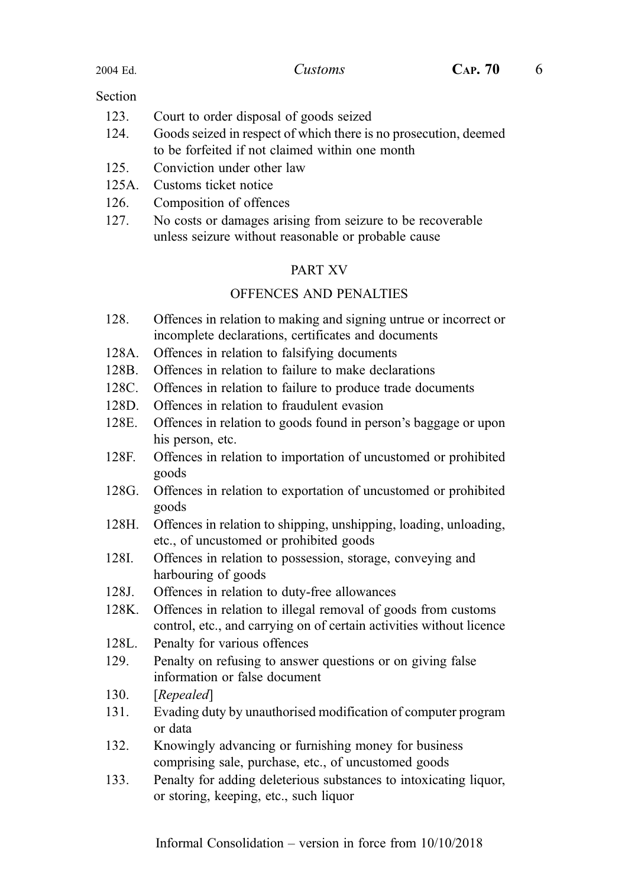#### **Section**

- 123. Court to order disposal of goods seized
- 124. Goods seized in respect of which there is no prosecution, deemed to be forfeited if not claimed within one month
- 125. Conviction under other law
- 125A. Customs ticket notice
- 126. Composition of offences
- 127. No costs or damages arising from seizure to be recoverable unless seizure without reasonable or probable cause

#### PART XV

#### OFFENCES AND PENALTIES

- 128. Offences in relation to making and signing untrue or incorrect or incomplete declarations, certificates and documents
- 128A. Offences in relation to falsifying documents
- 128B. Offences in relation to failure to make declarations
- 128C. Offences in relation to failure to produce trade documents
- 128D. Offences in relation to fraudulent evasion
- 128E. Offences in relation to goods found in person's baggage or upon his person, etc.
- 128F. Offences in relation to importation of uncustomed or prohibited goods
- 128G. Offences in relation to exportation of uncustomed or prohibited goods
- 128H. Offences in relation to shipping, unshipping, loading, unloading, etc., of uncustomed or prohibited goods
- 128I. Offences in relation to possession, storage, conveying and harbouring of goods
- 128J. Offences in relation to duty-free allowances
- 128K. Offences in relation to illegal removal of goods from customs control, etc., and carrying on of certain activities without licence
- 128L. Penalty for various offences
- 129. Penalty on refusing to answer questions or on giving false information or false document
- 130. [Repealed]
- 131. Evading duty by unauthorised modification of computer program or data
- 132. Knowingly advancing or furnishing money for business comprising sale, purchase, etc., of uncustomed goods
- 133. Penalty for adding deleterious substances to intoxicating liquor, or storing, keeping, etc., such liquor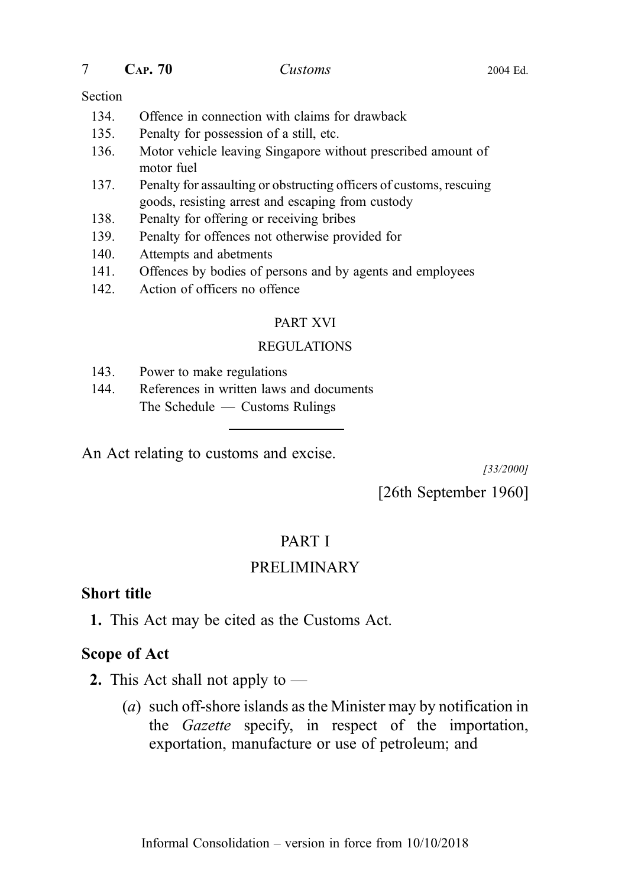$7 \qquad \qquad \text{CaP. 70} \qquad \qquad \text{Customs} \qquad \qquad \text{2004 Ed.}$ 

#### Section

- 134. Offence in connection with claims for drawback
- 135. Penalty for possession of a still, etc.
- 136. Motor vehicle leaving Singapore without prescribed amount of motor fuel
- 137. Penalty for assaulting or obstructing officers of customs, rescuing goods, resisting arrest and escaping from custody
- 138. Penalty for offering or receiving bribes
- 139. Penalty for offences not otherwise provided for
- 140. Attempts and abetments
- 141. Offences by bodies of persons and by agents and employees
- 142. Action of officers no offence

#### PART XVI

#### REGULATIONS

- 143. Power to make regulations
- 144. References in written laws and documents The Schedule — Customs Rulings

An Act relating to customs and excise.

[33/2000]

[26th September 1960]

## PART I

## PRELIMINARY

#### Short title

1. This Act may be cited as the Customs Act.

#### Scope of Act

- **2.** This Act shall not apply to  $-$ 
	- (a) such off-shore islands as the Minister may by notification in the Gazette specify, in respect of the importation, exportation, manufacture or use of petroleum; and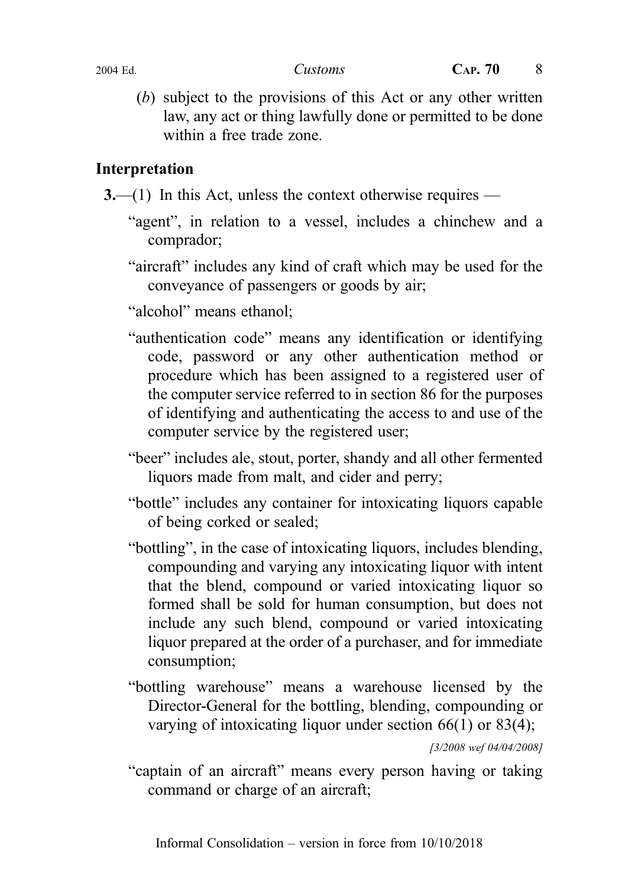(b) subject to the provisions of this Act or any other written law, any act or thing lawfully done or permitted to be done within a free trade zone.

## Interpretation

3.—(1) In this Act, unless the context otherwise requires —

- "agent", in relation to a vessel, includes a chinchew and a comprador;
- "aircraft" includes any kind of craft which may be used for the conveyance of passengers or goods by air;

"alcohol" means ethanol;

- "authentication code" means any identification or identifying code, password or any other authentication method or procedure which has been assigned to a registered user of the computer service referred to in section 86 for the purposes of identifying and authenticating the access to and use of the computer service by the registered user;
- "beer" includes ale, stout, porter, shandy and all other fermented liquors made from malt, and cider and perry;
- "bottle" includes any container for intoxicating liquors capable of being corked or sealed;
- "bottling", in the case of intoxicating liquors, includes blending, compounding and varying any intoxicating liquor with intent that the blend, compound or varied intoxicating liquor so formed shall be sold for human consumption, but does not include any such blend, compound or varied intoxicating liquor prepared at the order of a purchaser, and for immediate consumption;
- "bottling warehouse" means a warehouse licensed by the Director-General for the bottling, blending, compounding or varying of intoxicating liquor under section 66(1) or 83(4);

[3/2008 wef 04/04/2008]

"captain of an aircraft" means every person having or taking command or charge of an aircraft;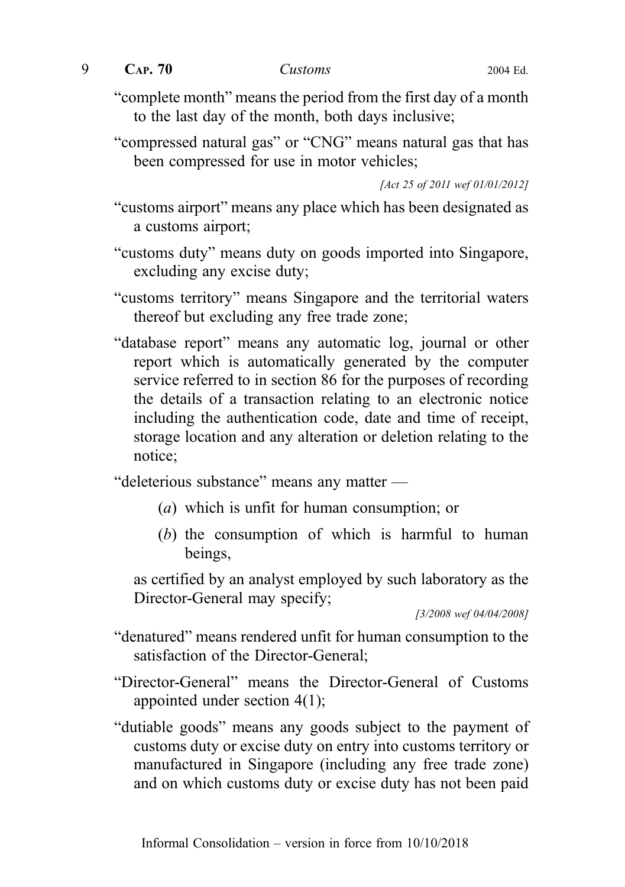$9$  CAP.  $70$  Customs 2004 Ed.

"complete month" means the period from the first day of a month to the last day of the month, both days inclusive;

"compressed natural gas" or "CNG" means natural gas that has been compressed for use in motor vehicles;

[Act 25 of 2011 wef 01/01/2012]

"customs airport" means any place which has been designated as a customs airport;

- "customs duty" means duty on goods imported into Singapore, excluding any excise duty;
- "customs territory" means Singapore and the territorial waters thereof but excluding any free trade zone;
- "database report" means any automatic log, journal or other report which is automatically generated by the computer service referred to in section 86 for the purposes of recording the details of a transaction relating to an electronic notice including the authentication code, date and time of receipt, storage location and any alteration or deletion relating to the notice;

"deleterious substance" means any matter —

- (a) which is unfit for human consumption; or
- (b) the consumption of which is harmful to human beings,

as certified by an analyst employed by such laboratory as the Director-General may specify;

[3/2008 wef 04/04/2008]

- "denatured" means rendered unfit for human consumption to the satisfaction of the Director-General;
- "Director-General" means the Director-General of Customs appointed under section 4(1);
- "dutiable goods" means any goods subject to the payment of customs duty or excise duty on entry into customs territory or manufactured in Singapore (including any free trade zone) and on which customs duty or excise duty has not been paid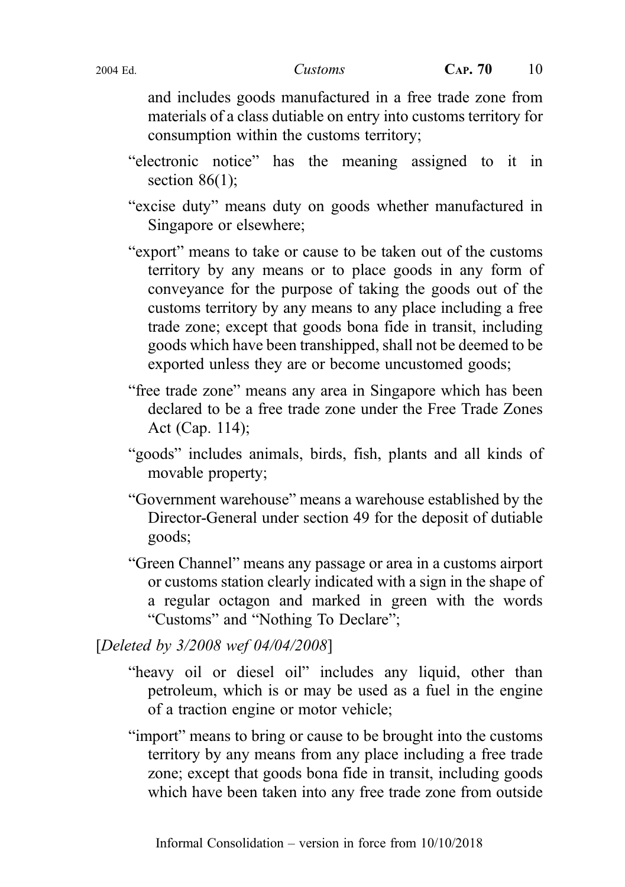and includes goods manufactured in a free trade zone from materials of a class dutiable on entry into customs territory for consumption within the customs territory;

- "electronic notice" has the meaning assigned to it in section  $86(1)$ :
- "excise duty" means duty on goods whether manufactured in Singapore or elsewhere;
- "export" means to take or cause to be taken out of the customs territory by any means or to place goods in any form of conveyance for the purpose of taking the goods out of the customs territory by any means to any place including a free trade zone; except that goods bona fide in transit, including goods which have been transhipped, shall not be deemed to be exported unless they are or become uncustomed goods;
- "free trade zone" means any area in Singapore which has been declared to be a free trade zone under the Free Trade Zones Act (Cap. 114);
- "goods" includes animals, birds, fish, plants and all kinds of movable property;
- "Government warehouse" means a warehouse established by the Director-General under section 49 for the deposit of dutiable goods;
- "Green Channel" means any passage or area in a customs airport or customs station clearly indicated with a sign in the shape of a regular octagon and marked in green with the words "Customs" and "Nothing To Declare";

[Deleted by 3/2008 wef 04/04/2008]

- "heavy oil or diesel oil" includes any liquid, other than petroleum, which is or may be used as a fuel in the engine of a traction engine or motor vehicle;
- "import" means to bring or cause to be brought into the customs territory by any means from any place including a free trade zone; except that goods bona fide in transit, including goods which have been taken into any free trade zone from outside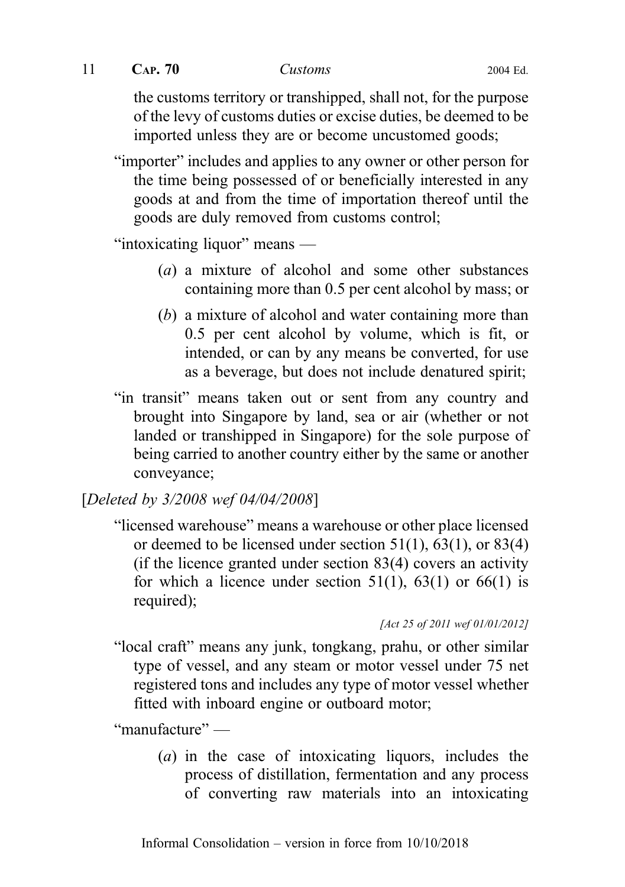11 **CAP. 70** Customs 2004 Ed.

the customs territory or transhipped, shall not, for the purpose of the levy of customs duties or excise duties, be deemed to be imported unless they are or become uncustomed goods;

"importer" includes and applies to any owner or other person for the time being possessed of or beneficially interested in any goods at and from the time of importation thereof until the goods are duly removed from customs control;

"intoxicating liquor" means —

- (a) a mixture of alcohol and some other substances containing more than 0.5 per cent alcohol by mass; or
- (b) a mixture of alcohol and water containing more than 0.5 per cent alcohol by volume, which is fit, or intended, or can by any means be converted, for use as a beverage, but does not include denatured spirit;
- "in transit" means taken out or sent from any country and brought into Singapore by land, sea or air (whether or not landed or transhipped in Singapore) for the sole purpose of being carried to another country either by the same or another conveyance;

## [Deleted by 3/2008 wef 04/04/2008]

"licensed warehouse" means a warehouse or other place licensed or deemed to be licensed under section  $51(1)$ ,  $63(1)$ , or  $83(4)$ (if the licence granted under section 83(4) covers an activity for which a licence under section  $51(1)$ ,  $63(1)$  or  $66(1)$  is required);

```
[Act 25 of 2011 wef 01/01/2012]
```
"local craft" means any junk, tongkang, prahu, or other similar type of vessel, and any steam or motor vessel under 75 net registered tons and includes any type of motor vessel whether fitted with inboard engine or outboard motor;

"manufacture" —

(a) in the case of intoxicating liquors, includes the process of distillation, fermentation and any process of converting raw materials into an intoxicating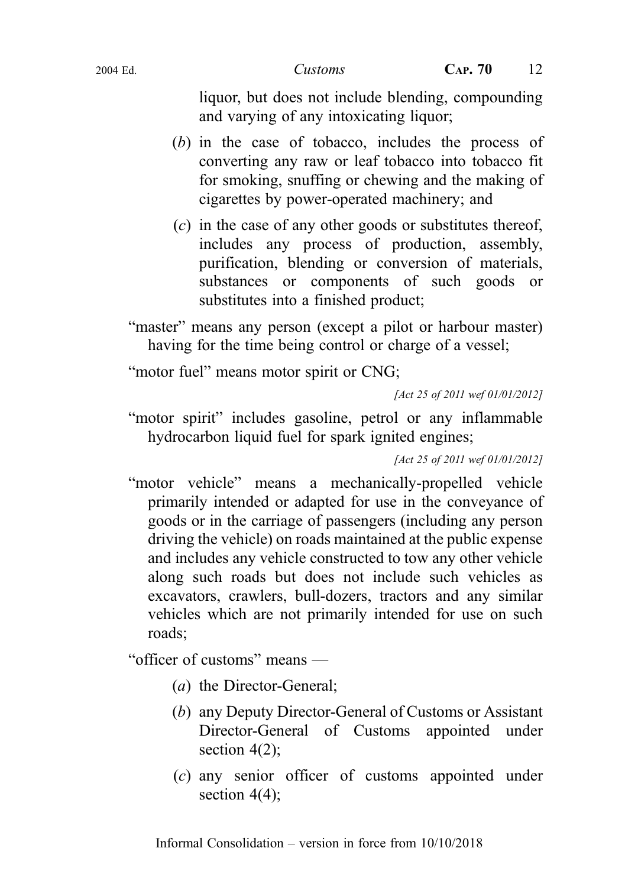liquor, but does not include blending, compounding and varying of any intoxicating liquor;

- (b) in the case of tobacco, includes the process of converting any raw or leaf tobacco into tobacco fit for smoking, snuffing or chewing and the making of cigarettes by power-operated machinery; and
- (c) in the case of any other goods or substitutes thereof, includes any process of production, assembly, purification, blending or conversion of materials, substances or components of such goods or substitutes into a finished product;

"master" means any person (except a pilot or harbour master) having for the time being control or charge of a vessel;

"motor fuel" means motor spirit or CNG:

[Act 25 of 2011 wef 01/01/2012]

"motor spirit" includes gasoline, petrol or any inflammable hydrocarbon liquid fuel for spark ignited engines;

[Act 25 of 2011 wef 01/01/2012]

"motor vehicle" means a mechanically-propelled vehicle primarily intended or adapted for use in the conveyance of goods or in the carriage of passengers (including any person driving the vehicle) on roads maintained at the public expense and includes any vehicle constructed to tow any other vehicle along such roads but does not include such vehicles as excavators, crawlers, bull-dozers, tractors and any similar vehicles which are not primarily intended for use on such roads;

"officer of customs" means —

- (a) the Director-General;
- (b) any Deputy Director-General of Customs or Assistant Director-General of Customs appointed under section  $4(2)$ ;
- (c) any senior officer of customs appointed under section  $4(4)$ ;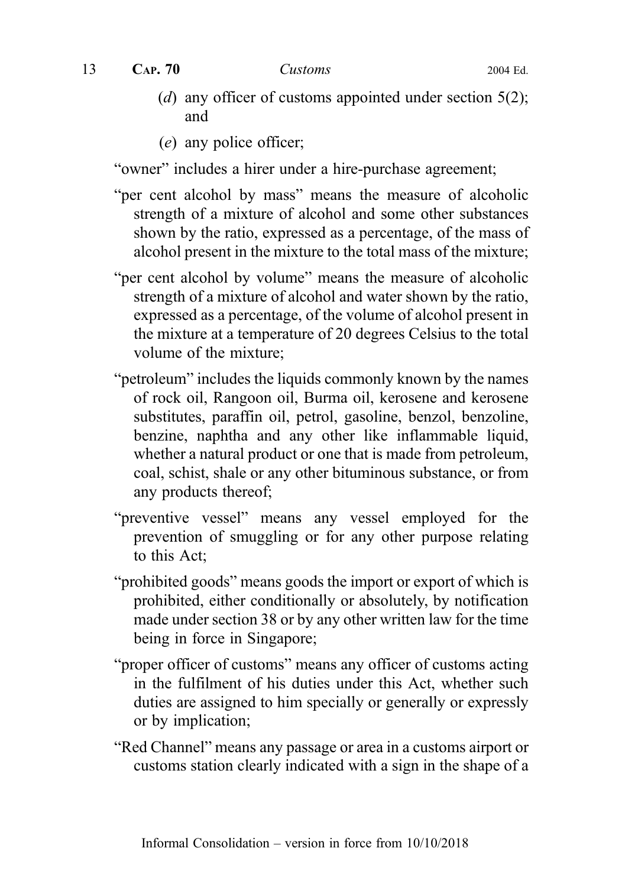13 **CAP. 70** *Customs* 2004 Ed.

- (d) any officer of customs appointed under section  $5(2)$ ; and
- (e) any police officer;

"owner" includes a hirer under a hire-purchase agreement;

- "per cent alcohol by mass" means the measure of alcoholic strength of a mixture of alcohol and some other substances shown by the ratio, expressed as a percentage, of the mass of alcohol present in the mixture to the total mass of the mixture;
- "per cent alcohol by volume" means the measure of alcoholic strength of a mixture of alcohol and water shown by the ratio, expressed as a percentage, of the volume of alcohol present in the mixture at a temperature of 20 degrees Celsius to the total volume of the mixture;
- "petroleum" includes the liquids commonly known by the names of rock oil, Rangoon oil, Burma oil, kerosene and kerosene substitutes, paraffin oil, petrol, gasoline, benzol, benzoline, benzine, naphtha and any other like inflammable liquid, whether a natural product or one that is made from petroleum, coal, schist, shale or any other bituminous substance, or from any products thereof;
- "preventive vessel" means any vessel employed for the prevention of smuggling or for any other purpose relating to this Act;
- "prohibited goods" means goods the import or export of which is prohibited, either conditionally or absolutely, by notification made under section 38 or by any other written law for the time being in force in Singapore;
- "proper officer of customs" means any officer of customs acting in the fulfilment of his duties under this Act, whether such duties are assigned to him specially or generally or expressly or by implication;
- "Red Channel" means any passage or area in a customs airport or customs station clearly indicated with a sign in the shape of a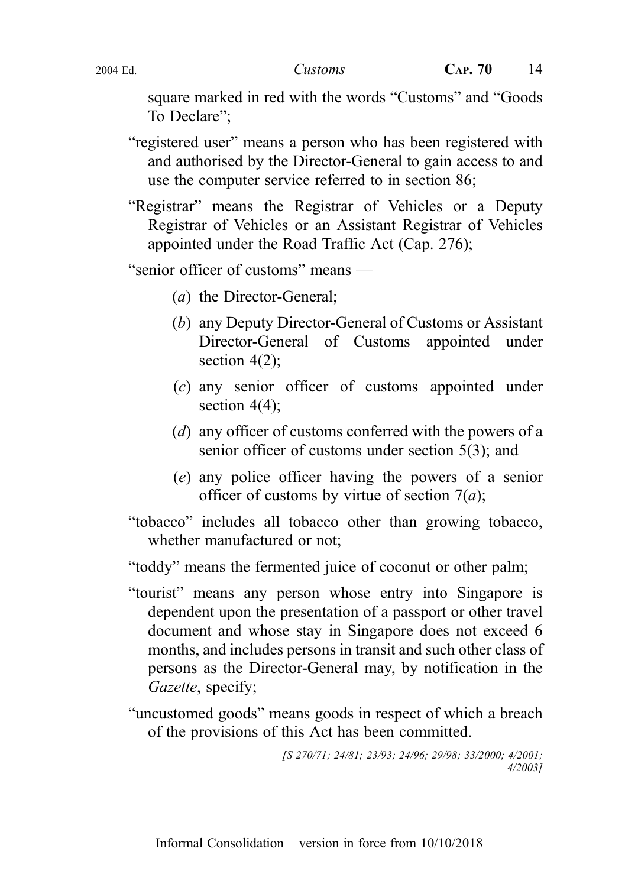square marked in red with the words "Customs" and "Goods To Declare";

- "registered user" means a person who has been registered with and authorised by the Director-General to gain access to and use the computer service referred to in section 86;
- "Registrar" means the Registrar of Vehicles or a Deputy Registrar of Vehicles or an Assistant Registrar of Vehicles appointed under the Road Traffic Act (Cap. 276);

"senior officer of customs" means —

- (a) the Director-General;
- (b) any Deputy Director-General of Customs or Assistant Director-General of Customs appointed under section 4(2):
- (c) any senior officer of customs appointed under section  $4(4)$ ;
- (d) any officer of customs conferred with the powers of a senior officer of customs under section 5(3); and
- (e) any police officer having the powers of a senior officer of customs by virtue of section  $7(a)$ ;
- "tobacco" includes all tobacco other than growing tobacco, whether manufactured or not;

"toddy" means the fermented juice of coconut or other palm;

- "tourist" means any person whose entry into Singapore is dependent upon the presentation of a passport or other travel document and whose stay in Singapore does not exceed 6 months, and includes persons in transit and such other class of persons as the Director-General may, by notification in the Gazette, specify;
- "uncustomed goods" means goods in respect of which a breach of the provisions of this Act has been committed.

```
[S 270/71; 24/81; 23/93; 24/96; 29/98; 33/2000; 4/2001;
                                   4/2003]
```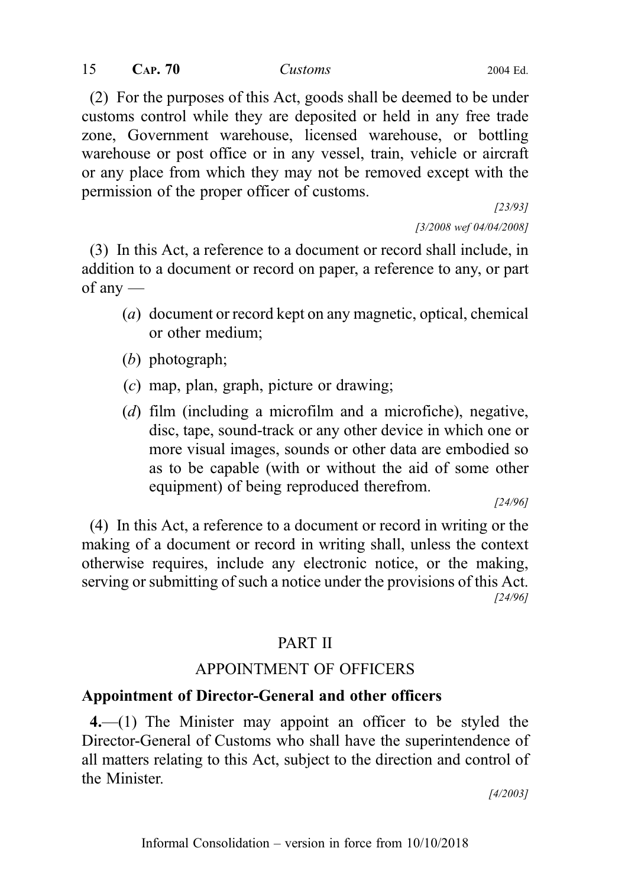(2) For the purposes of this Act, goods shall be deemed to be under customs control while they are deposited or held in any free trade zone, Government warehouse, licensed warehouse, or bottling warehouse or post office or in any vessel, train, vehicle or aircraft or any place from which they may not be removed except with the permission of the proper officer of customs.

[23/93]

[3/2008 wef 04/04/2008]

(3) In this Act, a reference to a document or record shall include, in addition to a document or record on paper, a reference to any, or part of any —

- (a) document or record kept on any magnetic, optical, chemical or other medium;
- (b) photograph;
- (c) map, plan, graph, picture or drawing;
- (d) film (including a microfilm and a microfiche), negative, disc, tape, sound-track or any other device in which one or more visual images, sounds or other data are embodied so as to be capable (with or without the aid of some other equipment) of being reproduced therefrom.

[24/96]

(4) In this Act, a reference to a document or record in writing or the making of a document or record in writing shall, unless the context otherwise requires, include any electronic notice, or the making, serving or submitting of such a notice under the provisions of this Act. [24/96]

## PART II

## APPOINTMENT OF OFFICERS

## Appointment of Director-General and other officers

4.—(1) The Minister may appoint an officer to be styled the Director-General of Customs who shall have the superintendence of all matters relating to this Act, subject to the direction and control of the Minister.

[4/2003]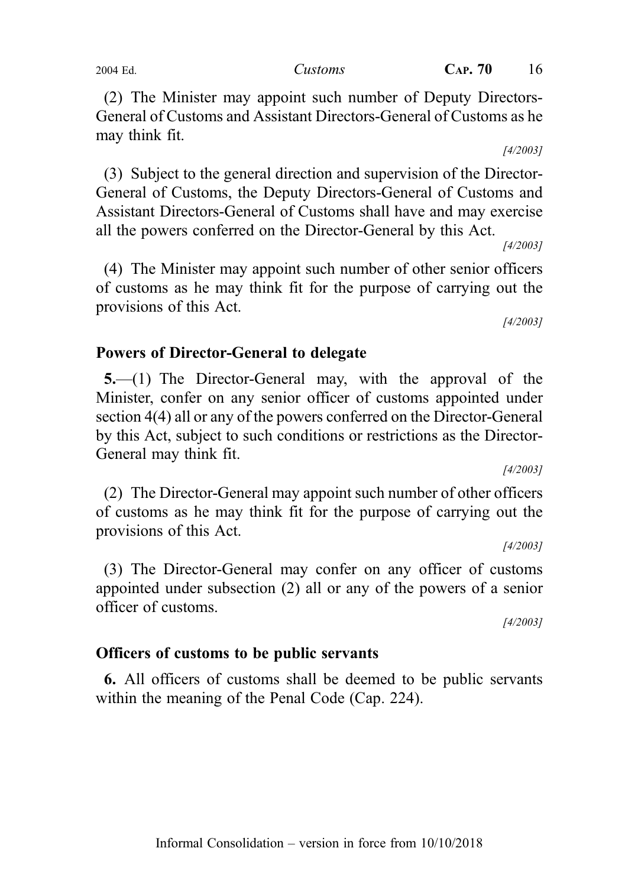(2) The Minister may appoint such number of Deputy Directors-General of Customs and Assistant Directors-General of Customs as he may think fit.

(3) Subject to the general direction and supervision of the Director-General of Customs, the Deputy Directors-General of Customs and Assistant Directors-General of Customs shall have and may exercise all the powers conferred on the Director-General by this Act.

(4) The Minister may appoint such number of other senior officers of customs as he may think fit for the purpose of carrying out the provisions of this Act.

#### Powers of Director-General to delegate

5.—(1) The Director-General may, with the approval of the Minister, confer on any senior officer of customs appointed under section 4(4) all or any of the powers conferred on the Director-General by this Act, subject to such conditions or restrictions as the Director-General may think fit.

(2) The Director-General may appoint such number of other officers of customs as he may think fit for the purpose of carrying out the provisions of this Act.

(3) The Director-General may confer on any officer of customs appointed under subsection (2) all or any of the powers of a senior officer of customs.

Officers of customs to be public servants

6. All officers of customs shall be deemed to be public servants within the meaning of the Penal Code (Cap. 224).

[4/2003]

[4/2003]

[4/2003]

[4/2003]

[4/2003]

[4/2003]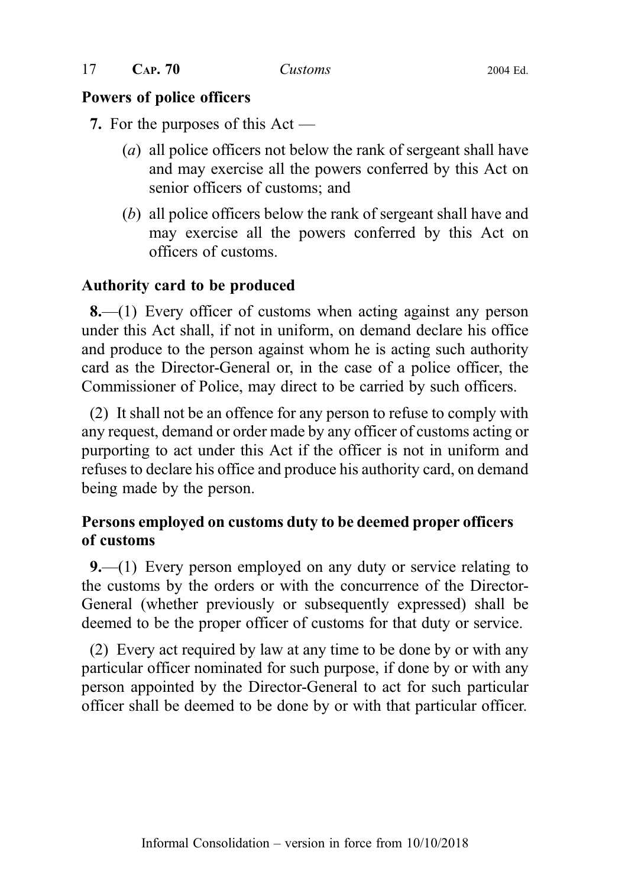17 CAP. 70 Customs 2004 Ed.

## Powers of police officers

7. For the purposes of this Act —

- (a) all police officers not below the rank of sergeant shall have and may exercise all the powers conferred by this Act on senior officers of customs; and
- (b) all police officers below the rank of sergeant shall have and may exercise all the powers conferred by this Act on officers of customs.

## Authority card to be produced

8.—(1) Every officer of customs when acting against any person under this Act shall, if not in uniform, on demand declare his office and produce to the person against whom he is acting such authority card as the Director-General or, in the case of a police officer, the Commissioner of Police, may direct to be carried by such officers.

(2) It shall not be an offence for any person to refuse to comply with any request, demand or order made by any officer of customs acting or purporting to act under this Act if the officer is not in uniform and refuses to declare his office and produce his authority card, on demand being made by the person.

## Persons employed on customs duty to be deemed proper officers of customs

9.—(1) Every person employed on any duty or service relating to the customs by the orders or with the concurrence of the Director-General (whether previously or subsequently expressed) shall be deemed to be the proper officer of customs for that duty or service.

(2) Every act required by law at any time to be done by or with any particular officer nominated for such purpose, if done by or with any person appointed by the Director-General to act for such particular officer shall be deemed to be done by or with that particular officer.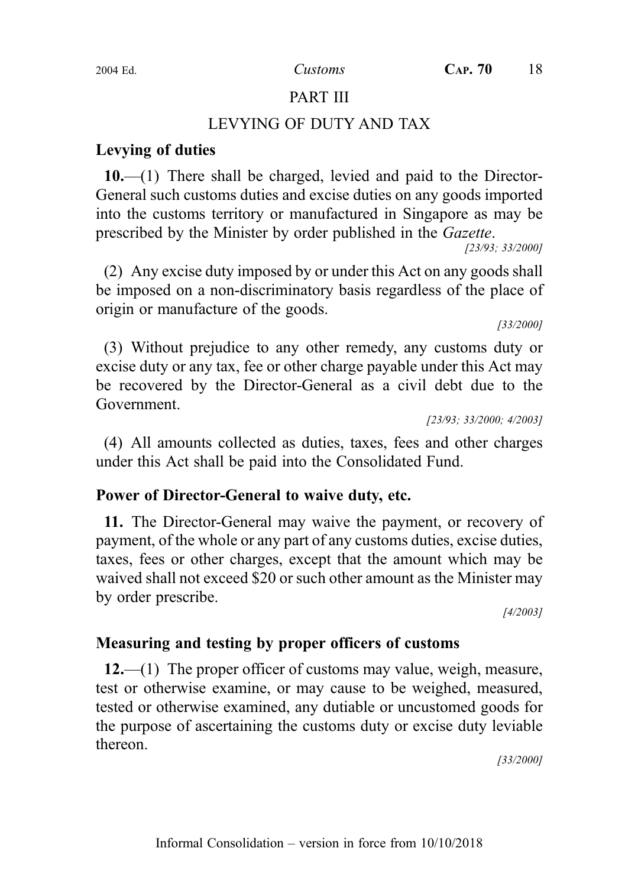## PART III

## LEVYING OF DUTY AND TAX

## Levying of duties

10.—(1) There shall be charged, levied and paid to the Director-General such customs duties and excise duties on any goods imported into the customs territory or manufactured in Singapore as may be prescribed by the Minister by order published in the Gazette.

[23/93; 33/2000]

(2) Any excise duty imposed by or under this Act on any goods shall be imposed on a non-discriminatory basis regardless of the place of origin or manufacture of the goods.

[33/2000]

(3) Without prejudice to any other remedy, any customs duty or excise duty or any tax, fee or other charge payable under this Act may be recovered by the Director-General as a civil debt due to the Government.

[23/93; 33/2000; 4/2003]

(4) All amounts collected as duties, taxes, fees and other charges under this Act shall be paid into the Consolidated Fund.

## Power of Director-General to waive duty, etc.

11. The Director-General may waive the payment, or recovery of payment, of the whole or any part of any customs duties, excise duties, taxes, fees or other charges, except that the amount which may be waived shall not exceed \$20 or such other amount as the Minister may by order prescribe.

[4/2003]

## Measuring and testing by proper officers of customs

12.—(1) The proper officer of customs may value, weigh, measure, test or otherwise examine, or may cause to be weighed, measured, tested or otherwise examined, any dutiable or uncustomed goods for the purpose of ascertaining the customs duty or excise duty leviable thereon.

[33/2000]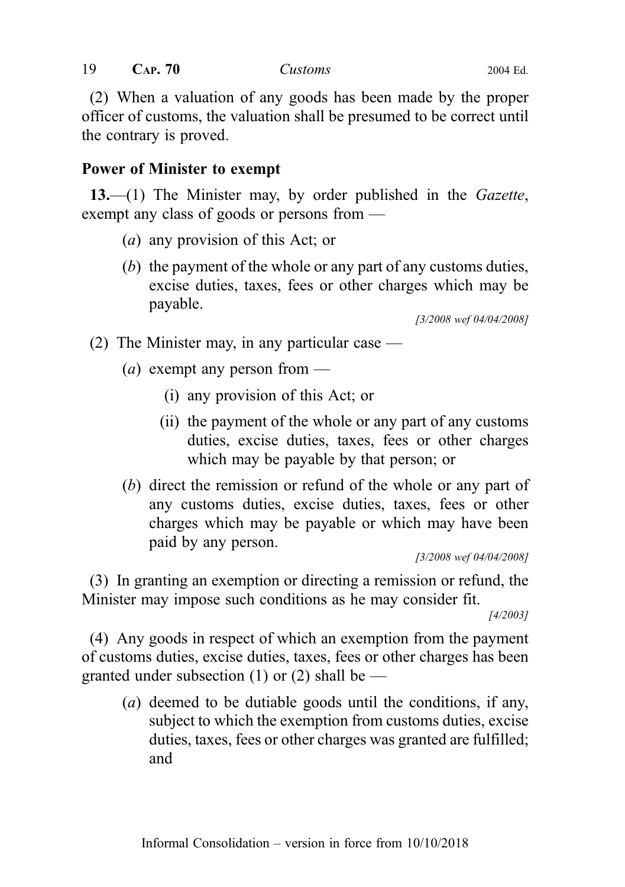(2) When a valuation of any goods has been made by the proper officer of customs, the valuation shall be presumed to be correct until the contrary is proved.

## Power of Minister to exempt

 $13$ ,—(1) The Minister may, by order published in the *Gazette*, exempt any class of goods or persons from —

- (a) any provision of this Act; or
- (b) the payment of the whole or any part of any customs duties, excise duties, taxes, fees or other charges which may be payable.

[3/2008 wef 04/04/2008]

(2) The Minister may, in any particular case  $-$ 

- (*a*) exempt any person from
	- (i) any provision of this Act; or
	- (ii) the payment of the whole or any part of any customs duties, excise duties, taxes, fees or other charges which may be payable by that person; or
- (b) direct the remission or refund of the whole or any part of any customs duties, excise duties, taxes, fees or other charges which may be payable or which may have been paid by any person.

[3/2008 wef 04/04/2008]

(3) In granting an exemption or directing a remission or refund, the Minister may impose such conditions as he may consider fit.

[4/2003]

(4) Any goods in respect of which an exemption from the payment of customs duties, excise duties, taxes, fees or other charges has been granted under subsection (1) or (2) shall be  $-$ 

(a) deemed to be dutiable goods until the conditions, if any, subject to which the exemption from customs duties, excise duties, taxes, fees or other charges was granted are fulfilled; and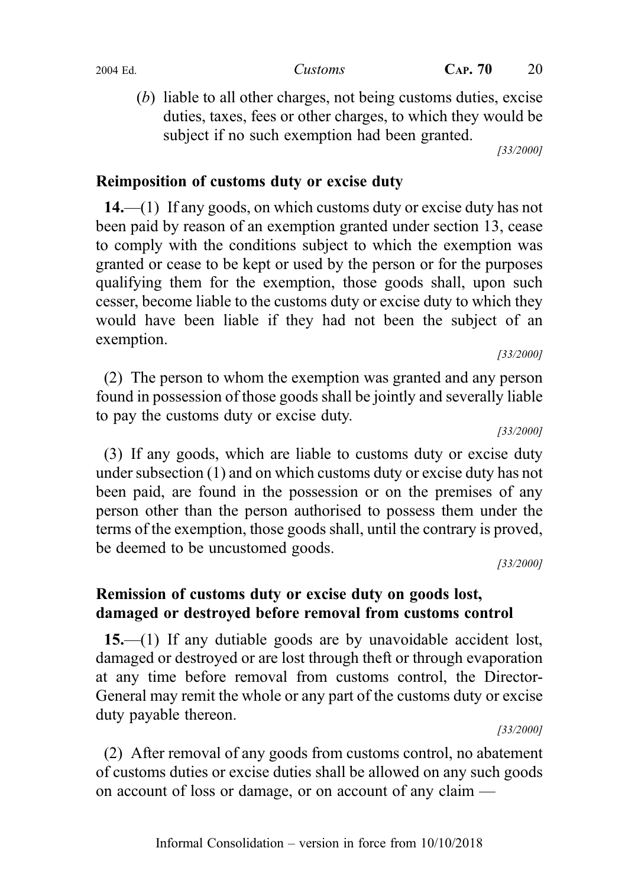(b) liable to all other charges, not being customs duties, excise duties, taxes, fees or other charges, to which they would be subject if no such exemption had been granted.

[33/2000]

## Reimposition of customs duty or excise duty

14.—(1) If any goods, on which customs duty or excise duty has not been paid by reason of an exemption granted under section 13, cease to comply with the conditions subject to which the exemption was granted or cease to be kept or used by the person or for the purposes qualifying them for the exemption, those goods shall, upon such cesser, become liable to the customs duty or excise duty to which they would have been liable if they had not been the subject of an exemption.

(2) The person to whom the exemption was granted and any person found in possession of those goods shall be jointly and severally liable to pay the customs duty or excise duty.

[33/2000]

[33/2000]

(3) If any goods, which are liable to customs duty or excise duty under subsection (1) and on which customs duty or excise duty has not been paid, are found in the possession or on the premises of any person other than the person authorised to possess them under the terms of the exemption, those goods shall, until the contrary is proved, be deemed to be uncustomed goods.

[33/2000]

## Remission of customs duty or excise duty on goods lost, damaged or destroyed before removal from customs control

15.—(1) If any dutiable goods are by unavoidable accident lost, damaged or destroyed or are lost through theft or through evaporation at any time before removal from customs control, the Director-General may remit the whole or any part of the customs duty or excise duty payable thereon.

[33/2000]

(2) After removal of any goods from customs control, no abatement of customs duties or excise duties shall be allowed on any such goods on account of loss or damage, or on account of any claim —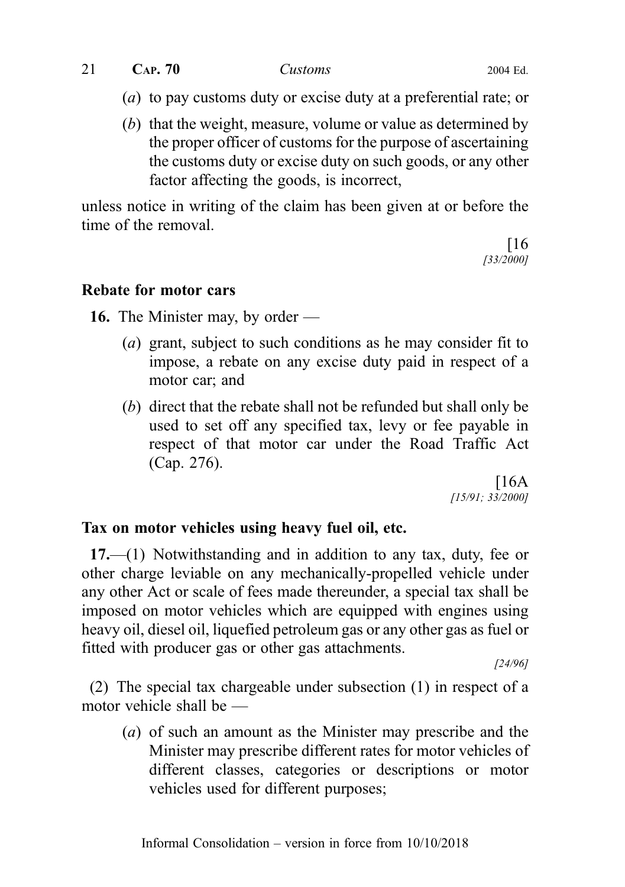$21$  CAP. 70 Customs 2004 Ed.

- (a) to pay customs duty or excise duty at a preferential rate; or
- (b) that the weight, measure, volume or value as determined by the proper officer of customs for the purpose of ascertaining the customs duty or excise duty on such goods, or any other factor affecting the goods, is incorrect,

unless notice in writing of the claim has been given at or before the time of the removal.

[16 [33/2000]

## Rebate for motor cars

16. The Minister may, by order —

- (a) grant, subject to such conditions as he may consider fit to impose, a rebate on any excise duty paid in respect of a motor car; and
- (b) direct that the rebate shall not be refunded but shall only be used to set off any specified tax, levy or fee payable in respect of that motor car under the Road Traffic Act (Cap. 276).

 $[16A]$ [15/91; 33/2000]

## Tax on motor vehicles using heavy fuel oil, etc.

17.—(1) Notwithstanding and in addition to any tax, duty, fee or other charge leviable on any mechanically-propelled vehicle under any other Act or scale of fees made thereunder, a special tax shall be imposed on motor vehicles which are equipped with engines using heavy oil, diesel oil, liquefied petroleum gas or any other gas as fuel or fitted with producer gas or other gas attachments.

[24/96]

(2) The special tax chargeable under subsection (1) in respect of a motor vehicle shall be —

(a) of such an amount as the Minister may prescribe and the Minister may prescribe different rates for motor vehicles of different classes, categories or descriptions or motor vehicles used for different purposes;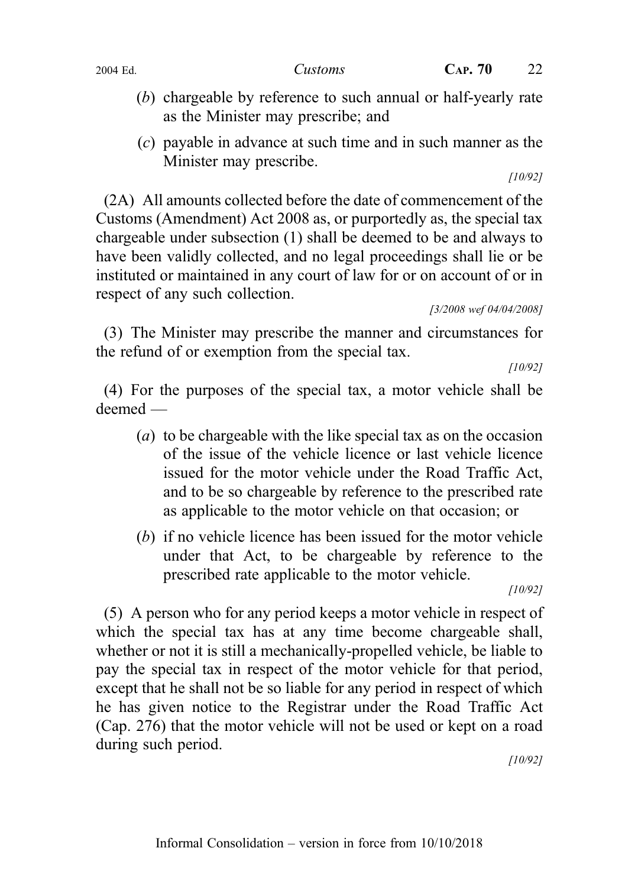- (b) chargeable by reference to such annual or half-yearly rate as the Minister may prescribe; and
- (c) payable in advance at such time and in such manner as the Minister may prescribe.

[10/92]

(2A) All amounts collected before the date of commencement of the Customs (Amendment) Act 2008 as, or purportedly as, the special tax chargeable under subsection (1) shall be deemed to be and always to have been validly collected, and no legal proceedings shall lie or be instituted or maintained in any court of law for or on account of or in respect of any such collection.

[3/2008 wef 04/04/2008]

(3) The Minister may prescribe the manner and circumstances for the refund of or exemption from the special tax.

[10/92]

(4) For the purposes of the special tax, a motor vehicle shall be deemed —

- (a) to be chargeable with the like special tax as on the occasion of the issue of the vehicle licence or last vehicle licence issued for the motor vehicle under the Road Traffic Act, and to be so chargeable by reference to the prescribed rate as applicable to the motor vehicle on that occasion; or
- (b) if no vehicle licence has been issued for the motor vehicle under that Act, to be chargeable by reference to the prescribed rate applicable to the motor vehicle.

[10/92]

(5) A person who for any period keeps a motor vehicle in respect of which the special tax has at any time become chargeable shall, whether or not it is still a mechanically-propelled vehicle, be liable to pay the special tax in respect of the motor vehicle for that period, except that he shall not be so liable for any period in respect of which he has given notice to the Registrar under the Road Traffic Act (Cap. 276) that the motor vehicle will not be used or kept on a road during such period.

[10/92]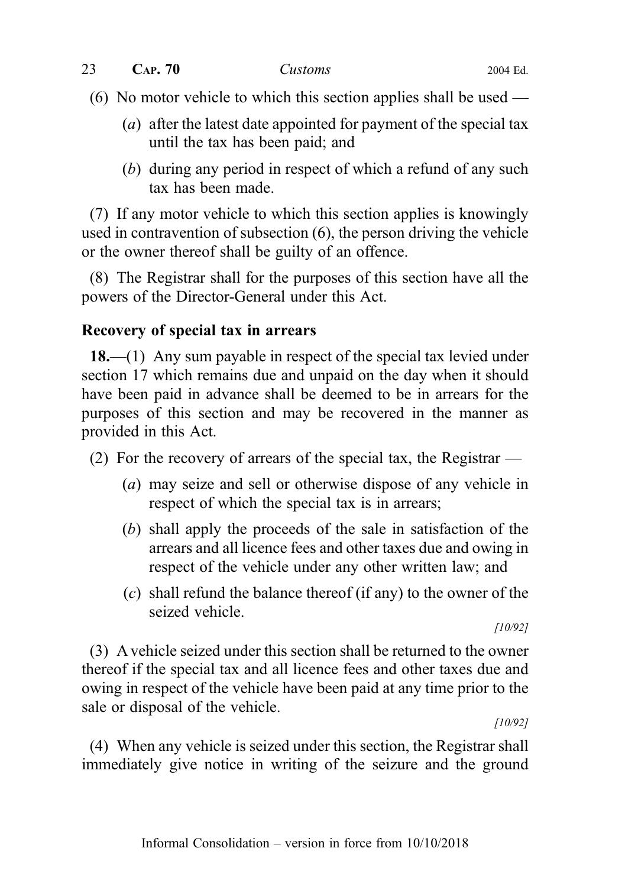(6) No motor vehicle to which this section applies shall be used —

- (a) after the latest date appointed for payment of the special tax until the tax has been paid; and
- (b) during any period in respect of which a refund of any such tax has been made.

(7) If any motor vehicle to which this section applies is knowingly used in contravention of subsection (6), the person driving the vehicle or the owner thereof shall be guilty of an offence.

(8) The Registrar shall for the purposes of this section have all the powers of the Director-General under this Act.

## Recovery of special tax in arrears

18.—(1) Any sum payable in respect of the special tax levied under section 17 which remains due and unpaid on the day when it should have been paid in advance shall be deemed to be in arrears for the purposes of this section and may be recovered in the manner as provided in this Act.

- (2) For the recovery of arrears of the special tax, the Registrar
	- (a) may seize and sell or otherwise dispose of any vehicle in respect of which the special tax is in arrears;
	- (b) shall apply the proceeds of the sale in satisfaction of the arrears and all licence fees and other taxes due and owing in respect of the vehicle under any other written law; and
	- (c) shall refund the balance thereof (if any) to the owner of the seized vehicle.

[10/92]

(3) A vehicle seized under this section shall be returned to the owner thereof if the special tax and all licence fees and other taxes due and owing in respect of the vehicle have been paid at any time prior to the sale or disposal of the vehicle.

[10/92]

(4) When any vehicle is seized under this section, the Registrar shall immediately give notice in writing of the seizure and the ground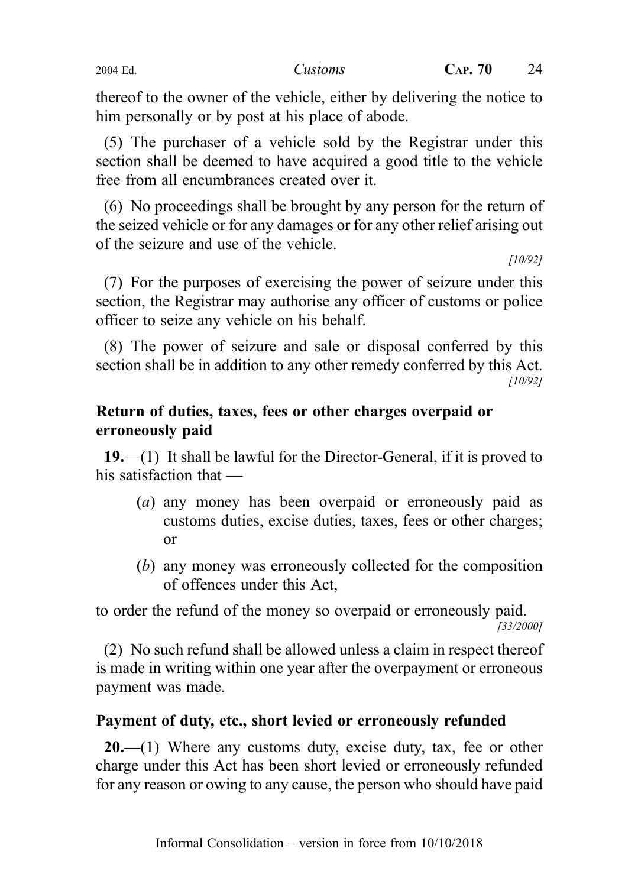thereof to the owner of the vehicle, either by delivering the notice to him personally or by post at his place of abode.

(5) The purchaser of a vehicle sold by the Registrar under this section shall be deemed to have acquired a good title to the vehicle free from all encumbrances created over it.

(6) No proceedings shall be brought by any person for the return of the seized vehicle or for any damages or for any other relief arising out of the seizure and use of the vehicle.

[10/92]

(7) For the purposes of exercising the power of seizure under this section, the Registrar may authorise any officer of customs or police officer to seize any vehicle on his behalf.

(8) The power of seizure and sale or disposal conferred by this section shall be in addition to any other remedy conferred by this Act. [10/92]

## Return of duties, taxes, fees or other charges overpaid or erroneously paid

19.—(1) It shall be lawful for the Director-General, if it is proved to his satisfaction that —

- (a) any money has been overpaid or erroneously paid as customs duties, excise duties, taxes, fees or other charges; or
- (b) any money was erroneously collected for the composition of offences under this Act,

to order the refund of the money so overpaid or erroneously paid. [33/2000]

(2) No such refund shall be allowed unless a claim in respect thereof is made in writing within one year after the overpayment or erroneous payment was made.

## Payment of duty, etc., short levied or erroneously refunded

 $20$ —(1) Where any customs duty, excise duty, tax, fee or other charge under this Act has been short levied or erroneously refunded for any reason or owing to any cause, the person who should have paid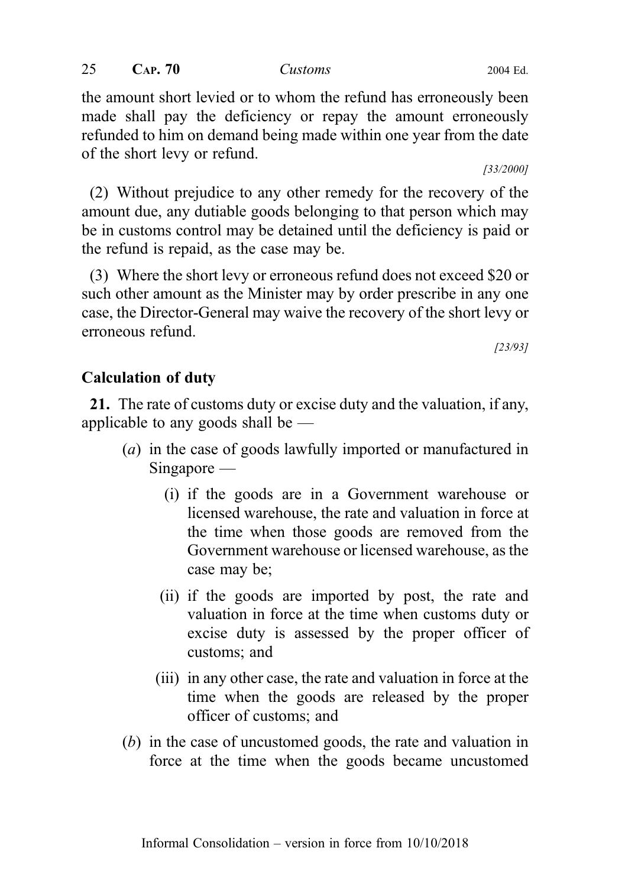the amount short levied or to whom the refund has erroneously been made shall pay the deficiency or repay the amount erroneously refunded to him on demand being made within one year from the date of the short levy or refund.

[33/2000]

(2) Without prejudice to any other remedy for the recovery of the amount due, any dutiable goods belonging to that person which may be in customs control may be detained until the deficiency is paid or the refund is repaid, as the case may be.

(3) Where the short levy or erroneous refund does not exceed \$20 or such other amount as the Minister may by order prescribe in any one case, the Director-General may waive the recovery of the short levy or erroneous refund.

[23/93]

## Calculation of duty

21. The rate of customs duty or excise duty and the valuation, if any, applicable to any goods shall be —

- (a) in the case of goods lawfully imported or manufactured in Singapore —
	- (i) if the goods are in a Government warehouse or licensed warehouse, the rate and valuation in force at the time when those goods are removed from the Government warehouse or licensed warehouse, as the case may be;
	- (ii) if the goods are imported by post, the rate and valuation in force at the time when customs duty or excise duty is assessed by the proper officer of customs; and
	- (iii) in any other case, the rate and valuation in force at the time when the goods are released by the proper officer of customs; and
- (b) in the case of uncustomed goods, the rate and valuation in force at the time when the goods became uncustomed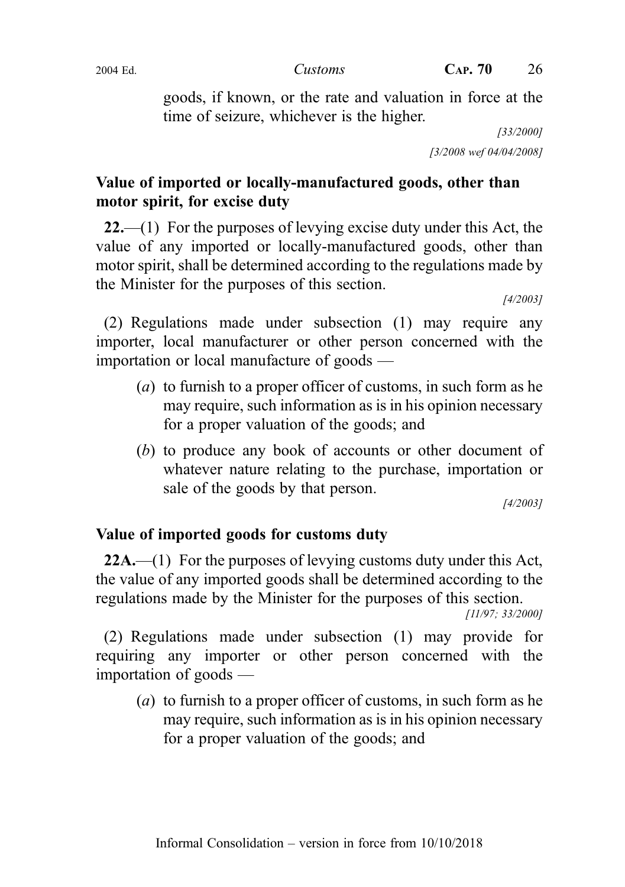goods, if known, or the rate and valuation in force at the time of seizure, whichever is the higher.

[33/2000] [3/2008 wef 04/04/2008]

## Value of imported or locally-manufactured goods, other than motor spirit, for excise duty

 $22$ —(1) For the purposes of levying excise duty under this Act, the value of any imported or locally-manufactured goods, other than motor spirit, shall be determined according to the regulations made by the Minister for the purposes of this section.

[4/2003]

(2) Regulations made under subsection (1) may require any importer, local manufacturer or other person concerned with the importation or local manufacture of goods —

- (a) to furnish to a proper officer of customs, in such form as he may require, such information as is in his opinion necessary for a proper valuation of the goods; and
- (b) to produce any book of accounts or other document of whatever nature relating to the purchase, importation or sale of the goods by that person.

[4/2003]

## Value of imported goods for customs duty

22A.—(1) For the purposes of levying customs duty under this Act, the value of any imported goods shall be determined according to the regulations made by the Minister for the purposes of this section.

[11/97; 33/2000]

(2) Regulations made under subsection (1) may provide for requiring any importer or other person concerned with the importation of goods —

(a) to furnish to a proper officer of customs, in such form as he may require, such information as is in his opinion necessary for a proper valuation of the goods; and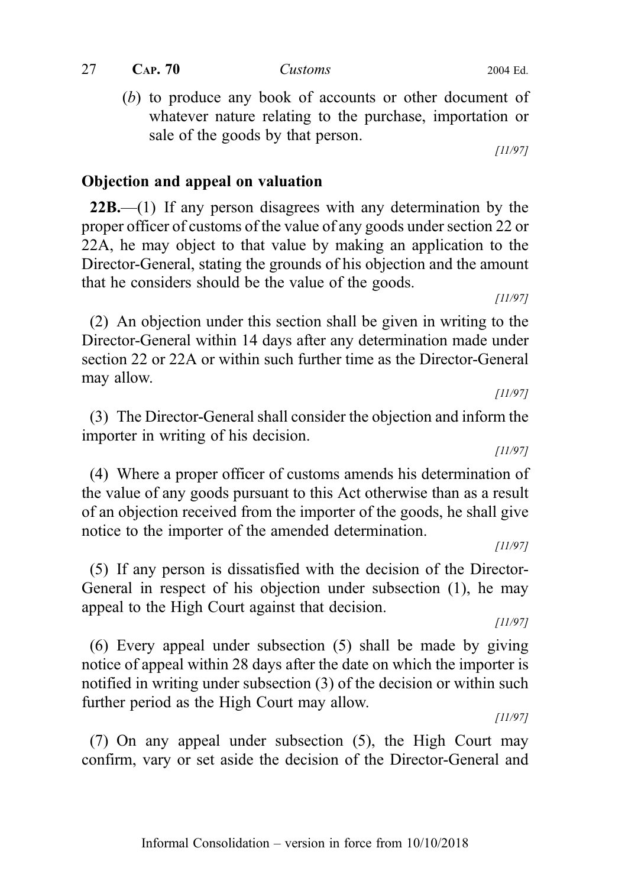whatever nature relating to the purchase, importation or sale of the goods by that person.

Objection and appeal on valuation

 $22B$ .—(1) If any person disagrees with any determination by the proper officer of customs of the value of any goods under section 22 or 22A, he may object to that value by making an application to the Director-General, stating the grounds of his objection and the amount that he considers should be the value of the goods.

(b) to produce any book of accounts or other document of

(2) An objection under this section shall be given in writing to the Director-General within 14 days after any determination made under section 22 or 22A or within such further time as the Director-General may allow.

(3) The Director-General shall consider the objection and inform the importer in writing of his decision.

(4) Where a proper officer of customs amends his determination of the value of any goods pursuant to this Act otherwise than as a result of an objection received from the importer of the goods, he shall give notice to the importer of the amended determination.

(5) If any person is dissatisfied with the decision of the Director-General in respect of his objection under subsection (1), he may appeal to the High Court against that decision.

(6) Every appeal under subsection (5) shall be made by giving notice of appeal within 28 days after the date on which the importer is notified in writing under subsection (3) of the decision or within such further period as the High Court may allow.

(7) On any appeal under subsection (5), the High Court may confirm, vary or set aside the decision of the Director-General and

#### $27$  CAP.  $70$  Customs 2004 Ed.

[11/97]

[11/97]

[11/97]

[11/97]

[11/97]

[11/97]

[11/97]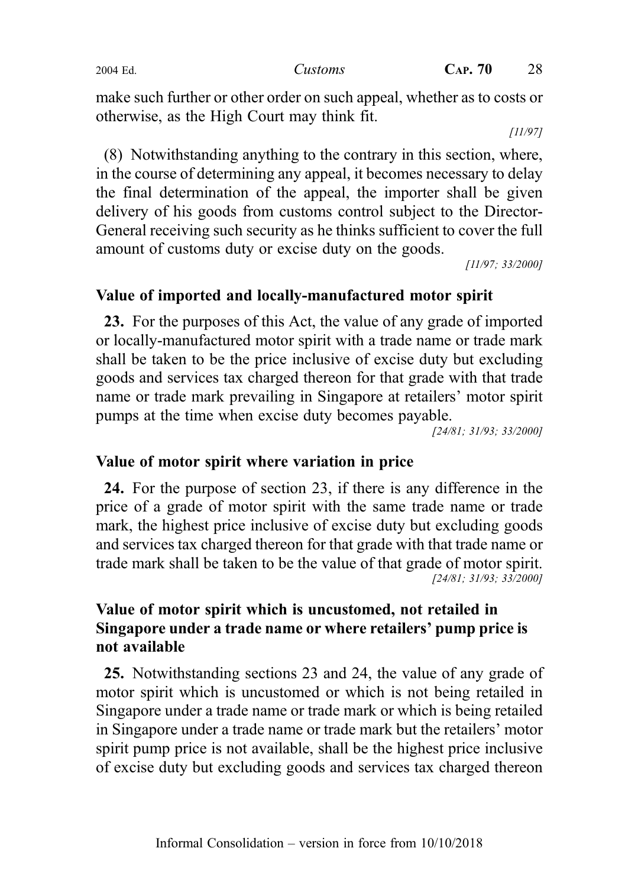make such further or other order on such appeal, whether as to costs or otherwise, as the High Court may think fit.

[11/97]

(8) Notwithstanding anything to the contrary in this section, where, in the course of determining any appeal, it becomes necessary to delay the final determination of the appeal, the importer shall be given delivery of his goods from customs control subject to the Director-General receiving such security as he thinks sufficient to cover the full amount of customs duty or excise duty on the goods.

[11/97; 33/2000]

## Value of imported and locally-manufactured motor spirit

23. For the purposes of this Act, the value of any grade of imported or locally-manufactured motor spirit with a trade name or trade mark shall be taken to be the price inclusive of excise duty but excluding goods and services tax charged thereon for that grade with that trade name or trade mark prevailing in Singapore at retailers' motor spirit pumps at the time when excise duty becomes payable.

[24/81; 31/93; 33/2000]

## Value of motor spirit where variation in price

24. For the purpose of section 23, if there is any difference in the price of a grade of motor spirit with the same trade name or trade mark, the highest price inclusive of excise duty but excluding goods and services tax charged thereon for that grade with that trade name or trade mark shall be taken to be the value of that grade of motor spirit. [24/81; 31/93; 33/2000]

## Value of motor spirit which is uncustomed, not retailed in Singapore under a trade name or where retailers' pump price is not available

25. Notwithstanding sections 23 and 24, the value of any grade of motor spirit which is uncustomed or which is not being retailed in Singapore under a trade name or trade mark or which is being retailed in Singapore under a trade name or trade mark but the retailers' motor spirit pump price is not available, shall be the highest price inclusive of excise duty but excluding goods and services tax charged thereon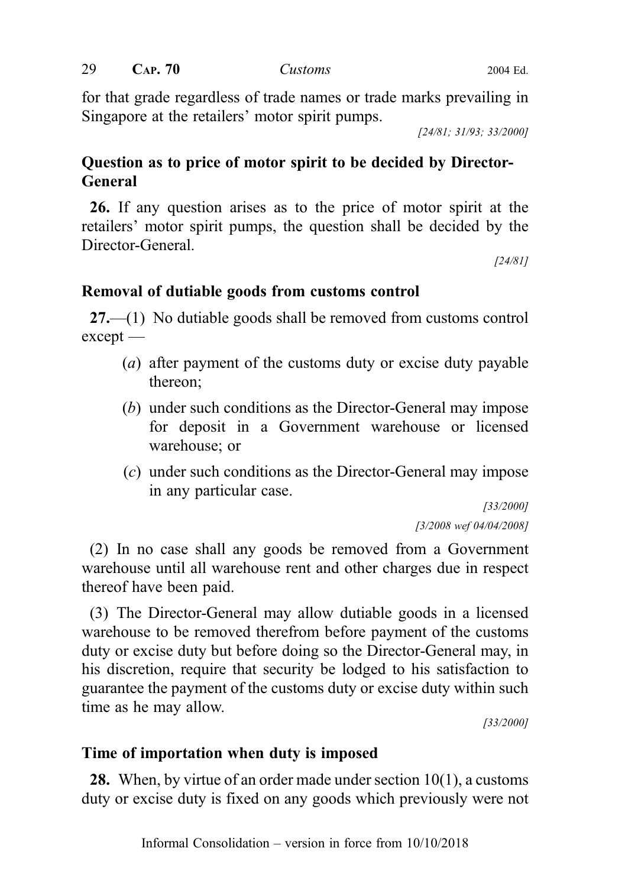for that grade regardless of trade names or trade marks prevailing in Singapore at the retailers' motor spirit pumps.

[24/81; 31/93; 33/2000]

## Question as to price of motor spirit to be decided by Director-General

26. If any question arises as to the price of motor spirit at the retailers' motor spirit pumps, the question shall be decided by the Director-General.

[24/81]

## Removal of dutiable goods from customs control

27.—(1) No dutiable goods shall be removed from customs control except —

- (a) after payment of the customs duty or excise duty payable thereon;
- (b) under such conditions as the Director-General may impose for deposit in a Government warehouse or licensed warehouse; or
- (c) under such conditions as the Director-General may impose in any particular case.

[33/2000] [3/2008 wef 04/04/2008]

(2) In no case shall any goods be removed from a Government warehouse until all warehouse rent and other charges due in respect thereof have been paid.

(3) The Director-General may allow dutiable goods in a licensed warehouse to be removed therefrom before payment of the customs duty or excise duty but before doing so the Director-General may, in his discretion, require that security be lodged to his satisfaction to guarantee the payment of the customs duty or excise duty within such time as he may allow.

[33/2000]

## Time of importation when duty is imposed

28. When, by virtue of an order made under section 10(1), a customs duty or excise duty is fixed on any goods which previously were not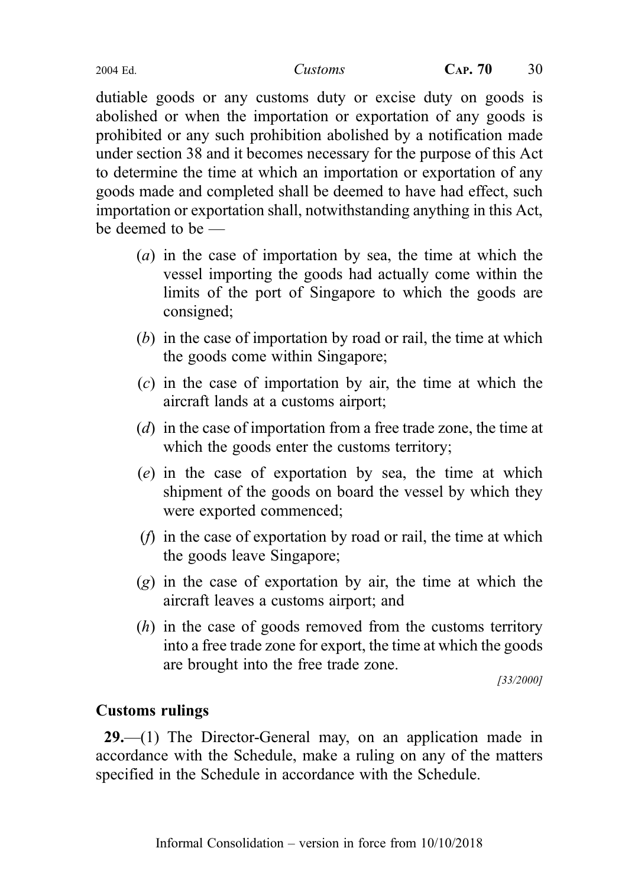dutiable goods or any customs duty or excise duty on goods is abolished or when the importation or exportation of any goods is prohibited or any such prohibition abolished by a notification made under section 38 and it becomes necessary for the purpose of this Act to determine the time at which an importation or exportation of any goods made and completed shall be deemed to have had effect, such importation or exportation shall, notwithstanding anything in this Act, be deemed to be —

- (a) in the case of importation by sea, the time at which the vessel importing the goods had actually come within the limits of the port of Singapore to which the goods are consigned;
- (b) in the case of importation by road or rail, the time at which the goods come within Singapore;
- (c) in the case of importation by air, the time at which the aircraft lands at a customs airport;
- (d) in the case of importation from a free trade zone, the time at which the goods enter the customs territory;
- (e) in the case of exportation by sea, the time at which shipment of the goods on board the vessel by which they were exported commenced;
- (f) in the case of exportation by road or rail, the time at which the goods leave Singapore;
- $(g)$  in the case of exportation by air, the time at which the aircraft leaves a customs airport; and
- (h) in the case of goods removed from the customs territory into a free trade zone for export, the time at which the goods are brought into the free trade zone.

[33/2000]

## Customs rulings

29.—(1) The Director-General may, on an application made in accordance with the Schedule, make a ruling on any of the matters specified in the Schedule in accordance with the Schedule.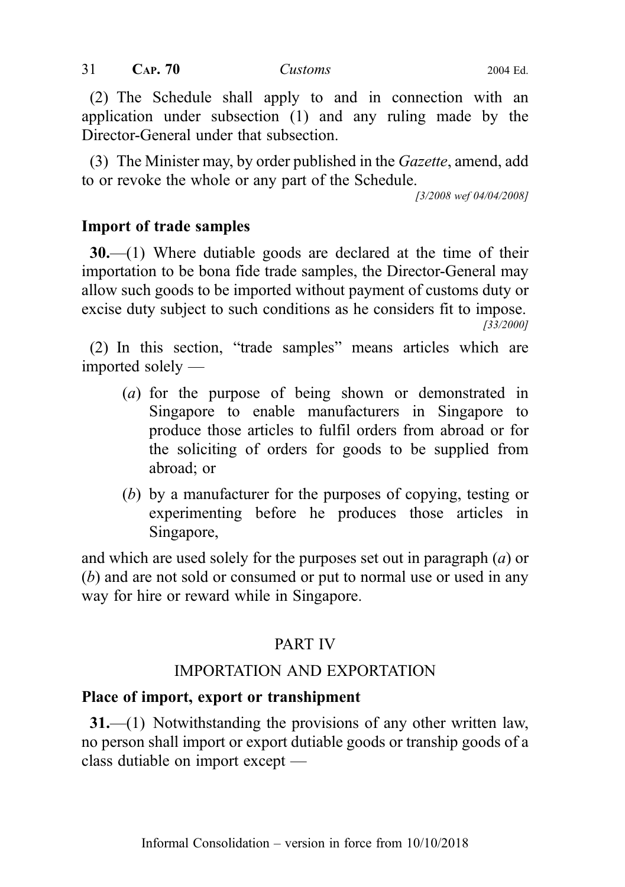(2) The Schedule shall apply to and in connection with an application under subsection (1) and any ruling made by the Director-General under that subsection.

(3) The Minister may, by order published in the Gazette, amend, add to or revoke the whole or any part of the Schedule.

[3/2008 wef 04/04/2008]

## Import of trade samples

 $30$ .—(1) Where dutiable goods are declared at the time of their importation to be bona fide trade samples, the Director-General may allow such goods to be imported without payment of customs duty or excise duty subject to such conditions as he considers fit to impose. [33/2000]

(2) In this section, "trade samples" means articles which are imported solely —

- (a) for the purpose of being shown or demonstrated in Singapore to enable manufacturers in Singapore to produce those articles to fulfil orders from abroad or for the soliciting of orders for goods to be supplied from abroad; or
- (b) by a manufacturer for the purposes of copying, testing or experimenting before he produces those articles in Singapore,

and which are used solely for the purposes set out in paragraph (a) or (b) and are not sold or consumed or put to normal use or used in any way for hire or reward while in Singapore.

## PART IV

## IMPORTATION AND EXPORTATION

## Place of import, export or transhipment

31.—(1) Notwithstanding the provisions of any other written law, no person shall import or export dutiable goods or tranship goods of a class dutiable on import except —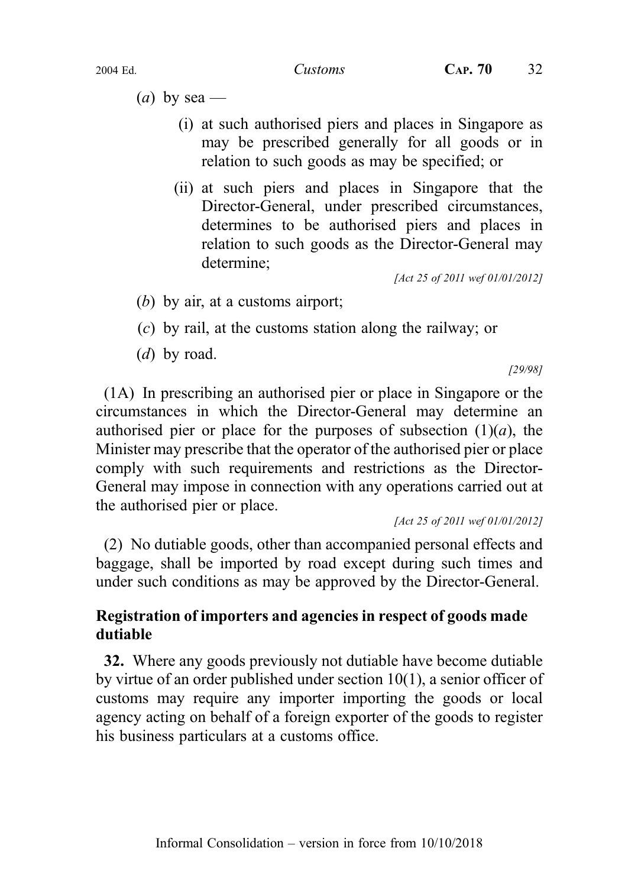(*a*) by sea —

- (i) at such authorised piers and places in Singapore as may be prescribed generally for all goods or in relation to such goods as may be specified; or
- (ii) at such piers and places in Singapore that the Director-General, under prescribed circumstances, determines to be authorised piers and places in relation to such goods as the Director-General may determine;

[Act 25 of 2011 wef 01/01/2012]

- (b) by air, at a customs airport;
- (c) by rail, at the customs station along the railway; or
- (*d*) by road.

[29/98]

(1A) In prescribing an authorised pier or place in Singapore or the circumstances in which the Director-General may determine an authorised pier or place for the purposes of subsection  $(1)(a)$ , the Minister may prescribe that the operator of the authorised pier or place comply with such requirements and restrictions as the Director-General may impose in connection with any operations carried out at the authorised pier or place.

[Act 25 of 2011 wef 01/01/2012]

(2) No dutiable goods, other than accompanied personal effects and baggage, shall be imported by road except during such times and under such conditions as may be approved by the Director-General.

## Registration of importers and agencies in respect of goods made dutiable

32. Where any goods previously not dutiable have become dutiable by virtue of an order published under section 10(1), a senior officer of customs may require any importer importing the goods or local agency acting on behalf of a foreign exporter of the goods to register his business particulars at a customs office.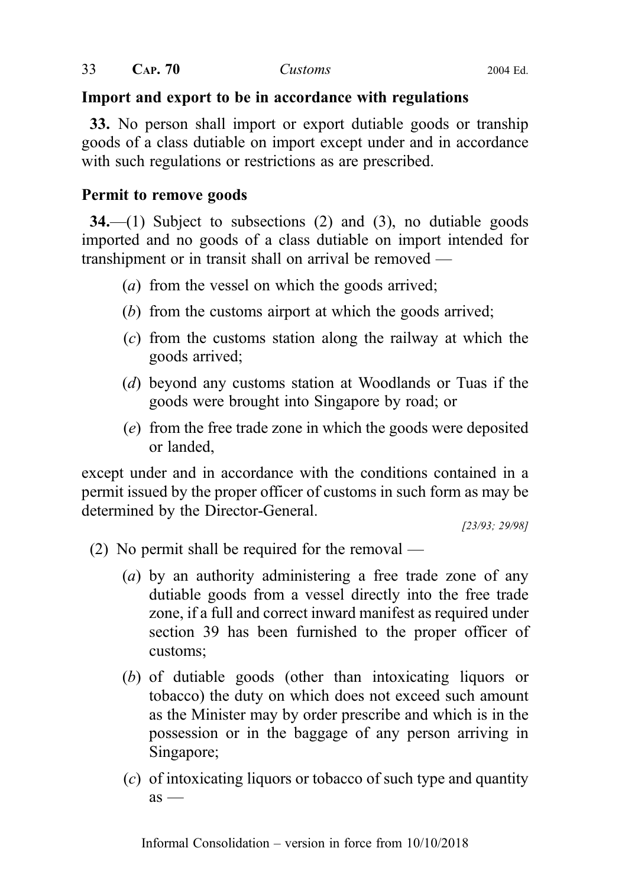## Import and export to be in accordance with regulations

33. No person shall import or export dutiable goods or tranship goods of a class dutiable on import except under and in accordance with such regulations or restrictions as are prescribed.

## Permit to remove goods

 $34$ —(1) Subject to subsections (2) and (3), no dutiable goods imported and no goods of a class dutiable on import intended for transhipment or in transit shall on arrival be removed —

- (a) from the vessel on which the goods arrived;
- (b) from the customs airport at which the goods arrived;
- (c) from the customs station along the railway at which the goods arrived;
- (d) beyond any customs station at Woodlands or Tuas if the goods were brought into Singapore by road; or
- (e) from the free trade zone in which the goods were deposited or landed,

except under and in accordance with the conditions contained in a permit issued by the proper officer of customs in such form as may be determined by the Director-General.

[23/93; 29/98]

- (2) No permit shall be required for the removal
	- (a) by an authority administering a free trade zone of any dutiable goods from a vessel directly into the free trade zone, if a full and correct inward manifest as required under section 39 has been furnished to the proper officer of customs;
	- (b) of dutiable goods (other than intoxicating liquors or tobacco) the duty on which does not exceed such amount as the Minister may by order prescribe and which is in the possession or in the baggage of any person arriving in Singapore;
	- (c) of intoxicating liquors or tobacco of such type and quantity  $as -$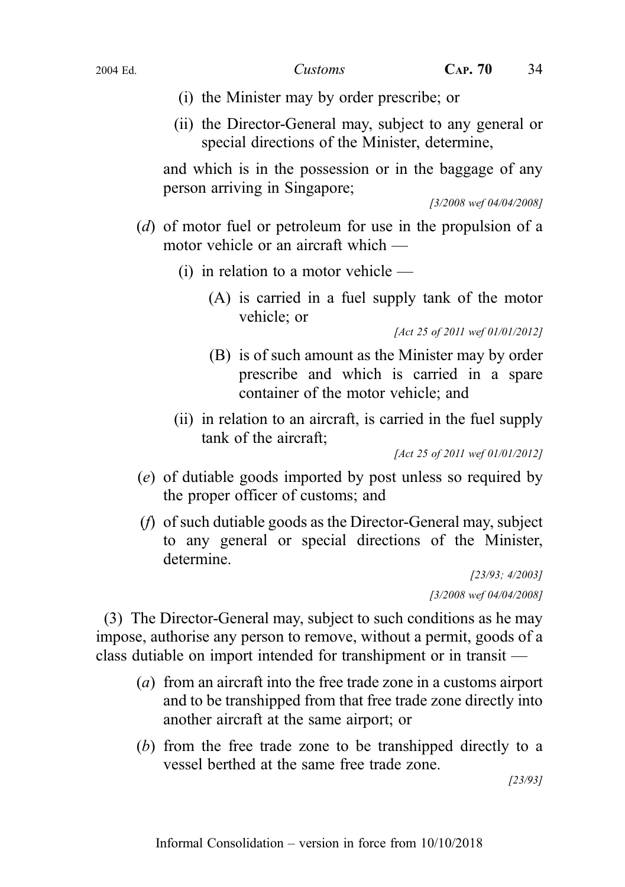- (i) the Minister may by order prescribe; or
- (ii) the Director-General may, subject to any general or special directions of the Minister, determine,

and which is in the possession or in the baggage of any person arriving in Singapore;

[3/2008 wef 04/04/2008]

- (d) of motor fuel or petroleum for use in the propulsion of a motor vehicle or an aircraft which —
	- (i) in relation to a motor vehicle
		- (A) is carried in a fuel supply tank of the motor vehicle; or

[Act 25 of 2011 wef 01/01/2012]

- (B) is of such amount as the Minister may by order prescribe and which is carried in a spare container of the motor vehicle; and
- (ii) in relation to an aircraft, is carried in the fuel supply tank of the aircraft;

[Act 25 of 2011 wef 01/01/2012]

- (e) of dutiable goods imported by post unless so required by the proper officer of customs; and
- (f) of such dutiable goods as the Director-General may, subject to any general or special directions of the Minister, determine.

[23/93; 4/2003] [3/2008 wef 04/04/2008]

(3) The Director-General may, subject to such conditions as he may impose, authorise any person to remove, without a permit, goods of a class dutiable on import intended for transhipment or in transit —

- (a) from an aircraft into the free trade zone in a customs airport and to be transhipped from that free trade zone directly into another aircraft at the same airport; or
- (b) from the free trade zone to be transhipped directly to a vessel berthed at the same free trade zone.

[23/93]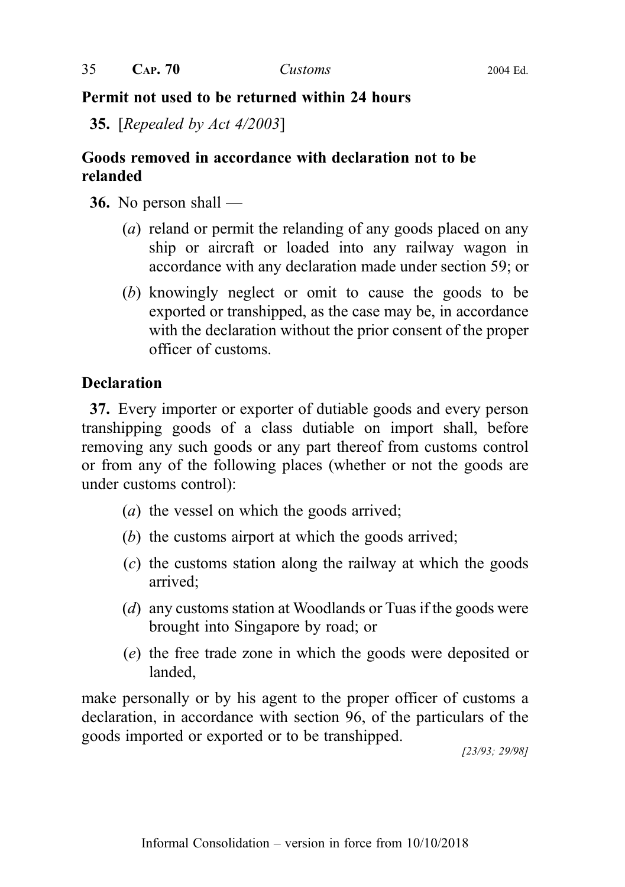## Permit not used to be returned within 24 hours

35. [Repealed by Act 4/2003]

## Goods removed in accordance with declaration not to be relanded

36. No person shall —

- (a) reland or permit the relanding of any goods placed on any ship or aircraft or loaded into any railway wagon in accordance with any declaration made under section 59; or
- (b) knowingly neglect or omit to cause the goods to be exported or transhipped, as the case may be, in accordance with the declaration without the prior consent of the proper officer of customs.

## **Declaration**

37. Every importer or exporter of dutiable goods and every person transhipping goods of a class dutiable on import shall, before removing any such goods or any part thereof from customs control or from any of the following places (whether or not the goods are under customs control):

- (a) the vessel on which the goods arrived;
- (b) the customs airport at which the goods arrived;
- (c) the customs station along the railway at which the goods arrived;
- (d) any customs station at Woodlands or Tuas if the goods were brought into Singapore by road; or
- (e) the free trade zone in which the goods were deposited or landed,

make personally or by his agent to the proper officer of customs a declaration, in accordance with section 96, of the particulars of the goods imported or exported or to be transhipped.

[23/93; 29/98]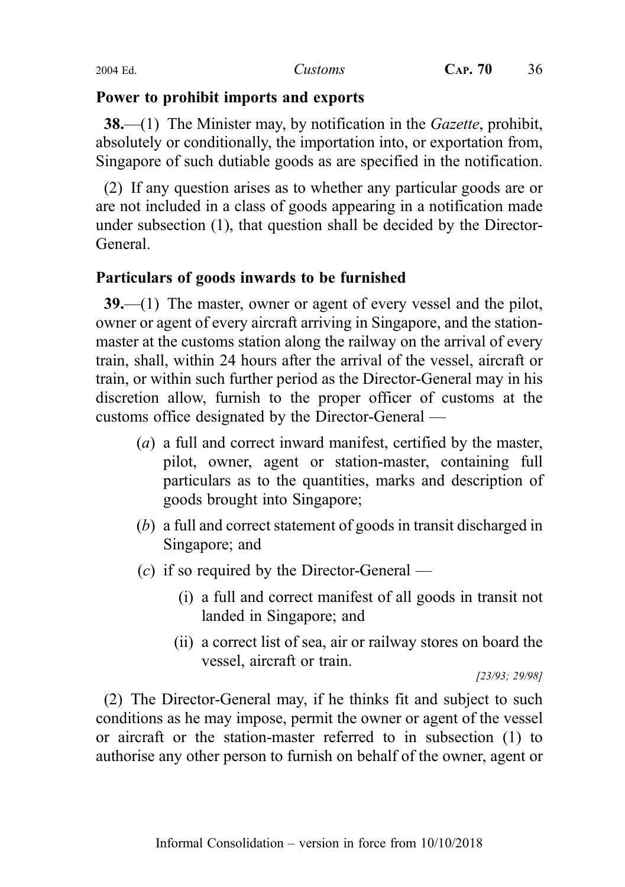## Power to prohibit imports and exports

**38.**—(1) The Minister may, by notification in the *Gazette*, prohibit, absolutely or conditionally, the importation into, or exportation from, Singapore of such dutiable goods as are specified in the notification.

(2) If any question arises as to whether any particular goods are or are not included in a class of goods appearing in a notification made under subsection (1), that question shall be decided by the Director-General.

# Particulars of goods inwards to be furnished

39.—(1) The master, owner or agent of every vessel and the pilot, owner or agent of every aircraft arriving in Singapore, and the stationmaster at the customs station along the railway on the arrival of every train, shall, within 24 hours after the arrival of the vessel, aircraft or train, or within such further period as the Director-General may in his discretion allow, furnish to the proper officer of customs at the customs office designated by the Director-General —

- (a) a full and correct inward manifest, certified by the master, pilot, owner, agent or station-master, containing full particulars as to the quantities, marks and description of goods brought into Singapore;
- (b) a full and correct statement of goods in transit discharged in Singapore; and
- $(c)$  if so required by the Director-General
	- (i) a full and correct manifest of all goods in transit not landed in Singapore; and
	- (ii) a correct list of sea, air or railway stores on board the vessel, aircraft or train.

[23/93; 29/98]

(2) The Director-General may, if he thinks fit and subject to such conditions as he may impose, permit the owner or agent of the vessel or aircraft or the station-master referred to in subsection (1) to authorise any other person to furnish on behalf of the owner, agent or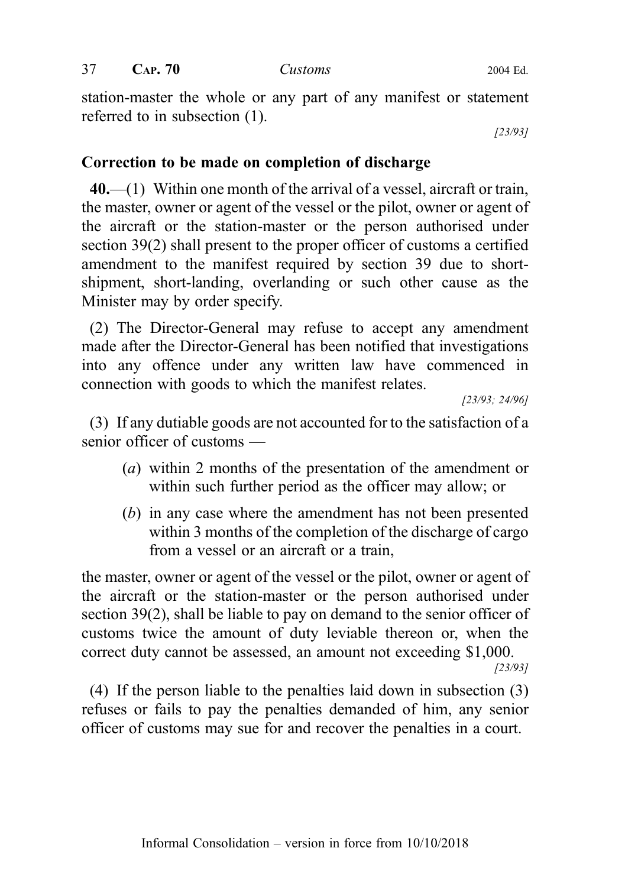$37$  CAP.  $70$  Customs 2004 Ed.

station-master the whole or any part of any manifest or statement referred to in subsection (1).

[23/93]

## Correction to be made on completion of discharge

 $40$ ,—(1) Within one month of the arrival of a vessel, aircraft or train, the master, owner or agent of the vessel or the pilot, owner or agent of the aircraft or the station-master or the person authorised under section 39(2) shall present to the proper officer of customs a certified amendment to the manifest required by section 39 due to shortshipment, short-landing, overlanding or such other cause as the Minister may by order specify.

(2) The Director-General may refuse to accept any amendment made after the Director-General has been notified that investigations into any offence under any written law have commenced in connection with goods to which the manifest relates.

[23/93; 24/96]

(3) If any dutiable goods are not accounted for to the satisfaction of a senior officer of customs —

- (a) within 2 months of the presentation of the amendment or within such further period as the officer may allow; or
- (b) in any case where the amendment has not been presented within 3 months of the completion of the discharge of cargo from a vessel or an aircraft or a train,

the master, owner or agent of the vessel or the pilot, owner or agent of the aircraft or the station-master or the person authorised under section 39(2), shall be liable to pay on demand to the senior officer of customs twice the amount of duty leviable thereon or, when the correct duty cannot be assessed, an amount not exceeding \$1,000. [23/93]

(4) If the person liable to the penalties laid down in subsection (3) refuses or fails to pay the penalties demanded of him, any senior officer of customs may sue for and recover the penalties in a court.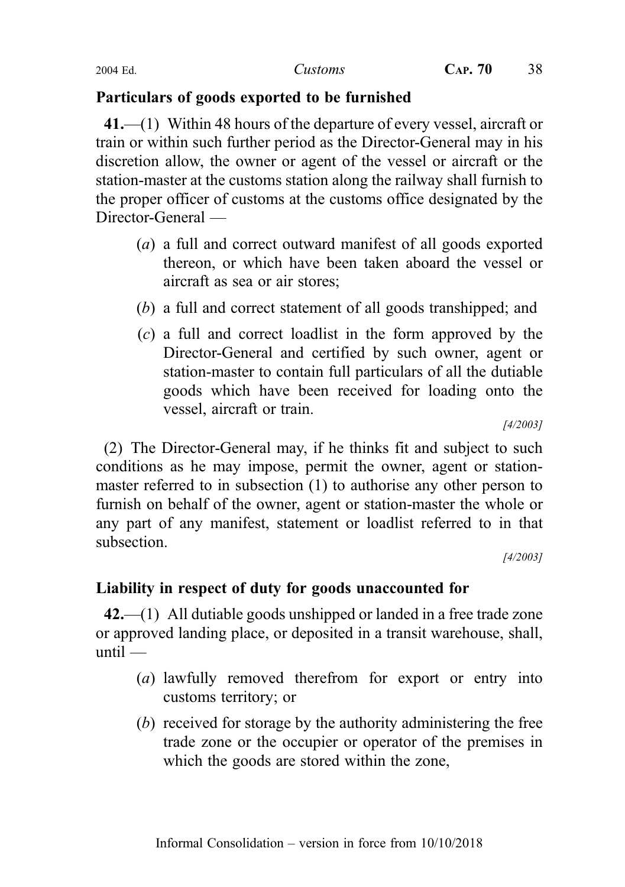# Particulars of goods exported to be furnished

41.—(1) Within 48 hours of the departure of every vessel, aircraft or train or within such further period as the Director-General may in his discretion allow, the owner or agent of the vessel or aircraft or the station-master at the customs station along the railway shall furnish to the proper officer of customs at the customs office designated by the Director-General —

- (a) a full and correct outward manifest of all goods exported thereon, or which have been taken aboard the vessel or aircraft as sea or air stores;
- (b) a full and correct statement of all goods transhipped; and
- (c) a full and correct loadlist in the form approved by the Director-General and certified by such owner, agent or station-master to contain full particulars of all the dutiable goods which have been received for loading onto the vessel, aircraft or train.

[4/2003]

(2) The Director-General may, if he thinks fit and subject to such conditions as he may impose, permit the owner, agent or stationmaster referred to in subsection (1) to authorise any other person to furnish on behalf of the owner, agent or station-master the whole or any part of any manifest, statement or loadlist referred to in that subsection.

[4/2003]

# Liability in respect of duty for goods unaccounted for

42.—(1) All dutiable goods unshipped or landed in a free trade zone or approved landing place, or deposited in a transit warehouse, shall, until —

- (a) lawfully removed therefrom for export or entry into customs territory; or
- (b) received for storage by the authority administering the free trade zone or the occupier or operator of the premises in which the goods are stored within the zone,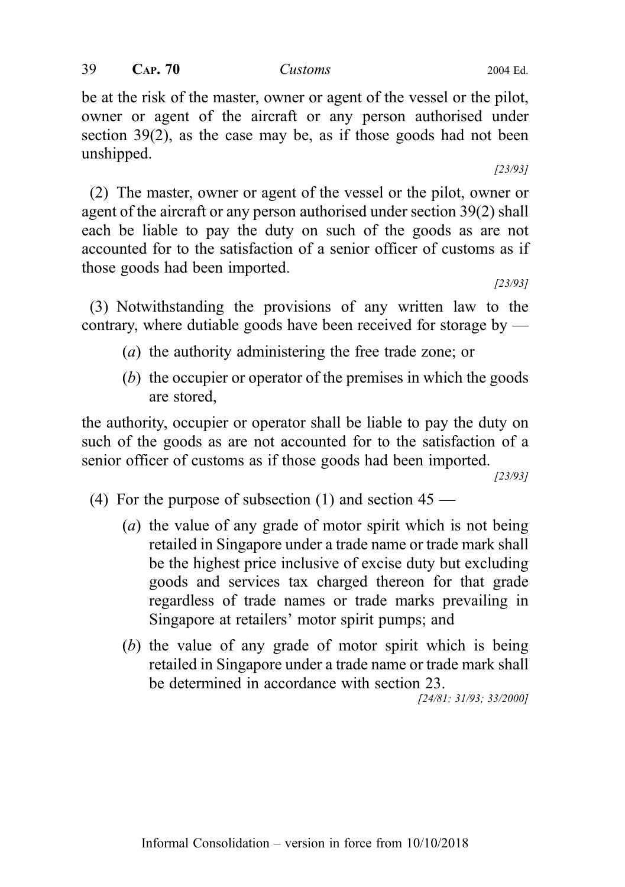be at the risk of the master, owner or agent of the vessel or the pilot, owner or agent of the aircraft or any person authorised under section 39(2), as the case may be, as if those goods had not been unshipped.

(2) The master, owner or agent of the vessel or the pilot, owner or agent of the aircraft or any person authorised under section 39(2) shall each be liable to pay the duty on such of the goods as are not accounted for to the satisfaction of a senior officer of customs as if those goods had been imported.

(3) Notwithstanding the provisions of any written law to the contrary, where dutiable goods have been received for storage by —

- (a) the authority administering the free trade zone; or
- (b) the occupier or operator of the premises in which the goods are stored,

the authority, occupier or operator shall be liable to pay the duty on such of the goods as are not accounted for to the satisfaction of a senior officer of customs as if those goods had been imported.

[23/93]

- (4) For the purpose of subsection (1) and section  $45$ 
	- (a) the value of any grade of motor spirit which is not being retailed in Singapore under a trade name or trade mark shall be the highest price inclusive of excise duty but excluding goods and services tax charged thereon for that grade regardless of trade names or trade marks prevailing in Singapore at retailers' motor spirit pumps; and
	- (b) the value of any grade of motor spirit which is being retailed in Singapore under a trade name or trade mark shall be determined in accordance with section 23.

[24/81; 31/93; 33/2000]

[23/93]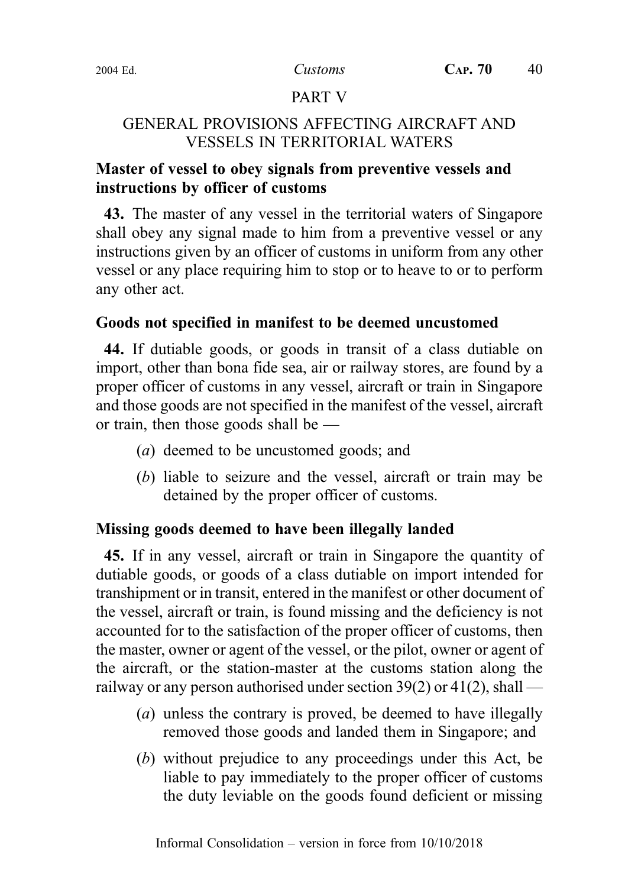### PART V

## GENERAL PROVISIONS AFFECTING AIRCRAFT AND VESSELS IN TERRITORIAL WATERS

# Master of vessel to obey signals from preventive vessels and instructions by officer of customs

43. The master of any vessel in the territorial waters of Singapore shall obey any signal made to him from a preventive vessel or any instructions given by an officer of customs in uniform from any other vessel or any place requiring him to stop or to heave to or to perform any other act.

## Goods not specified in manifest to be deemed uncustomed

44. If dutiable goods, or goods in transit of a class dutiable on import, other than bona fide sea, air or railway stores, are found by a proper officer of customs in any vessel, aircraft or train in Singapore and those goods are not specified in the manifest of the vessel, aircraft or train, then those goods shall be —

- (a) deemed to be uncustomed goods; and
- (b) liable to seizure and the vessel, aircraft or train may be detained by the proper officer of customs.

## Missing goods deemed to have been illegally landed

45. If in any vessel, aircraft or train in Singapore the quantity of dutiable goods, or goods of a class dutiable on import intended for transhipment or in transit, entered in the manifest or other document of the vessel, aircraft or train, is found missing and the deficiency is not accounted for to the satisfaction of the proper officer of customs, then the master, owner or agent of the vessel, or the pilot, owner or agent of the aircraft, or the station-master at the customs station along the railway or any person authorised under section  $39(2)$  or  $41(2)$ , shall —

- (a) unless the contrary is proved, be deemed to have illegally removed those goods and landed them in Singapore; and
- (b) without prejudice to any proceedings under this Act, be liable to pay immediately to the proper officer of customs the duty leviable on the goods found deficient or missing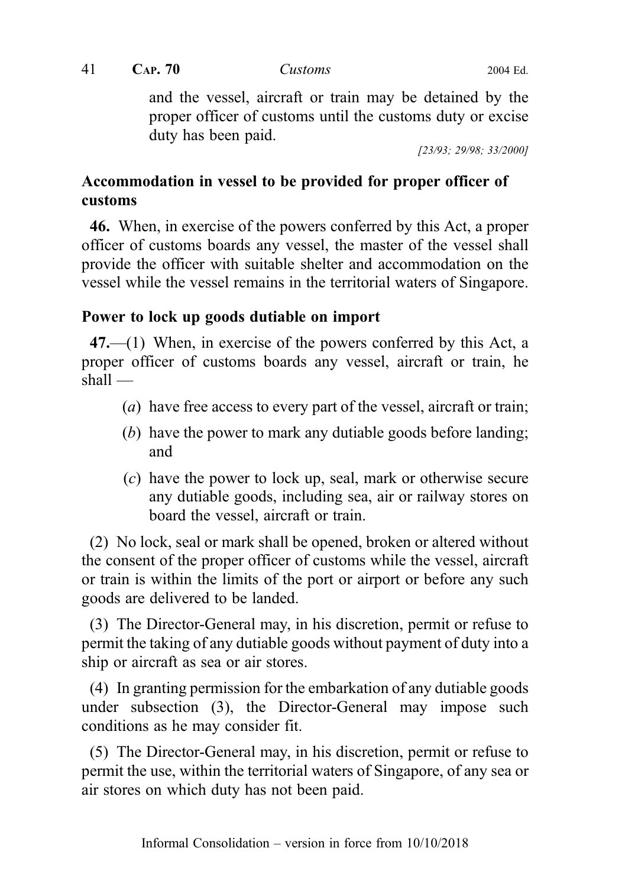and the vessel, aircraft or train may be detained by the proper officer of customs until the customs duty or excise duty has been paid.

[23/93; 29/98; 33/2000]

# Accommodation in vessel to be provided for proper officer of customs

46. When, in exercise of the powers conferred by this Act, a proper officer of customs boards any vessel, the master of the vessel shall provide the officer with suitable shelter and accommodation on the vessel while the vessel remains in the territorial waters of Singapore.

# Power to lock up goods dutiable on import

 $47.$ —(1) When, in exercise of the powers conferred by this Act, a proper officer of customs boards any vessel, aircraft or train, he shall —

- (a) have free access to every part of the vessel, aircraft or train;
- (b) have the power to mark any dutiable goods before landing; and
- (c) have the power to lock up, seal, mark or otherwise secure any dutiable goods, including sea, air or railway stores on board the vessel, aircraft or train.

(2) No lock, seal or mark shall be opened, broken or altered without the consent of the proper officer of customs while the vessel, aircraft or train is within the limits of the port or airport or before any such goods are delivered to be landed.

(3) The Director-General may, in his discretion, permit or refuse to permit the taking of any dutiable goods without payment of duty into a ship or aircraft as sea or air stores.

(4) In granting permission for the embarkation of any dutiable goods under subsection (3), the Director-General may impose such conditions as he may consider fit.

(5) The Director-General may, in his discretion, permit or refuse to permit the use, within the territorial waters of Singapore, of any sea or air stores on which duty has not been paid.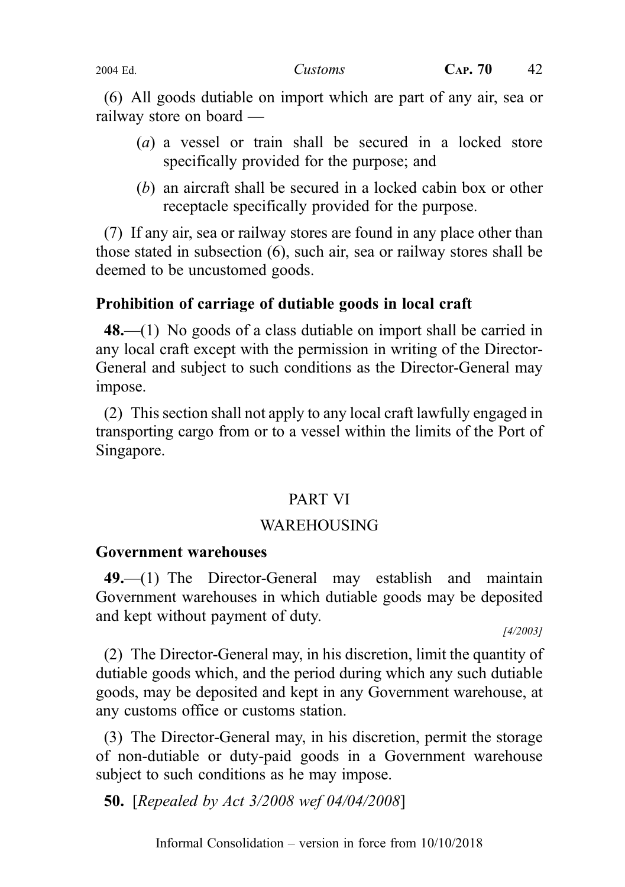(6) All goods dutiable on import which are part of any air, sea or railway store on board —

- (a) a vessel or train shall be secured in a locked store specifically provided for the purpose; and
- (b) an aircraft shall be secured in a locked cabin box or other receptacle specifically provided for the purpose.

(7) If any air, sea or railway stores are found in any place other than those stated in subsection (6), such air, sea or railway stores shall be deemed to be uncustomed goods.

## Prohibition of carriage of dutiable goods in local craft

48.—(1) No goods of a class dutiable on import shall be carried in any local craft except with the permission in writing of the Director-General and subject to such conditions as the Director-General may impose.

(2) This section shall not apply to any local craft lawfully engaged in transporting cargo from or to a vessel within the limits of the Port of Singapore.

#### PART VI

#### WAREHOUSING

#### Government warehouses

49.—(1) The Director-General may establish and maintain Government warehouses in which dutiable goods may be deposited and kept without payment of duty.

[4/2003]

(2) The Director-General may, in his discretion, limit the quantity of dutiable goods which, and the period during which any such dutiable goods, may be deposited and kept in any Government warehouse, at any customs office or customs station.

(3) The Director-General may, in his discretion, permit the storage of non-dutiable or duty-paid goods in a Government warehouse subject to such conditions as he may impose.

50. [Repealed by Act 3/2008 wef 04/04/2008]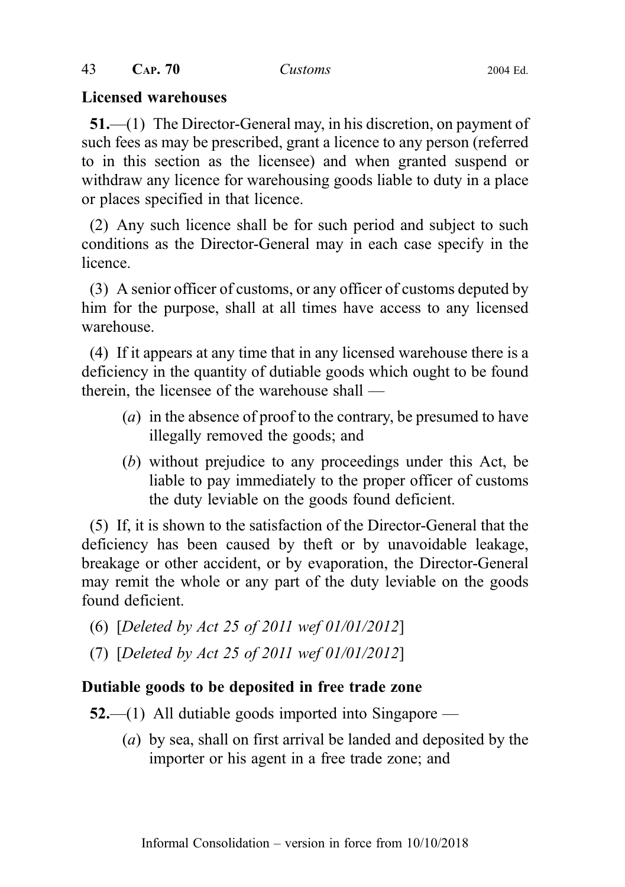#### Licensed warehouses

51.—(1) The Director-General may, in his discretion, on payment of such fees as may be prescribed, grant a licence to any person (referred to in this section as the licensee) and when granted suspend or withdraw any licence for warehousing goods liable to duty in a place or places specified in that licence.

(2) Any such licence shall be for such period and subject to such conditions as the Director-General may in each case specify in the licence.

(3) A senior officer of customs, or any officer of customs deputed by him for the purpose, shall at all times have access to any licensed warehouse.

(4) If it appears at any time that in any licensed warehouse there is a deficiency in the quantity of dutiable goods which ought to be found therein, the licensee of the warehouse shall —

- (a) in the absence of proof to the contrary, be presumed to have illegally removed the goods; and
- (b) without prejudice to any proceedings under this Act, be liable to pay immediately to the proper officer of customs the duty leviable on the goods found deficient.

(5) If, it is shown to the satisfaction of the Director-General that the deficiency has been caused by theft or by unavoidable leakage, breakage or other accident, or by evaporation, the Director-General may remit the whole or any part of the duty leviable on the goods found deficient.

- (6) [Deleted by Act 25 of 2011 wef 01/01/2012]
- (7) [Deleted by Act 25 of 2011 wef 01/01/2012]

## Dutiable goods to be deposited in free trade zone

- $52$ —(1) All dutiable goods imported into Singapore
	- (a) by sea, shall on first arrival be landed and deposited by the importer or his agent in a free trade zone; and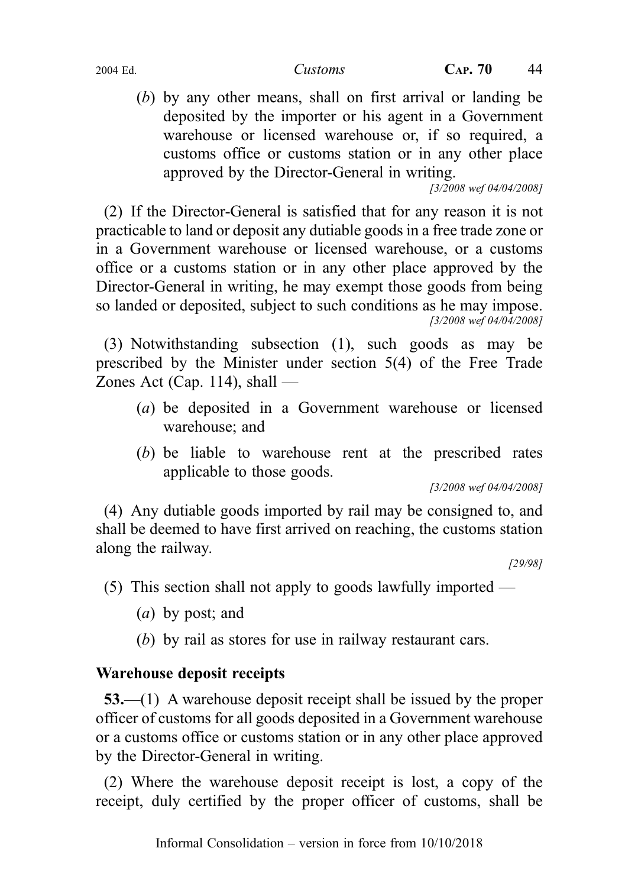(b) by any other means, shall on first arrival or landing be deposited by the importer or his agent in a Government warehouse or licensed warehouse or, if so required, a customs office or customs station or in any other place approved by the Director-General in writing.

[3/2008 wef 04/04/2008]

(2) If the Director-General is satisfied that for any reason it is not practicable to land or deposit any dutiable goods in a free trade zone or in a Government warehouse or licensed warehouse, or a customs office or a customs station or in any other place approved by the Director-General in writing, he may exempt those goods from being so landed or deposited, subject to such conditions as he may impose. [3/2008 wef 04/04/2008]

(3) Notwithstanding subsection (1), such goods as may be prescribed by the Minister under section 5(4) of the Free Trade Zones Act (Cap. 114), shall —

- (a) be deposited in a Government warehouse or licensed warehouse; and
- (b) be liable to warehouse rent at the prescribed rates applicable to those goods.

[3/2008 wef 04/04/2008]

(4) Any dutiable goods imported by rail may be consigned to, and shall be deemed to have first arrived on reaching, the customs station along the railway.

[29/98]

(5) This section shall not apply to goods lawfully imported —

- (a) by post; and
- (b) by rail as stores for use in railway restaurant cars.

# Warehouse deposit receipts

53.—(1) A warehouse deposit receipt shall be issued by the proper officer of customs for all goods deposited in a Government warehouse or a customs office or customs station or in any other place approved by the Director-General in writing.

(2) Where the warehouse deposit receipt is lost, a copy of the receipt, duly certified by the proper officer of customs, shall be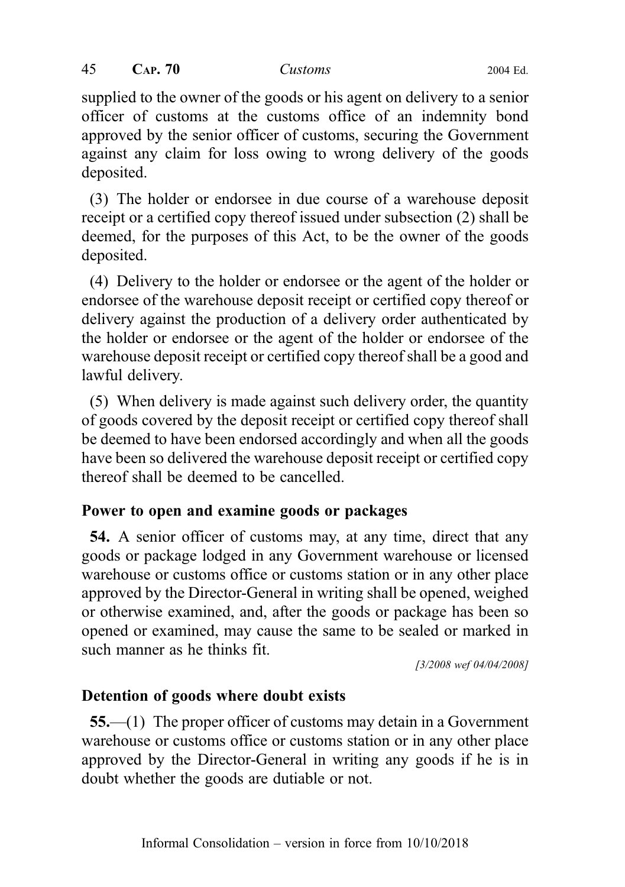supplied to the owner of the goods or his agent on delivery to a senior officer of customs at the customs office of an indemnity bond approved by the senior officer of customs, securing the Government against any claim for loss owing to wrong delivery of the goods deposited.

(3) The holder or endorsee in due course of a warehouse deposit receipt or a certified copy thereof issued under subsection (2) shall be deemed, for the purposes of this Act, to be the owner of the goods deposited.

(4) Delivery to the holder or endorsee or the agent of the holder or endorsee of the warehouse deposit receipt or certified copy thereof or delivery against the production of a delivery order authenticated by the holder or endorsee or the agent of the holder or endorsee of the warehouse deposit receipt or certified copy thereof shall be a good and lawful delivery.

(5) When delivery is made against such delivery order, the quantity of goods covered by the deposit receipt or certified copy thereof shall be deemed to have been endorsed accordingly and when all the goods have been so delivered the warehouse deposit receipt or certified copy thereof shall be deemed to be cancelled.

## Power to open and examine goods or packages

54. A senior officer of customs may, at any time, direct that any goods or package lodged in any Government warehouse or licensed warehouse or customs office or customs station or in any other place approved by the Director-General in writing shall be opened, weighed or otherwise examined, and, after the goods or package has been so opened or examined, may cause the same to be sealed or marked in such manner as he thinks fit.

[3/2008 wef 04/04/2008]

# Detention of goods where doubt exists

55.—(1) The proper officer of customs may detain in a Government warehouse or customs office or customs station or in any other place approved by the Director-General in writing any goods if he is in doubt whether the goods are dutiable or not.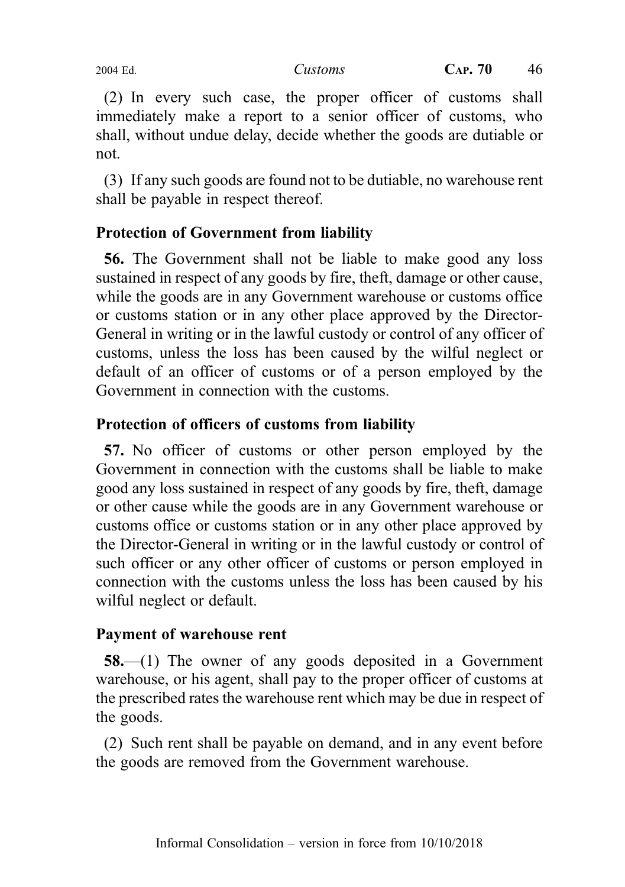(2) In every such case, the proper officer of customs shall immediately make a report to a senior officer of customs, who shall, without undue delay, decide whether the goods are dutiable or not.

(3) If any such goods are found not to be dutiable, no warehouse rent shall be payable in respect thereof.

# Protection of Government from liability

56. The Government shall not be liable to make good any loss sustained in respect of any goods by fire, theft, damage or other cause, while the goods are in any Government warehouse or customs office or customs station or in any other place approved by the Director-General in writing or in the lawful custody or control of any officer of customs, unless the loss has been caused by the wilful neglect or default of an officer of customs or of a person employed by the Government in connection with the customs.

# Protection of officers of customs from liability

57. No officer of customs or other person employed by the Government in connection with the customs shall be liable to make good any loss sustained in respect of any goods by fire, theft, damage or other cause while the goods are in any Government warehouse or customs office or customs station or in any other place approved by the Director-General in writing or in the lawful custody or control of such officer or any other officer of customs or person employed in connection with the customs unless the loss has been caused by his wilful neglect or default.

# Payment of warehouse rent

58.—(1) The owner of any goods deposited in a Government warehouse, or his agent, shall pay to the proper officer of customs at the prescribed rates the warehouse rent which may be due in respect of the goods.

(2) Such rent shall be payable on demand, and in any event before the goods are removed from the Government warehouse.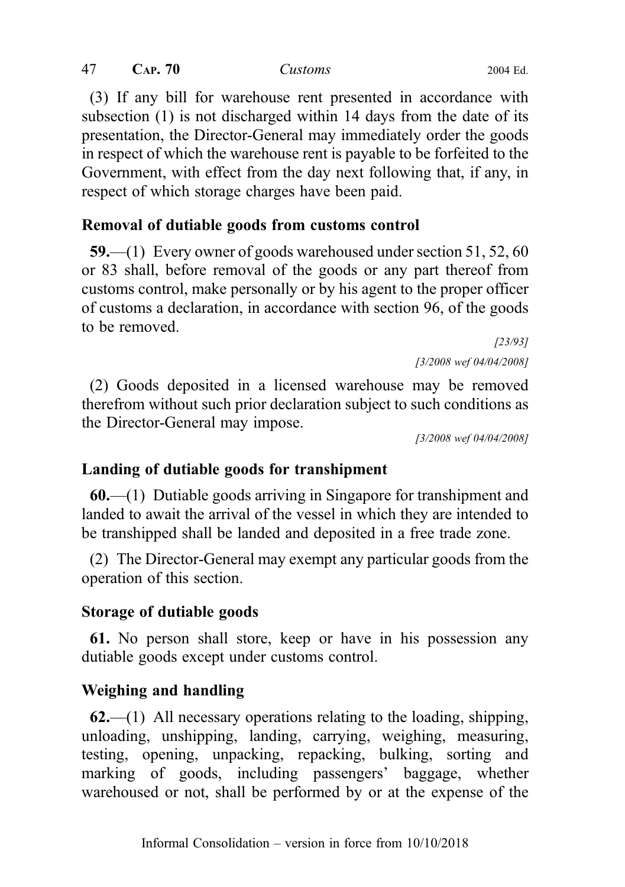(3) If any bill for warehouse rent presented in accordance with subsection (1) is not discharged within 14 days from the date of its presentation, the Director-General may immediately order the goods in respect of which the warehouse rent is payable to be forfeited to the Government, with effect from the day next following that, if any, in respect of which storage charges have been paid.

# Removal of dutiable goods from customs control

59.—(1) Every owner of goods warehoused under section 51, 52, 60 or 83 shall, before removal of the goods or any part thereof from customs control, make personally or by his agent to the proper officer of customs a declaration, in accordance with section 96, of the goods to be removed.

[23/93] [3/2008 wef 04/04/2008]

(2) Goods deposited in a licensed warehouse may be removed therefrom without such prior declaration subject to such conditions as the Director-General may impose.

[3/2008 wef 04/04/2008]

# Landing of dutiable goods for transhipment

60.—(1) Dutiable goods arriving in Singapore for transhipment and landed to await the arrival of the vessel in which they are intended to be transhipped shall be landed and deposited in a free trade zone.

(2) The Director-General may exempt any particular goods from the operation of this section.

# Storage of dutiable goods

61. No person shall store, keep or have in his possession any dutiable goods except under customs control.

# Weighing and handling

 $62$ ,—(1) All necessary operations relating to the loading, shipping, unloading, unshipping, landing, carrying, weighing, measuring, testing, opening, unpacking, repacking, bulking, sorting and marking of goods, including passengers' baggage, whether warehoused or not, shall be performed by or at the expense of the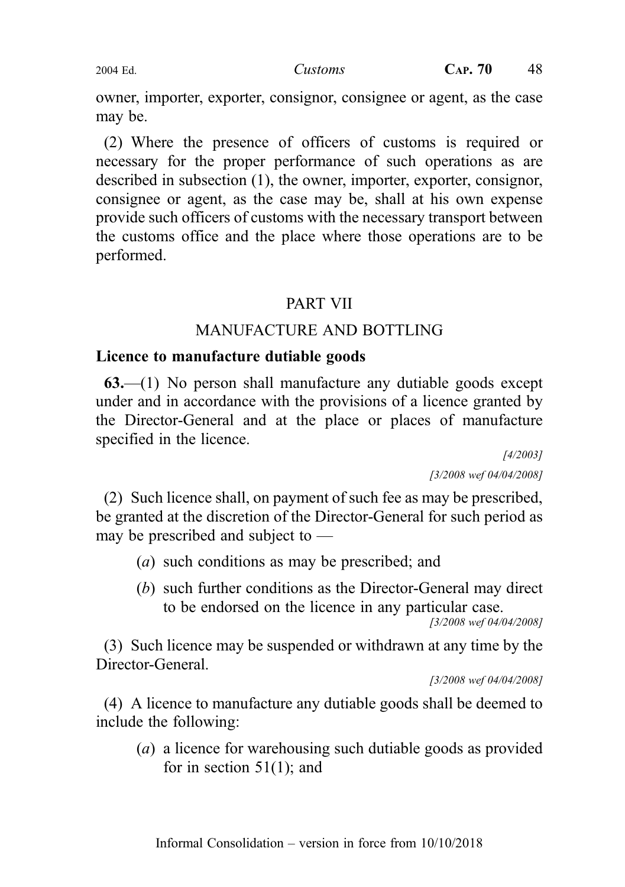owner, importer, exporter, consignor, consignee or agent, as the case may be.

(2) Where the presence of officers of customs is required or necessary for the proper performance of such operations as are described in subsection (1), the owner, importer, exporter, consignor, consignee or agent, as the case may be, shall at his own expense provide such officers of customs with the necessary transport between the customs office and the place where those operations are to be performed.

# PART VII

# MANUFACTURE AND BOTTLING

# Licence to manufacture dutiable goods

63.—(1) No person shall manufacture any dutiable goods except under and in accordance with the provisions of a licence granted by the Director-General and at the place or places of manufacture specified in the licence.

[4/2003] [3/2008 wef 04/04/2008]

(2) Such licence shall, on payment of such fee as may be prescribed, be granted at the discretion of the Director-General for such period as may be prescribed and subject to —

- (a) such conditions as may be prescribed; and
- (b) such further conditions as the Director-General may direct to be endorsed on the licence in any particular case.

[3/2008 wef 04/04/2008]

(3) Such licence may be suspended or withdrawn at any time by the Director-General.

[3/2008 wef 04/04/2008]

(4) A licence to manufacture any dutiable goods shall be deemed to include the following:

(a) a licence for warehousing such dutiable goods as provided for in section  $51(1)$ ; and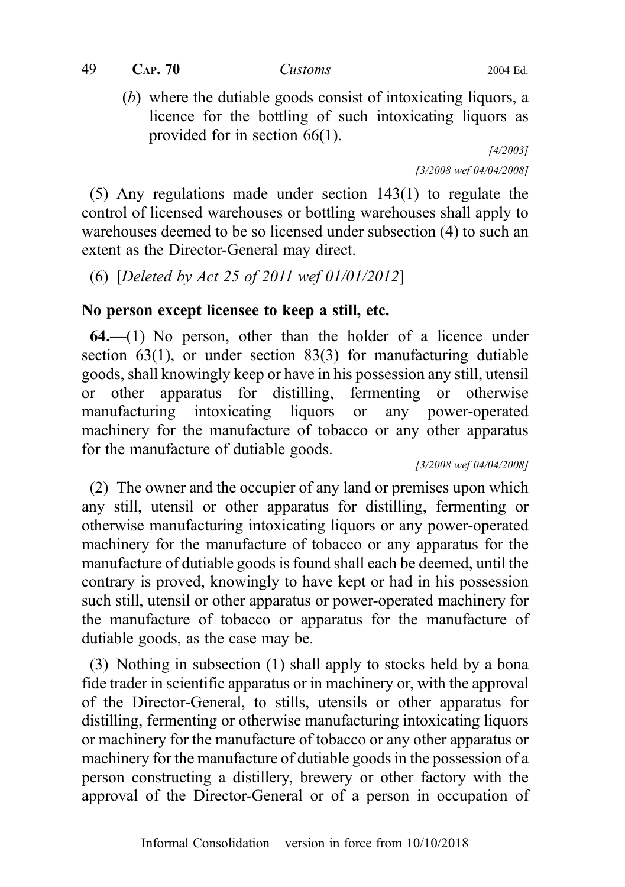$49$  CAP.  $70$  Customs 2004 Ed.

(b) where the dutiable goods consist of intoxicating liquors, a licence for the bottling of such intoxicating liquors as provided for in section 66(1).

[4/2003] [3/2008 wef 04/04/2008]

(5) Any regulations made under section 143(1) to regulate the control of licensed warehouses or bottling warehouses shall apply to warehouses deemed to be so licensed under subsection (4) to such an extent as the Director-General may direct.

(6) [Deleted by Act 25 of 2011 wef 01/01/2012]

## No person except licensee to keep a still, etc.

 $64$ —(1) No person, other than the holder of a licence under section 63(1), or under section 83(3) for manufacturing dutiable goods, shall knowingly keep or have in his possession any still, utensil or other apparatus for distilling, fermenting or otherwise manufacturing intoxicating liquors or any power-operated machinery for the manufacture of tobacco or any other apparatus for the manufacture of dutiable goods.

[3/2008 wef 04/04/2008]

(2) The owner and the occupier of any land or premises upon which any still, utensil or other apparatus for distilling, fermenting or otherwise manufacturing intoxicating liquors or any power-operated machinery for the manufacture of tobacco or any apparatus for the manufacture of dutiable goods is found shall each be deemed, until the contrary is proved, knowingly to have kept or had in his possession such still, utensil or other apparatus or power-operated machinery for the manufacture of tobacco or apparatus for the manufacture of dutiable goods, as the case may be.

(3) Nothing in subsection (1) shall apply to stocks held by a bona fide trader in scientific apparatus or in machinery or, with the approval of the Director-General, to stills, utensils or other apparatus for distilling, fermenting or otherwise manufacturing intoxicating liquors or machinery for the manufacture of tobacco or any other apparatus or machinery for the manufacture of dutiable goods in the possession of a person constructing a distillery, brewery or other factory with the approval of the Director-General or of a person in occupation of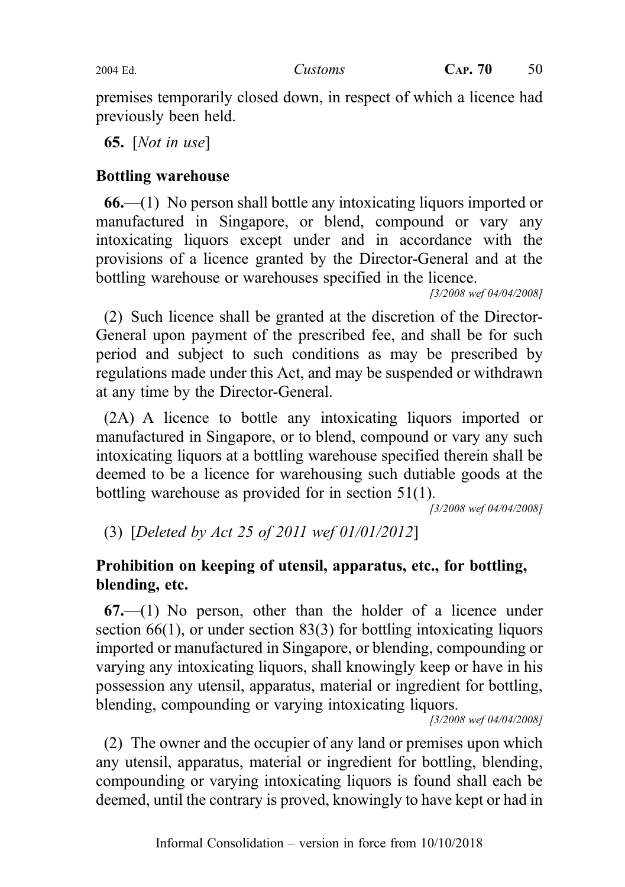premises temporarily closed down, in respect of which a licence had previously been held.

**65.** [*Not in use*]

# Bottling warehouse

66.—(1) No person shall bottle any intoxicating liquors imported or manufactured in Singapore, or blend, compound or vary any intoxicating liquors except under and in accordance with the provisions of a licence granted by the Director-General and at the bottling warehouse or warehouses specified in the licence.

[3/2008 wef 04/04/2008]

(2) Such licence shall be granted at the discretion of the Director-General upon payment of the prescribed fee, and shall be for such period and subject to such conditions as may be prescribed by regulations made under this Act, and may be suspended or withdrawn at any time by the Director-General.

(2A) A licence to bottle any intoxicating liquors imported or manufactured in Singapore, or to blend, compound or vary any such intoxicating liquors at a bottling warehouse specified therein shall be deemed to be a licence for warehousing such dutiable goods at the bottling warehouse as provided for in section 51(1).

[3/2008 wef 04/04/2008]

(3) [Deleted by Act 25 of 2011 wef 01/01/2012]

# Prohibition on keeping of utensil, apparatus, etc., for bottling, blending, etc.

 $67$ —(1) No person, other than the holder of a licence under section 66(1), or under section 83(3) for bottling intoxicating liquors imported or manufactured in Singapore, or blending, compounding or varying any intoxicating liquors, shall knowingly keep or have in his possession any utensil, apparatus, material or ingredient for bottling, blending, compounding or varying intoxicating liquors.

[3/2008 wef 04/04/2008]

(2) The owner and the occupier of any land or premises upon which any utensil, apparatus, material or ingredient for bottling, blending, compounding or varying intoxicating liquors is found shall each be deemed, until the contrary is proved, knowingly to have kept or had in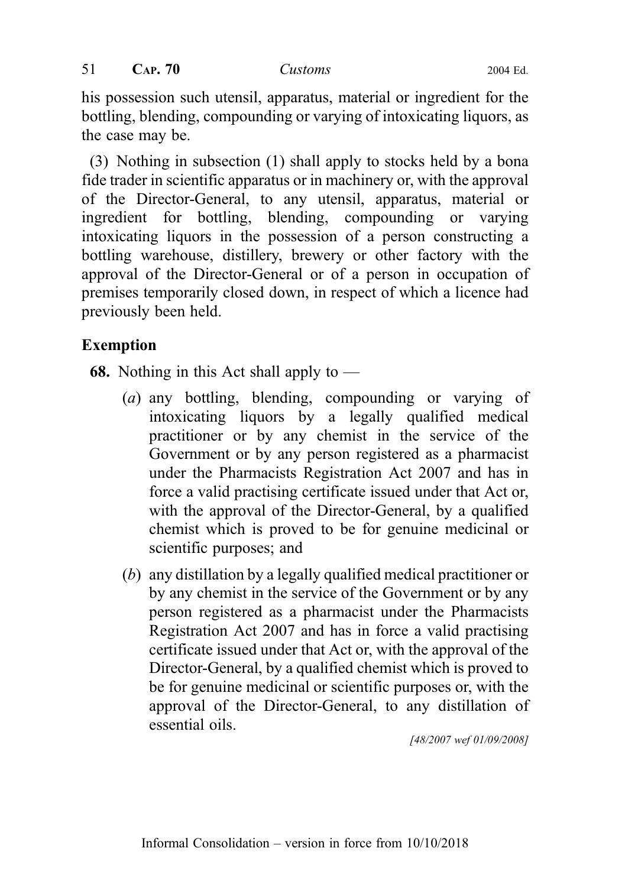his possession such utensil, apparatus, material or ingredient for the bottling, blending, compounding or varying of intoxicating liquors, as the case may be.

(3) Nothing in subsection (1) shall apply to stocks held by a bona fide trader in scientific apparatus or in machinery or, with the approval of the Director-General, to any utensil, apparatus, material or ingredient for bottling, blending, compounding or varying intoxicating liquors in the possession of a person constructing a bottling warehouse, distillery, brewery or other factory with the approval of the Director-General or of a person in occupation of premises temporarily closed down, in respect of which a licence had previously been held.

# Exemption

**68.** Nothing in this Act shall apply to  $-$ 

- (a) any bottling, blending, compounding or varying of intoxicating liquors by a legally qualified medical practitioner or by any chemist in the service of the Government or by any person registered as a pharmacist under the Pharmacists Registration Act 2007 and has in force a valid practising certificate issued under that Act or, with the approval of the Director-General, by a qualified chemist which is proved to be for genuine medicinal or scientific purposes; and
- (b) any distillation by a legally qualified medical practitioner or by any chemist in the service of the Government or by any person registered as a pharmacist under the Pharmacists Registration Act 2007 and has in force a valid practising certificate issued under that Act or, with the approval of the Director-General, by a qualified chemist which is proved to be for genuine medicinal or scientific purposes or, with the approval of the Director-General, to any distillation of essential oils.

[48/2007 wef 01/09/2008]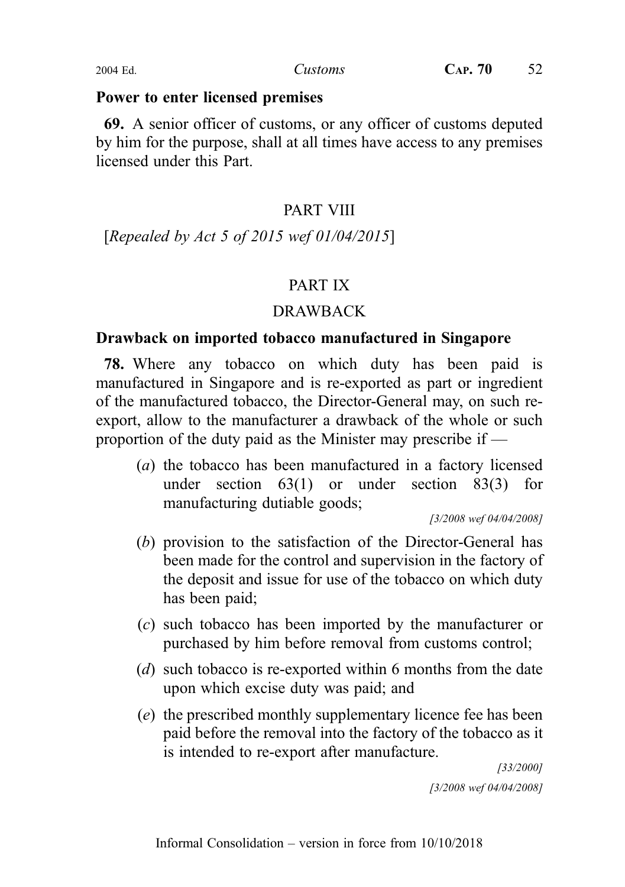#### Power to enter licensed premises

69. A senior officer of customs, or any officer of customs deputed by him for the purpose, shall at all times have access to any premises licensed under this Part.

# PART VIII

[Repealed by Act 5 of 2015 wef 01/04/2015]

# PART IX

# DRAWBACK

# Drawback on imported tobacco manufactured in Singapore

78. Where any tobacco on which duty has been paid is manufactured in Singapore and is re-exported as part or ingredient of the manufactured tobacco, the Director-General may, on such reexport, allow to the manufacturer a drawback of the whole or such proportion of the duty paid as the Minister may prescribe if —

(a) the tobacco has been manufactured in a factory licensed under section 63(1) or under section 83(3) for manufacturing dutiable goods;

[3/2008 wef 04/04/2008]

- (b) provision to the satisfaction of the Director-General has been made for the control and supervision in the factory of the deposit and issue for use of the tobacco on which duty has been paid;
- (c) such tobacco has been imported by the manufacturer or purchased by him before removal from customs control;
- (d) such tobacco is re-exported within 6 months from the date upon which excise duty was paid; and
- (e) the prescribed monthly supplementary licence fee has been paid before the removal into the factory of the tobacco as it is intended to re-export after manufacture.

[33/2000] [3/2008 wef 04/04/2008]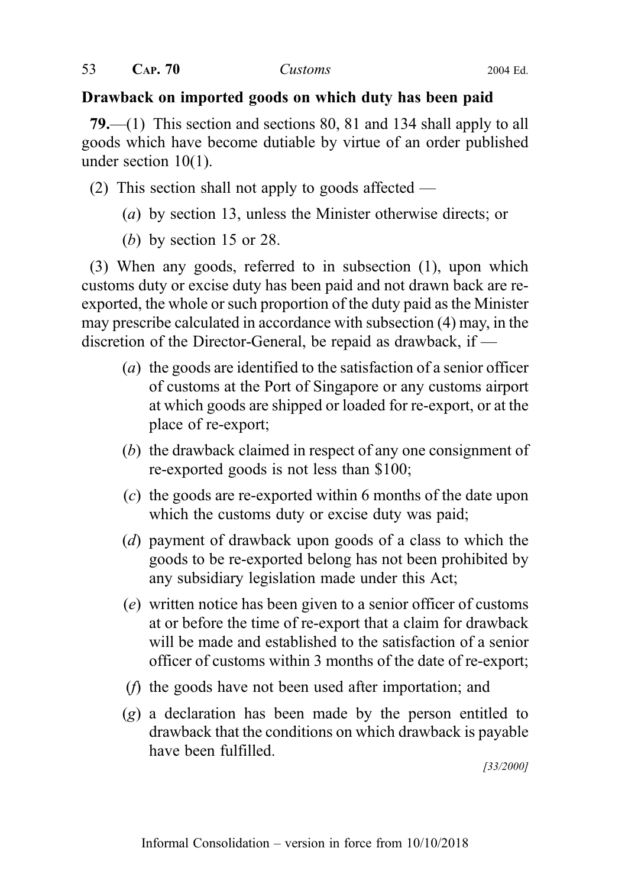#### Drawback on imported goods on which duty has been paid

79.—(1) This section and sections 80, 81 and 134 shall apply to all goods which have become dutiable by virtue of an order published under section 10(1).

(2) This section shall not apply to goods affected —

- (a) by section 13, unless the Minister otherwise directs; or
- (b) by section 15 or 28.

(3) When any goods, referred to in subsection (1), upon which customs duty or excise duty has been paid and not drawn back are reexported, the whole or such proportion of the duty paid as the Minister may prescribe calculated in accordance with subsection (4) may, in the discretion of the Director-General, be repaid as drawback, if —

- (a) the goods are identified to the satisfaction of a senior officer of customs at the Port of Singapore or any customs airport at which goods are shipped or loaded for re-export, or at the place of re-export;
- (b) the drawback claimed in respect of any one consignment of re-exported goods is not less than \$100;
- (c) the goods are re-exported within 6 months of the date upon which the customs duty or excise duty was paid;
- (d) payment of drawback upon goods of a class to which the goods to be re-exported belong has not been prohibited by any subsidiary legislation made under this Act;
- (e) written notice has been given to a senior officer of customs at or before the time of re-export that a claim for drawback will be made and established to the satisfaction of a senior officer of customs within 3 months of the date of re-export;
- (f) the goods have not been used after importation; and
- (g) a declaration has been made by the person entitled to drawback that the conditions on which drawback is payable have been fulfilled.

[33/2000]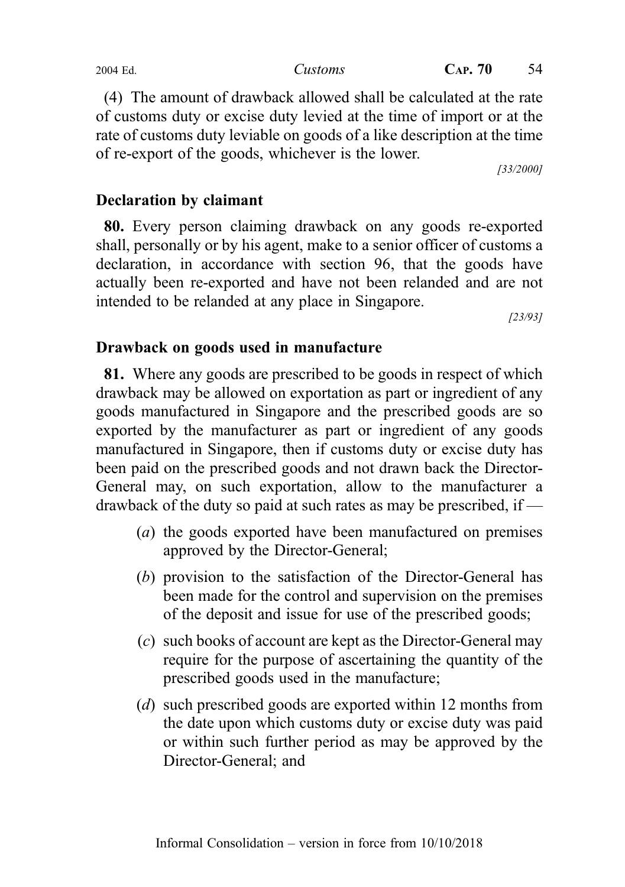(4) The amount of drawback allowed shall be calculated at the rate of customs duty or excise duty levied at the time of import or at the rate of customs duty leviable on goods of a like description at the time of re-export of the goods, whichever is the lower.

[33/2000]

### Declaration by claimant

80. Every person claiming drawback on any goods re-exported shall, personally or by his agent, make to a senior officer of customs a declaration, in accordance with section 96, that the goods have actually been re-exported and have not been relanded and are not intended to be relanded at any place in Singapore.

[23/93]

#### Drawback on goods used in manufacture

81. Where any goods are prescribed to be goods in respect of which drawback may be allowed on exportation as part or ingredient of any goods manufactured in Singapore and the prescribed goods are so exported by the manufacturer as part or ingredient of any goods manufactured in Singapore, then if customs duty or excise duty has been paid on the prescribed goods and not drawn back the Director-General may, on such exportation, allow to the manufacturer a drawback of the duty so paid at such rates as may be prescribed, if —

- (a) the goods exported have been manufactured on premises approved by the Director-General;
- (b) provision to the satisfaction of the Director-General has been made for the control and supervision on the premises of the deposit and issue for use of the prescribed goods;
- (c) such books of account are kept as the Director-General may require for the purpose of ascertaining the quantity of the prescribed goods used in the manufacture;
- (d) such prescribed goods are exported within 12 months from the date upon which customs duty or excise duty was paid or within such further period as may be approved by the Director-General; and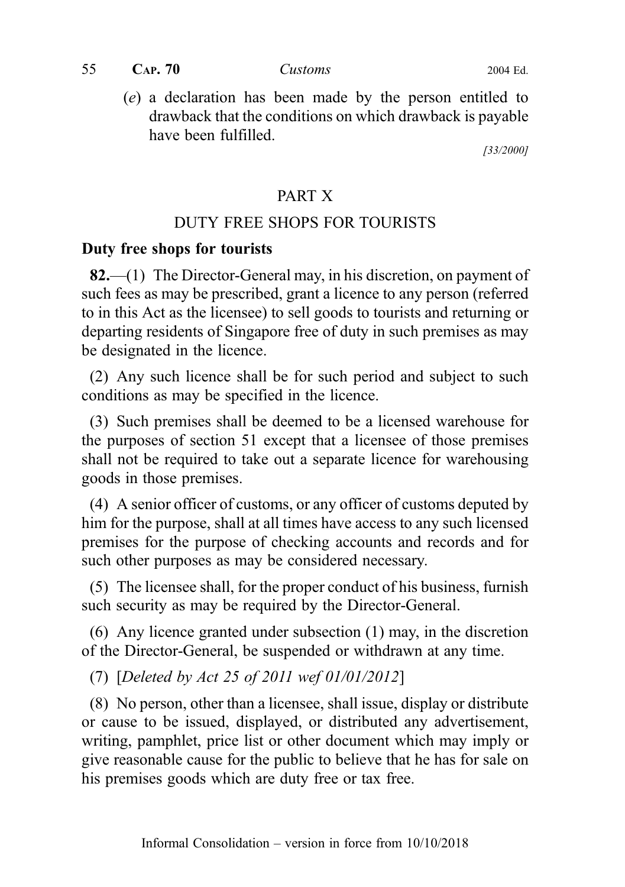(e) a declaration has been made by the person entitled to drawback that the conditions on which drawback is payable have been fulfilled.

[33/2000]

# PART X

# DUTY FREE SHOPS FOR TOURISTS

#### Duty free shops for tourists

82.—(1) The Director-General may, in his discretion, on payment of such fees as may be prescribed, grant a licence to any person (referred to in this Act as the licensee) to sell goods to tourists and returning or departing residents of Singapore free of duty in such premises as may be designated in the licence.

(2) Any such licence shall be for such period and subject to such conditions as may be specified in the licence.

(3) Such premises shall be deemed to be a licensed warehouse for the purposes of section 51 except that a licensee of those premises shall not be required to take out a separate licence for warehousing goods in those premises.

(4) A senior officer of customs, or any officer of customs deputed by him for the purpose, shall at all times have access to any such licensed premises for the purpose of checking accounts and records and for such other purposes as may be considered necessary.

(5) The licensee shall, for the proper conduct of his business, furnish such security as may be required by the Director-General.

(6) Any licence granted under subsection (1) may, in the discretion of the Director-General, be suspended or withdrawn at any time.

(7) [Deleted by Act 25 of 2011 wef 01/01/2012]

(8) No person, other than a licensee, shall issue, display or distribute or cause to be issued, displayed, or distributed any advertisement, writing, pamphlet, price list or other document which may imply or give reasonable cause for the public to believe that he has for sale on his premises goods which are duty free or tax free.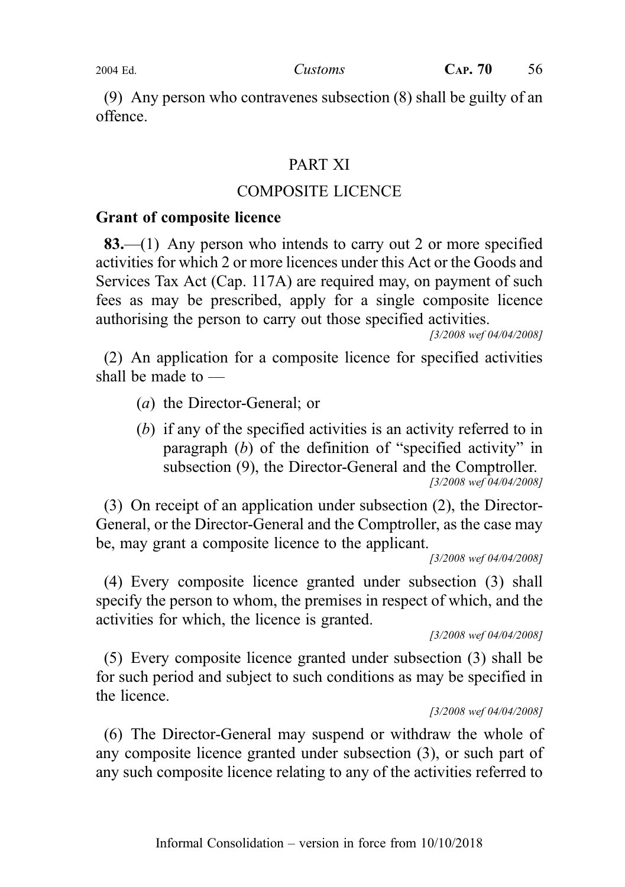(9) Any person who contravenes subsection (8) shall be guilty of an offence.

### PART XI

#### COMPOSITE LICENCE

#### Grant of composite licence

83.—(1) Any person who intends to carry out 2 or more specified activities for which 2 or more licences under this Act or the Goods and Services Tax Act (Cap. 117A) are required may, on payment of such fees as may be prescribed, apply for a single composite licence authorising the person to carry out those specified activities.

[3/2008 wef 04/04/2008]

(2) An application for a composite licence for specified activities shall be made to —

- (a) the Director-General; or
- (b) if any of the specified activities is an activity referred to in paragraph (b) of the definition of "specified activity" in subsection (9), the Director-General and the Comptroller. [3/2008 wef 04/04/2008]

(3) On receipt of an application under subsection (2), the Director-General, or the Director-General and the Comptroller, as the case may be, may grant a composite licence to the applicant.

[3/2008 wef 04/04/2008]

(4) Every composite licence granted under subsection (3) shall specify the person to whom, the premises in respect of which, and the activities for which, the licence is granted.

[3/2008 wef 04/04/2008]

(5) Every composite licence granted under subsection (3) shall be for such period and subject to such conditions as may be specified in the licence.

[3/2008 wef 04/04/2008]

(6) The Director-General may suspend or withdraw the whole of any composite licence granted under subsection (3), or such part of any such composite licence relating to any of the activities referred to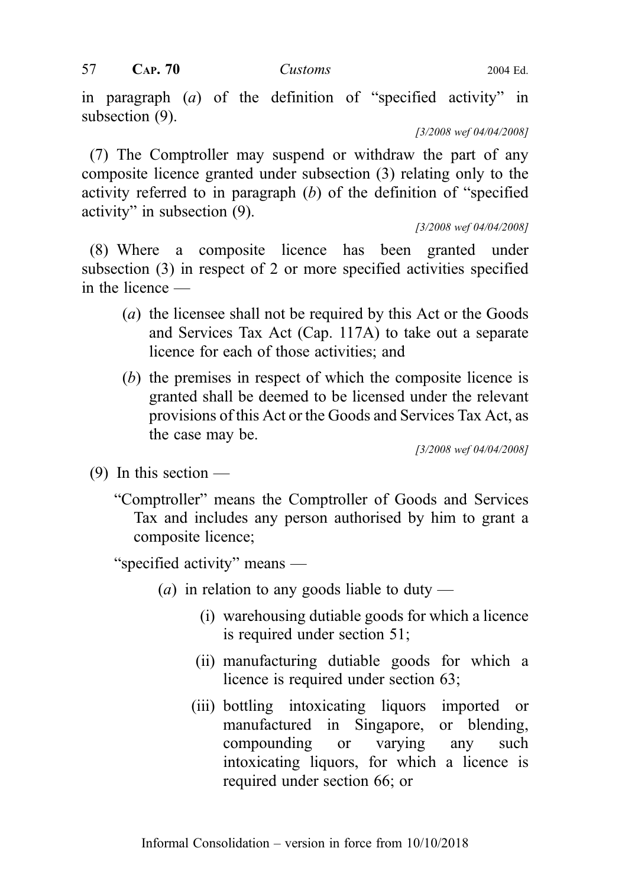in paragraph (a) of the definition of "specified activity" in subsection (9).

[3/2008 wef 04/04/2008]

(7) The Comptroller may suspend or withdraw the part of any composite licence granted under subsection (3) relating only to the activity referred to in paragraph  $(b)$  of the definition of "specified" activity" in subsection (9).

[3/2008 wef 04/04/2008]

(8) Where a composite licence has been granted under subsection (3) in respect of 2 or more specified activities specified in the licence —

- (a) the licensee shall not be required by this Act or the Goods and Services Tax Act (Cap. 117A) to take out a separate licence for each of those activities; and
- (b) the premises in respect of which the composite licence is granted shall be deemed to be licensed under the relevant provisions of this Act or the Goods and Services Tax Act, as the case may be.

[3/2008 wef 04/04/2008]

- (9) In this section  $-$ 
	- "Comptroller" means the Comptroller of Goods and Services Tax and includes any person authorised by him to grant a composite licence;

"specified activity" means —

- (*a*) in relation to any goods liable to duty
	- (i) warehousing dutiable goods for which a licence is required under section 51;
	- (ii) manufacturing dutiable goods for which a licence is required under section 63;
	- (iii) bottling intoxicating liquors imported or manufactured in Singapore, or blending, compounding or varying any such intoxicating liquors, for which a licence is required under section 66; or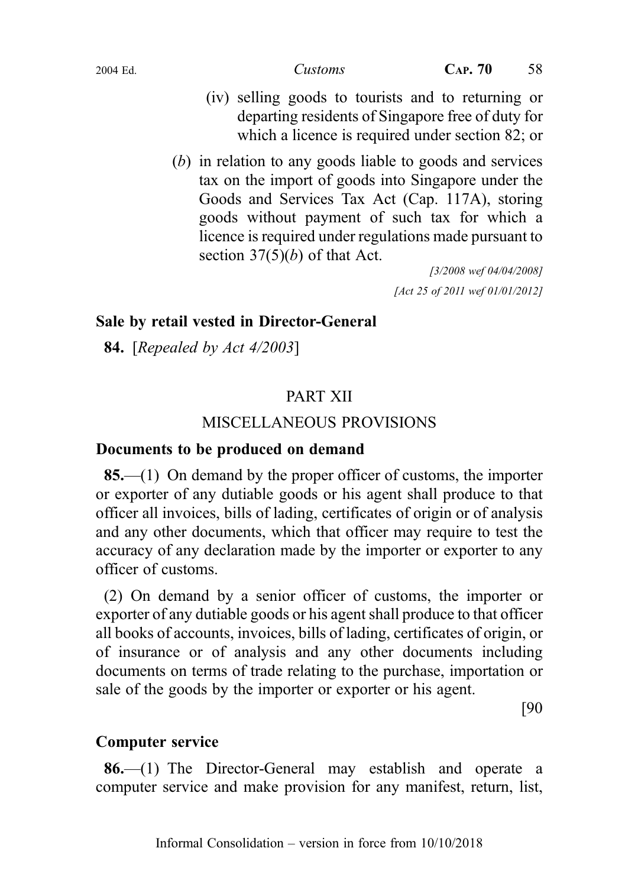- (iv) selling goods to tourists and to returning or departing residents of Singapore free of duty for which a licence is required under section 82; or
- (b) in relation to any goods liable to goods and services tax on the import of goods into Singapore under the Goods and Services Tax Act (Cap. 117A), storing goods without payment of such tax for which a licence is required under regulations made pursuant to section  $37(5)(b)$  of that Act.

[3/2008 wef 04/04/2008] [Act 25 of 2011 wef 01/01/2012]

## Sale by retail vested in Director-General

**84.** [Repealed by Act 4/2003]

# PART XII

# MISCELLANEOUS PROVISIONS

## Documents to be produced on demand

85.—(1) On demand by the proper officer of customs, the importer or exporter of any dutiable goods or his agent shall produce to that officer all invoices, bills of lading, certificates of origin or of analysis and any other documents, which that officer may require to test the accuracy of any declaration made by the importer or exporter to any officer of customs.

(2) On demand by a senior officer of customs, the importer or exporter of any dutiable goods or his agent shall produce to that officer all books of accounts, invoices, bills of lading, certificates of origin, or of insurance or of analysis and any other documents including documents on terms of trade relating to the purchase, importation or sale of the goods by the importer or exporter or his agent.

[90

## Computer service

86.—(1) The Director-General may establish and operate a computer service and make provision for any manifest, return, list,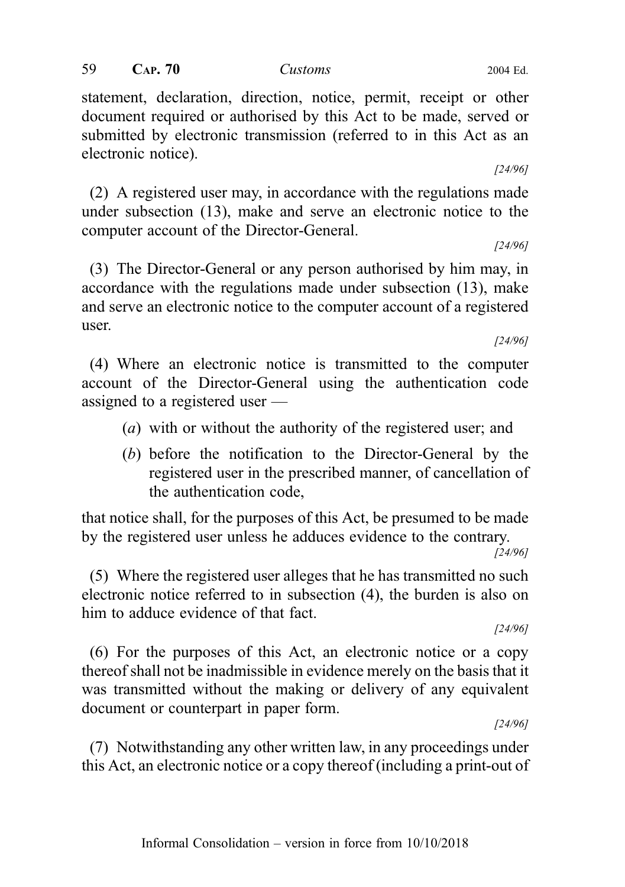statement, declaration, direction, notice, permit, receipt or other document required or authorised by this Act to be made, served or submitted by electronic transmission (referred to in this Act as an electronic notice).

(2) A registered user may, in accordance with the regulations made under subsection (13), make and serve an electronic notice to the computer account of the Director-General.

(3) The Director-General or any person authorised by him may, in accordance with the regulations made under subsection (13), make and serve an electronic notice to the computer account of a registered user.

(4) Where an electronic notice is transmitted to the computer account of the Director-General using the authentication code assigned to a registered user —

- (a) with or without the authority of the registered user; and
- (b) before the notification to the Director-General by the registered user in the prescribed manner, of cancellation of the authentication code,

that notice shall, for the purposes of this Act, be presumed to be made by the registered user unless he adduces evidence to the contrary.

[24/96]

(5) Where the registered user alleges that he has transmitted no such electronic notice referred to in subsection (4), the burden is also on him to adduce evidence of that fact.

[24/96]

(6) For the purposes of this Act, an electronic notice or a copy thereof shall not be inadmissible in evidence merely on the basis that it was transmitted without the making or delivery of any equivalent document or counterpart in paper form.

[24/96]

(7) Notwithstanding any other written law, in any proceedings under this Act, an electronic notice or a copy thereof (including a print-out of

[24/96]

[24/96]

[24/96]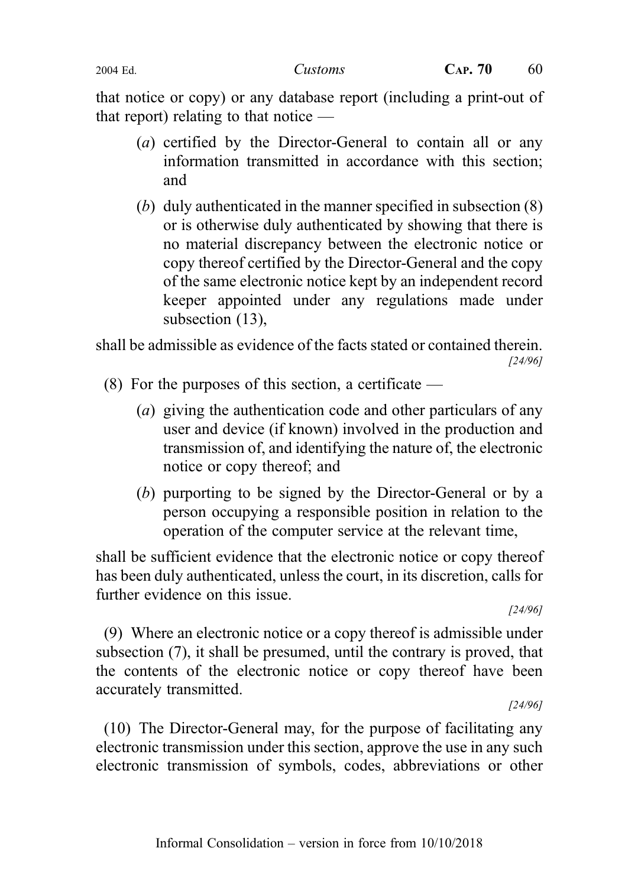that notice or copy) or any database report (including a print-out of that report) relating to that notice —

- (a) certified by the Director-General to contain all or any information transmitted in accordance with this section; and
- (b) duly authenticated in the manner specified in subsection (8) or is otherwise duly authenticated by showing that there is no material discrepancy between the electronic notice or copy thereof certified by the Director-General and the copy of the same electronic notice kept by an independent record keeper appointed under any regulations made under subsection (13),

shall be admissible as evidence of the facts stated or contained therein. [24/96]

- (8) For the purposes of this section, a certificate
	- (a) giving the authentication code and other particulars of any user and device (if known) involved in the production and transmission of, and identifying the nature of, the electronic notice or copy thereof; and
	- (b) purporting to be signed by the Director-General or by a person occupying a responsible position in relation to the operation of the computer service at the relevant time,

shall be sufficient evidence that the electronic notice or copy thereof has been duly authenticated, unless the court, in its discretion, calls for further evidence on this issue.

[24/96]

(9) Where an electronic notice or a copy thereof is admissible under subsection (7), it shall be presumed, until the contrary is proved, that the contents of the electronic notice or copy thereof have been accurately transmitted.

[24/96]

(10) The Director-General may, for the purpose of facilitating any electronic transmission under this section, approve the use in any such electronic transmission of symbols, codes, abbreviations or other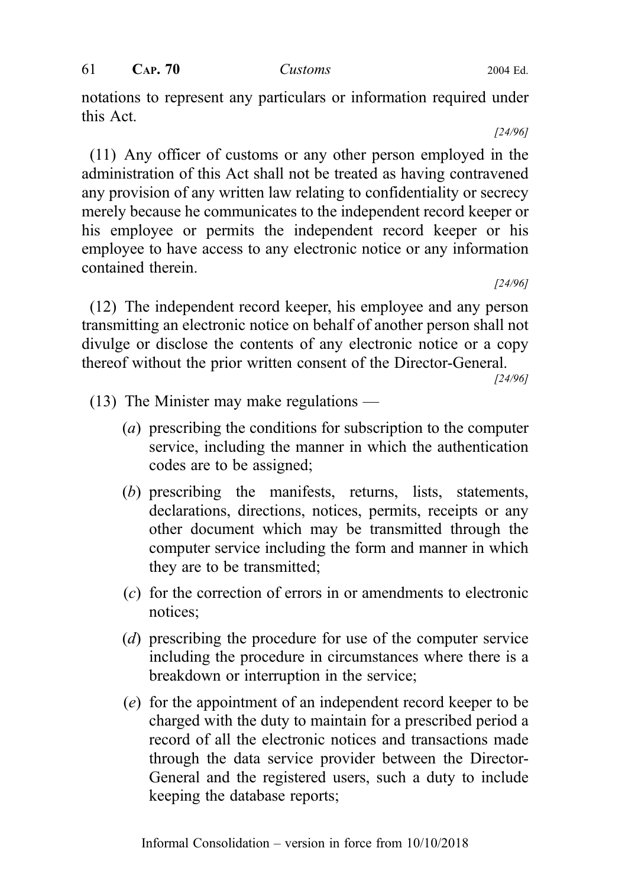notations to represent any particulars or information required under this Act.

[24/96]

(11) Any officer of customs or any other person employed in the administration of this Act shall not be treated as having contravened any provision of any written law relating to confidentiality or secrecy merely because he communicates to the independent record keeper or his employee or permits the independent record keeper or his employee to have access to any electronic notice or any information contained therein.

[24/96]

(12) The independent record keeper, his employee and any person transmitting an electronic notice on behalf of another person shall not divulge or disclose the contents of any electronic notice or a copy thereof without the prior written consent of the Director-General.

[24/96]

- (13) The Minister may make regulations
	- (a) prescribing the conditions for subscription to the computer service, including the manner in which the authentication codes are to be assigned;
	- (b) prescribing the manifests, returns, lists, statements, declarations, directions, notices, permits, receipts or any other document which may be transmitted through the computer service including the form and manner in which they are to be transmitted;
	- (c) for the correction of errors in or amendments to electronic notices;
	- (d) prescribing the procedure for use of the computer service including the procedure in circumstances where there is a breakdown or interruption in the service;
	- (e) for the appointment of an independent record keeper to be charged with the duty to maintain for a prescribed period a record of all the electronic notices and transactions made through the data service provider between the Director-General and the registered users, such a duty to include keeping the database reports;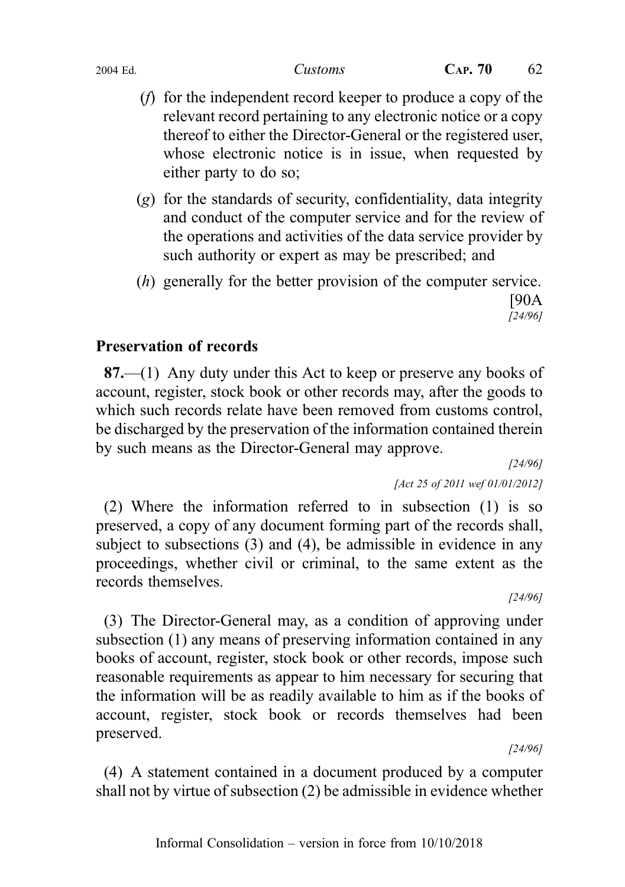- (f) for the independent record keeper to produce a copy of the relevant record pertaining to any electronic notice or a copy thereof to either the Director-General or the registered user, whose electronic notice is in issue, when requested by either party to do so;
- (g) for the standards of security, confidentiality, data integrity and conduct of the computer service and for the review of the operations and activities of the data service provider by such authority or expert as may be prescribed; and
- (h) generally for the better provision of the computer service. [90A

### [24/96]

# Preservation of records

87.—(1) Any duty under this Act to keep or preserve any books of account, register, stock book or other records may, after the goods to which such records relate have been removed from customs control, be discharged by the preservation of the information contained therein by such means as the Director-General may approve.

[24/96]

[Act 25 of 2011 wef 01/01/2012]

(2) Where the information referred to in subsection (1) is so preserved, a copy of any document forming part of the records shall, subject to subsections (3) and (4), be admissible in evidence in any proceedings, whether civil or criminal, to the same extent as the records themselves.

[24/96]

(3) The Director-General may, as a condition of approving under subsection (1) any means of preserving information contained in any books of account, register, stock book or other records, impose such reasonable requirements as appear to him necessary for securing that the information will be as readily available to him as if the books of account, register, stock book or records themselves had been preserved.

[24/96]

(4) A statement contained in a document produced by a computer shall not by virtue of subsection (2) be admissible in evidence whether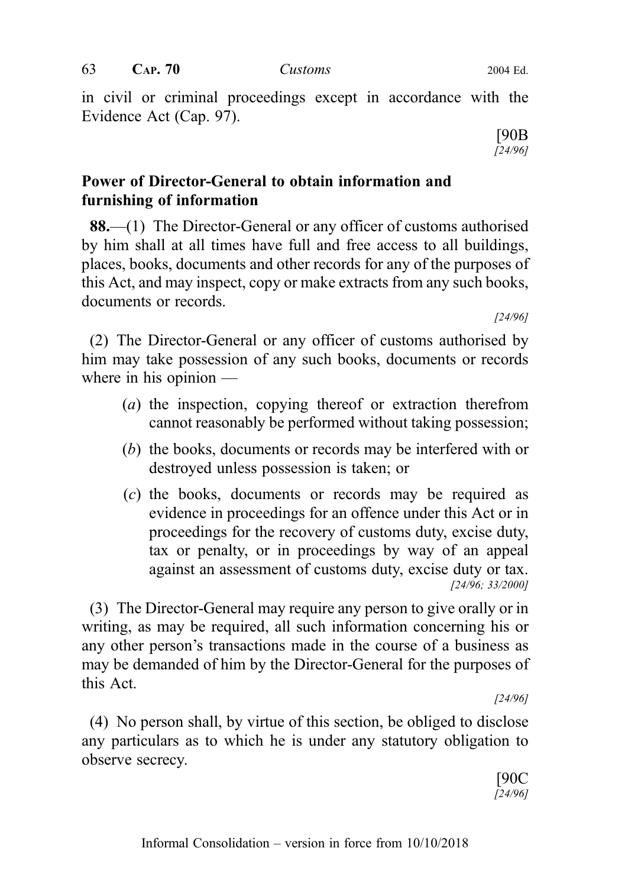in civil or criminal proceedings except in accordance with the Evidence Act (Cap. 97).

> [90B [24/96]

# Power of Director-General to obtain information and furnishing of information

88.—(1) The Director-General or any officer of customs authorised by him shall at all times have full and free access to all buildings, places, books, documents and other records for any of the purposes of this Act, and may inspect, copy or make extracts from any such books, documents or records.

[24/96]

(2) The Director-General or any officer of customs authorised by him may take possession of any such books, documents or records where in his opinion —

- (a) the inspection, copying thereof or extraction therefrom cannot reasonably be performed without taking possession;
- (b) the books, documents or records may be interfered with or destroyed unless possession is taken; or
- (c) the books, documents or records may be required as evidence in proceedings for an offence under this Act or in proceedings for the recovery of customs duty, excise duty, tax or penalty, or in proceedings by way of an appeal against an assessment of customs duty, excise duty or tax. [24/96; 33/2000]

(3) The Director-General may require any person to give orally or in writing, as may be required, all such information concerning his or any other person's transactions made in the course of a business as may be demanded of him by the Director-General for the purposes of this Act.

[24/96]

(4) No person shall, by virtue of this section, be obliged to disclose any particulars as to which he is under any statutory obligation to observe secrecy.

> [90C [24/96]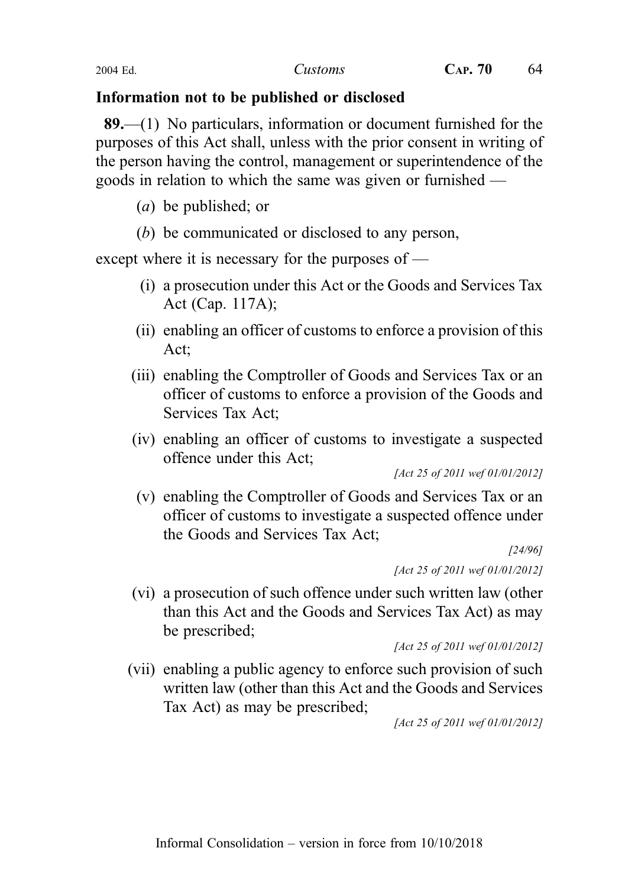# Information not to be published or disclosed

89.—(1) No particulars, information or document furnished for the purposes of this Act shall, unless with the prior consent in writing of the person having the control, management or superintendence of the goods in relation to which the same was given or furnished —

- (a) be published; or
- (b) be communicated or disclosed to any person,

except where it is necessary for the purposes of —

- (i) a prosecution under this Act or the Goods and Services Tax Act (Cap. 117A);
- (ii) enabling an officer of customs to enforce a provision of this Act;
- (iii) enabling the Comptroller of Goods and Services Tax or an officer of customs to enforce a provision of the Goods and Services Tax Act;
- (iv) enabling an officer of customs to investigate a suspected offence under this Act;

[Act 25 of 2011 wef 01/01/2012]

(v) enabling the Comptroller of Goods and Services Tax or an officer of customs to investigate a suspected offence under the Goods and Services Tax Act;

[24/96] [Act 25 of 2011 wef 01/01/2012]

(vi) a prosecution of such offence under such written law (other than this Act and the Goods and Services Tax Act) as may be prescribed;

[Act 25 of 2011 wef 01/01/2012]

(vii) enabling a public agency to enforce such provision of such written law (other than this Act and the Goods and Services Tax Act) as may be prescribed;

[Act 25 of 2011 wef 01/01/2012]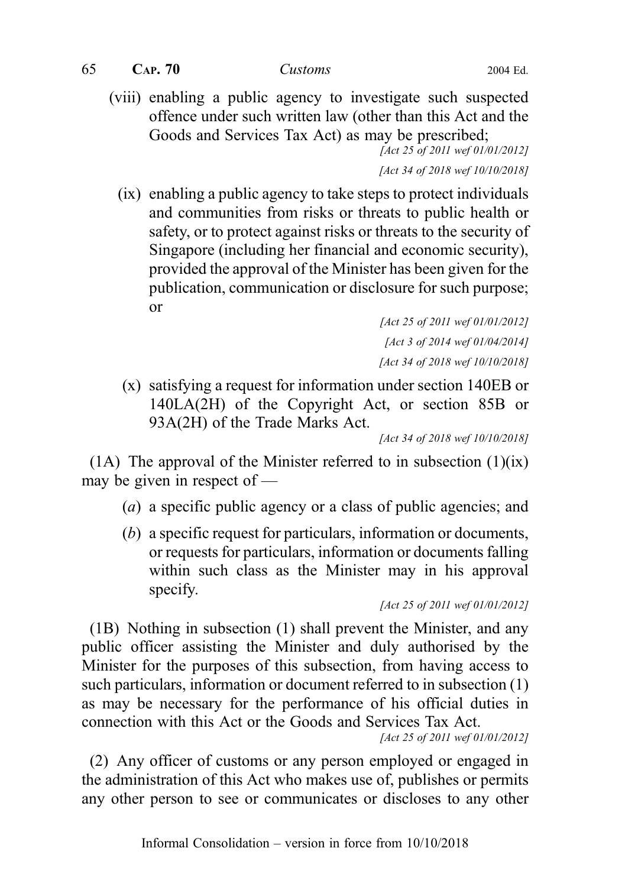$65$  CAP.  $70$  Customs 2004 Ed.

(viii) enabling a public agency to investigate such suspected offence under such written law (other than this Act and the Goods and Services Tax Act) as may be prescribed;

[Act 25 of 2011 wef 01/01/2012]

[Act 34 of 2018 wef 10/10/2018]

(ix) enabling a public agency to take steps to protect individuals and communities from risks or threats to public health or safety, or to protect against risks or threats to the security of Singapore (including her financial and economic security), provided the approval of the Minister has been given for the publication, communication or disclosure for such purpose; or

> [Act 25 of 2011 wef 01/01/2012] [Act 3 of 2014 wef 01/04/2014] [Act 34 of 2018 wef 10/10/2018]

(x) satisfying a request for information under section 140EB or 140LA(2H) of the Copyright Act, or section 85B or 93A(2H) of the Trade Marks Act.

[Act 34 of 2018 wef 10/10/2018]

(1A) The approval of the Minister referred to in subsection  $(1)(ix)$ may be given in respect of —

- (a) a specific public agency or a class of public agencies; and
- (b) a specific request for particulars, information or documents, or requests for particulars, information or documents falling within such class as the Minister may in his approval specify.

[Act 25 of 2011 wef 01/01/2012]

(1B) Nothing in subsection (1) shall prevent the Minister, and any public officer assisting the Minister and duly authorised by the Minister for the purposes of this subsection, from having access to such particulars, information or document referred to in subsection (1) as may be necessary for the performance of his official duties in connection with this Act or the Goods and Services Tax Act.

[Act 25 of 2011 wef 01/01/2012]

(2) Any officer of customs or any person employed or engaged in the administration of this Act who makes use of, publishes or permits any other person to see or communicates or discloses to any other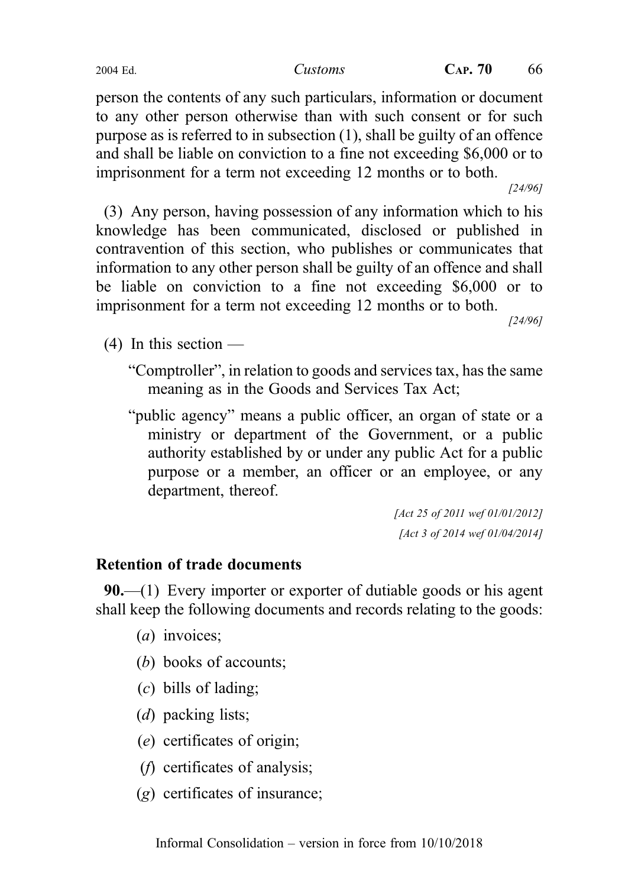person the contents of any such particulars, information or document to any other person otherwise than with such consent or for such purpose as is referred to in subsection (1), shall be guilty of an offence and shall be liable on conviction to a fine not exceeding \$6,000 or to imprisonment for a term not exceeding 12 months or to both.

[24/96]

(3) Any person, having possession of any information which to his knowledge has been communicated, disclosed or published in contravention of this section, who publishes or communicates that information to any other person shall be guilty of an offence and shall be liable on conviction to a fine not exceeding \$6,000 or to imprisonment for a term not exceeding 12 months or to both.

[24/96]

 $(4)$  In this section —

"Comptroller", in relation to goods and services tax, has the same meaning as in the Goods and Services Tax Act;

"public agency" means a public officer, an organ of state or a ministry or department of the Government, or a public authority established by or under any public Act for a public purpose or a member, an officer or an employee, or any department, thereof.

> [Act 25 of 2011 wef 01/01/2012] [Act 3 of 2014 wef 01/04/2014]

# Retention of trade documents

90.—(1) Every importer or exporter of dutiable goods or his agent shall keep the following documents and records relating to the goods:

- (*a*) invoices;
- (b) books of accounts;
- (c) bills of lading;
- (*d*) packing lists;
- (e) certificates of origin;
- (f) certificates of analysis;
- (g) certificates of insurance;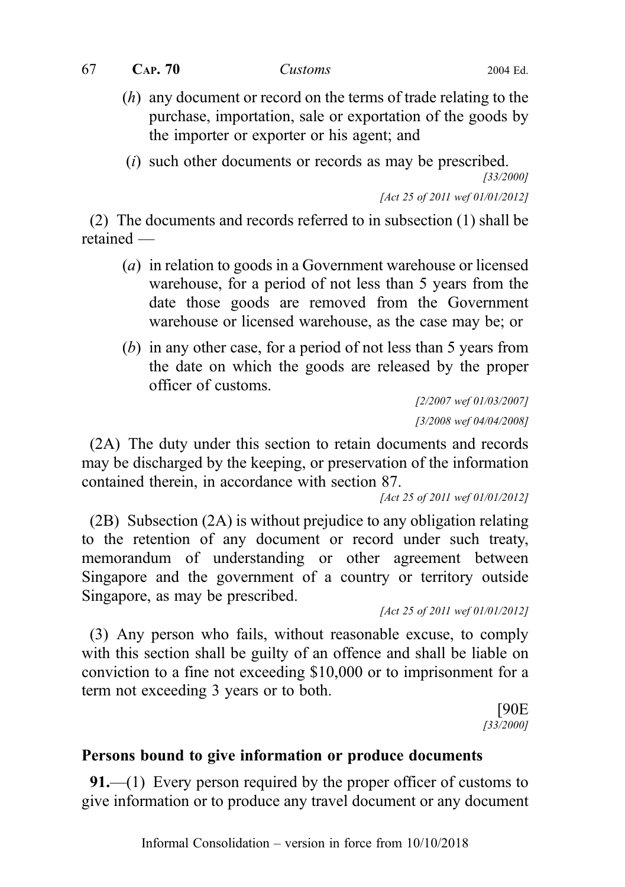$67$  CAP.  $70$  Customs 2004 Ed.

- (h) any document or record on the terms of trade relating to the purchase, importation, sale or exportation of the goods by the importer or exporter or his agent; and
- (i) such other documents or records as may be prescribed.

[33/2000]

[Act 25 of 2011 wef 01/01/2012]

(2) The documents and records referred to in subsection (1) shall be retained —

- (a) in relation to goods in a Government warehouse or licensed warehouse, for a period of not less than 5 years from the date those goods are removed from the Government warehouse or licensed warehouse, as the case may be; or
- (b) in any other case, for a period of not less than 5 years from the date on which the goods are released by the proper officer of customs.

[2/2007 wef 01/03/2007] [3/2008 wef 04/04/2008]

(2A) The duty under this section to retain documents and records may be discharged by the keeping, or preservation of the information contained therein, in accordance with section 87.

[Act 25 of 2011 wef 01/01/2012]

(2B) Subsection (2A) is without prejudice to any obligation relating to the retention of any document or record under such treaty, memorandum of understanding or other agreement between Singapore and the government of a country or territory outside Singapore, as may be prescribed.

[Act 25 of 2011 wef 01/01/2012]

(3) Any person who fails, without reasonable excuse, to comply with this section shall be guilty of an offence and shall be liable on conviction to a fine not exceeding \$10,000 or to imprisonment for a term not exceeding 3 years or to both.

> [90E [33/2000]

#### Persons bound to give information or produce documents

91.—(1) Every person required by the proper officer of customs to give information or to produce any travel document or any document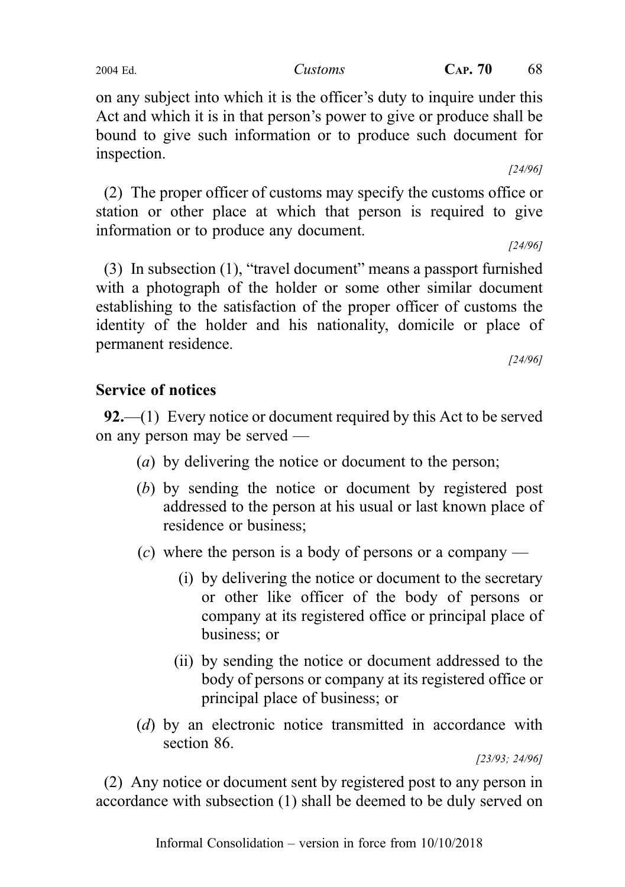on any subject into which it is the officer's duty to inquire under this Act and which it is in that person's power to give or produce shall be bound to give such information or to produce such document for inspection.

[24/96]

(2) The proper officer of customs may specify the customs office or station or other place at which that person is required to give information or to produce any document.

[24/96]

(3) In subsection (1), "travel document" means a passport furnished with a photograph of the holder or some other similar document establishing to the satisfaction of the proper officer of customs the identity of the holder and his nationality, domicile or place of permanent residence.

[24/96]

### Service of notices

92.—(1) Every notice or document required by this Act to be served on any person may be served —

- (a) by delivering the notice or document to the person;
- (b) by sending the notice or document by registered post addressed to the person at his usual or last known place of residence or business;
- (c) where the person is a body of persons or a company
	- (i) by delivering the notice or document to the secretary or other like officer of the body of persons or company at its registered office or principal place of business; or
	- (ii) by sending the notice or document addressed to the body of persons or company at its registered office or principal place of business; or
- (d) by an electronic notice transmitted in accordance with section 86.

[23/93; 24/96]

(2) Any notice or document sent by registered post to any person in accordance with subsection (1) shall be deemed to be duly served on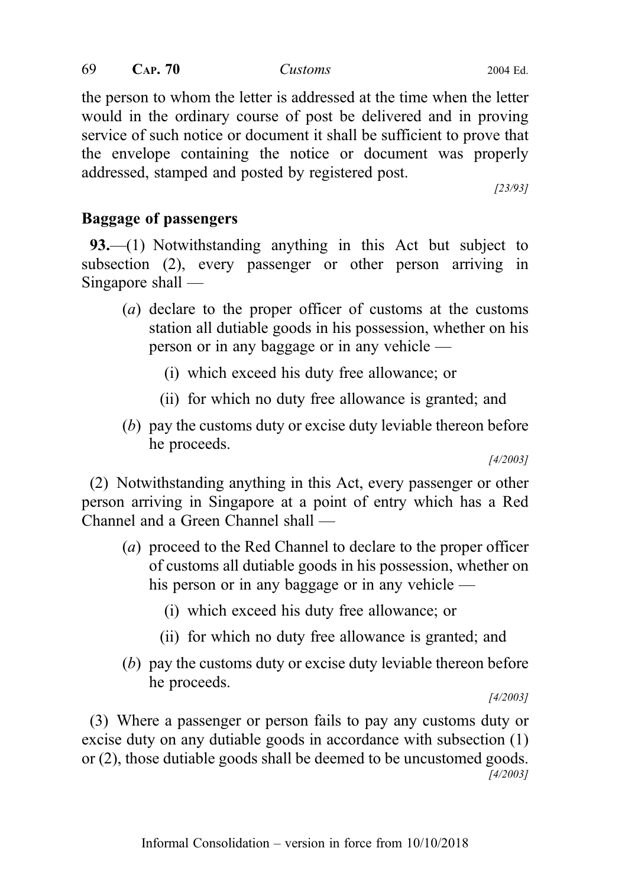$69$  CAP.  $70$  Customs 2004 Ed.

the person to whom the letter is addressed at the time when the letter would in the ordinary course of post be delivered and in proving service of such notice or document it shall be sufficient to prove that the envelope containing the notice or document was properly addressed, stamped and posted by registered post.

[23/93]

# Baggage of passengers

93.—(1) Notwithstanding anything in this Act but subject to subsection (2), every passenger or other person arriving in Singapore shall —

- (a) declare to the proper officer of customs at the customs station all dutiable goods in his possession, whether on his person or in any baggage or in any vehicle —
	- (i) which exceed his duty free allowance; or
	- (ii) for which no duty free allowance is granted; and
- (b) pay the customs duty or excise duty leviable thereon before he proceeds.

[4/2003]

(2) Notwithstanding anything in this Act, every passenger or other person arriving in Singapore at a point of entry which has a Red Channel and a Green Channel shall —

- (a) proceed to the Red Channel to declare to the proper officer of customs all dutiable goods in his possession, whether on his person or in any baggage or in any vehicle —
	- (i) which exceed his duty free allowance; or
	- (ii) for which no duty free allowance is granted; and
- (b) pay the customs duty or excise duty leviable thereon before he proceeds.

[4/2003]

(3) Where a passenger or person fails to pay any customs duty or excise duty on any dutiable goods in accordance with subsection (1) or (2), those dutiable goods shall be deemed to be uncustomed goods. [4/2003]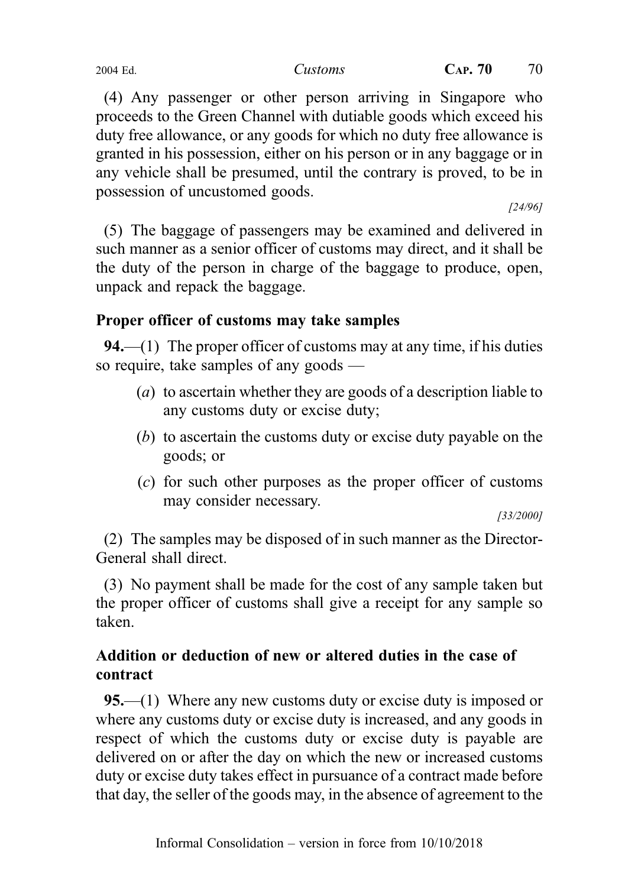(4) Any passenger or other person arriving in Singapore who proceeds to the Green Channel with dutiable goods which exceed his duty free allowance, or any goods for which no duty free allowance is granted in his possession, either on his person or in any baggage or in any vehicle shall be presumed, until the contrary is proved, to be in possession of uncustomed goods.

[24/96]

(5) The baggage of passengers may be examined and delivered in such manner as a senior officer of customs may direct, and it shall be the duty of the person in charge of the baggage to produce, open, unpack and repack the baggage.

# Proper officer of customs may take samples

**94.**—(1) The proper officer of customs may at any time, if his duties so require, take samples of any goods —

- (a) to ascertain whether they are goods of a description liable to any customs duty or excise duty;
- (b) to ascertain the customs duty or excise duty payable on the goods; or
- (c) for such other purposes as the proper officer of customs may consider necessary.

[33/2000]

(2) The samples may be disposed of in such manner as the Director-General shall direct.

(3) No payment shall be made for the cost of any sample taken but the proper officer of customs shall give a receipt for any sample so taken.

# Addition or deduction of new or altered duties in the case of contract

95.—(1) Where any new customs duty or excise duty is imposed or where any customs duty or excise duty is increased, and any goods in respect of which the customs duty or excise duty is payable are delivered on or after the day on which the new or increased customs duty or excise duty takes effect in pursuance of a contract made before that day, the seller of the goods may, in the absence of agreement to the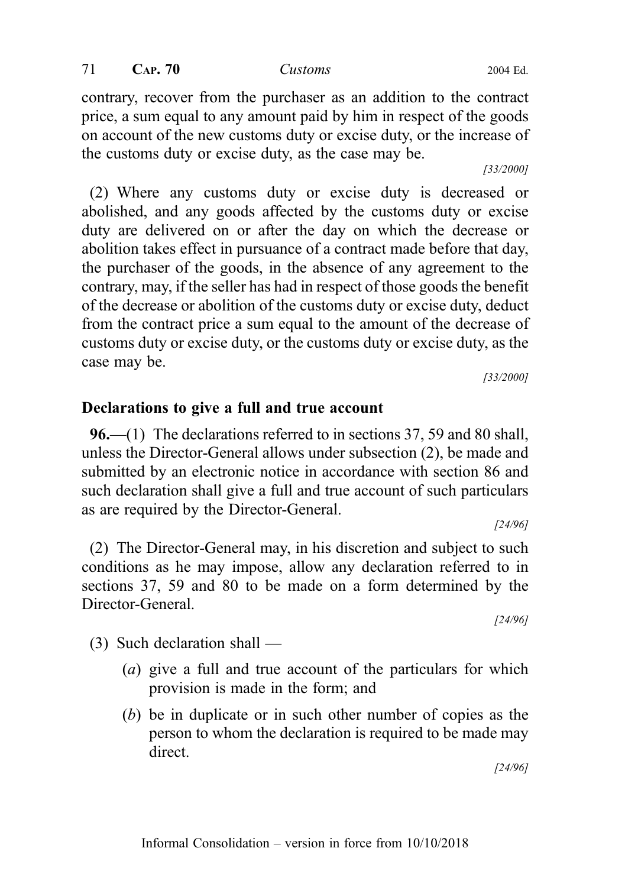71 **CAP. 70** *Customs* 2004 Ed.

contrary, recover from the purchaser as an addition to the contract price, a sum equal to any amount paid by him in respect of the goods on account of the new customs duty or excise duty, or the increase of the customs duty or excise duty, as the case may be.

(2) Where any customs duty or excise duty is decreased or abolished, and any goods affected by the customs duty or excise duty are delivered on or after the day on which the decrease or abolition takes effect in pursuance of a contract made before that day, the purchaser of the goods, in the absence of any agreement to the contrary, may, if the seller has had in respect of those goods the benefit of the decrease or abolition of the customs duty or excise duty, deduct from the contract price a sum equal to the amount of the decrease of customs duty or excise duty, or the customs duty or excise duty, as the case may be. [33/2000]

Declarations to give a full and true account 96.—(1) The declarations referred to in sections 37, 59 and 80 shall, unless the Director-General allows under subsection (2), be made and submitted by an electronic notice in accordance with section 86 and

such declaration shall give a full and true account of such particulars as are required by the Director-General. [24/96]

(2) The Director-General may, in his discretion and subject to such conditions as he may impose, allow any declaration referred to in sections 37, 59 and 80 to be made on a form determined by the Director-General. [24/96]

(3) Such declaration shall —

- (a) give a full and true account of the particulars for which provision is made in the form; and
- (b) be in duplicate or in such other number of copies as the person to whom the declaration is required to be made may direct.

[24/96]

[33/2000]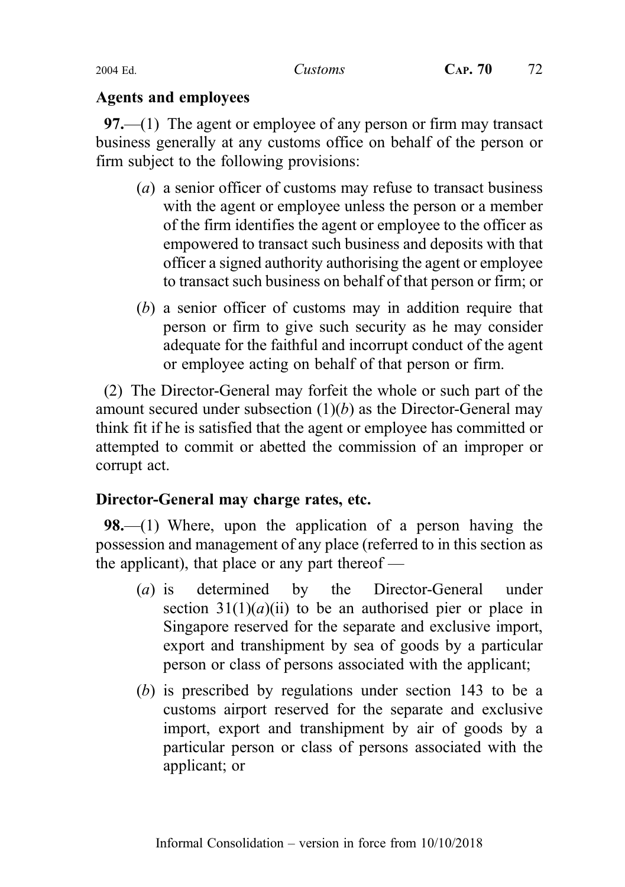#### Agents and employees

97.—(1) The agent or employee of any person or firm may transact business generally at any customs office on behalf of the person or firm subject to the following provisions:

- (a) a senior officer of customs may refuse to transact business with the agent or employee unless the person or a member of the firm identifies the agent or employee to the officer as empowered to transact such business and deposits with that officer a signed authority authorising the agent or employee to transact such business on behalf of that person or firm; or
- (b) a senior officer of customs may in addition require that person or firm to give such security as he may consider adequate for the faithful and incorrupt conduct of the agent or employee acting on behalf of that person or firm.

(2) The Director-General may forfeit the whole or such part of the amount secured under subsection  $(1)(b)$  as the Director-General may think fit if he is satisfied that the agent or employee has committed or attempted to commit or abetted the commission of an improper or corrupt act.

# Director-General may charge rates, etc.

**98.**—(1) Where, upon the application of a person having the possession and management of any place (referred to in this section as the applicant), that place or any part thereof  $-$ 

- (a) is determined by the Director-General under section  $31(1)(a)(ii)$  to be an authorised pier or place in Singapore reserved for the separate and exclusive import, export and transhipment by sea of goods by a particular person or class of persons associated with the applicant;
- (b) is prescribed by regulations under section 143 to be a customs airport reserved for the separate and exclusive import, export and transhipment by air of goods by a particular person or class of persons associated with the applicant; or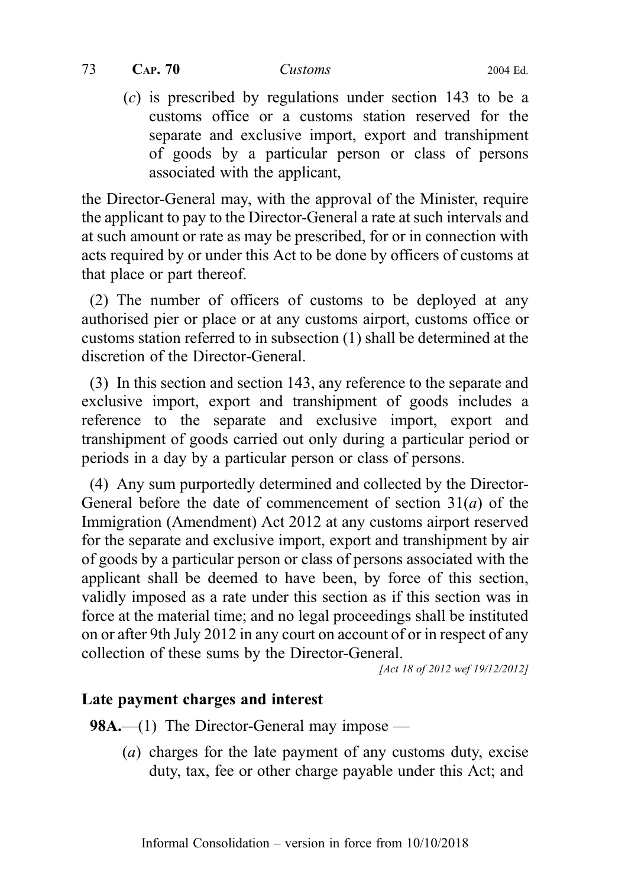(c) is prescribed by regulations under section 143 to be a customs office or a customs station reserved for the separate and exclusive import, export and transhipment of goods by a particular person or class of persons associated with the applicant,

the Director-General may, with the approval of the Minister, require the applicant to pay to the Director-General a rate at such intervals and at such amount or rate as may be prescribed, for or in connection with acts required by or under this Act to be done by officers of customs at that place or part thereof.

(2) The number of officers of customs to be deployed at any authorised pier or place or at any customs airport, customs office or customs station referred to in subsection (1) shall be determined at the discretion of the Director-General.

(3) In this section and section 143, any reference to the separate and exclusive import, export and transhipment of goods includes a reference to the separate and exclusive import, export and transhipment of goods carried out only during a particular period or periods in a day by a particular person or class of persons.

(4) Any sum purportedly determined and collected by the Director-General before the date of commencement of section  $31(a)$  of the Immigration (Amendment) Act 2012 at any customs airport reserved for the separate and exclusive import, export and transhipment by air of goods by a particular person or class of persons associated with the applicant shall be deemed to have been, by force of this section, validly imposed as a rate under this section as if this section was in force at the material time; and no legal proceedings shall be instituted on or after 9th July 2012 in any court on account of or in respect of any collection of these sums by the Director-General.

[Act 18 of 2012 wef 19/12/2012]

# Late payment charges and interest

**98A.—(1)** The Director-General may impose —

(a) charges for the late payment of any customs duty, excise duty, tax, fee or other charge payable under this Act; and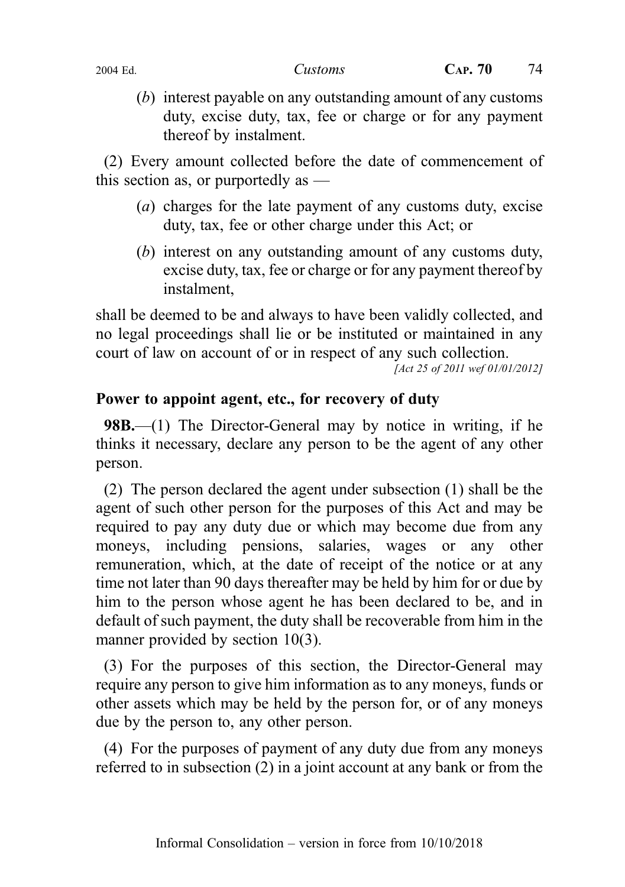(b) interest payable on any outstanding amount of any customs duty, excise duty, tax, fee or charge or for any payment thereof by instalment.

(2) Every amount collected before the date of commencement of this section as, or purportedly as —

- (a) charges for the late payment of any customs duty, excise duty, tax, fee or other charge under this Act; or
- (b) interest on any outstanding amount of any customs duty, excise duty, tax, fee or charge or for any payment thereof by instalment,

shall be deemed to be and always to have been validly collected, and no legal proceedings shall lie or be instituted or maintained in any court of law on account of or in respect of any such collection.

[Act 25 of 2011 wef 01/01/2012]

#### Power to appoint agent, etc., for recovery of duty

98B.—(1) The Director-General may by notice in writing, if he thinks it necessary, declare any person to be the agent of any other person.

(2) The person declared the agent under subsection (1) shall be the agent of such other person for the purposes of this Act and may be required to pay any duty due or which may become due from any moneys, including pensions, salaries, wages or any other remuneration, which, at the date of receipt of the notice or at any time not later than 90 days thereafter may be held by him for or due by him to the person whose agent he has been declared to be, and in default of such payment, the duty shall be recoverable from him in the manner provided by section 10(3).

(3) For the purposes of this section, the Director-General may require any person to give him information as to any moneys, funds or other assets which may be held by the person for, or of any moneys due by the person to, any other person.

(4) For the purposes of payment of any duty due from any moneys referred to in subsection (2) in a joint account at any bank or from the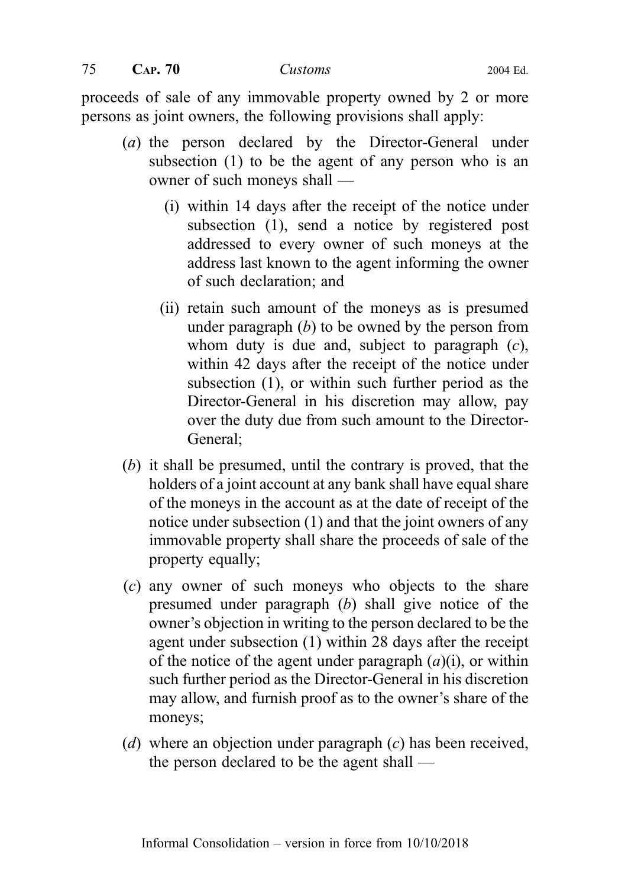$75$  CAP.  $70$  Customs 2004 Ed.

proceeds of sale of any immovable property owned by 2 or more persons as joint owners, the following provisions shall apply:

- (a) the person declared by the Director-General under subsection (1) to be the agent of any person who is an owner of such moneys shall —
	- (i) within 14 days after the receipt of the notice under subsection (1), send a notice by registered post addressed to every owner of such moneys at the address last known to the agent informing the owner of such declaration; and
	- (ii) retain such amount of the moneys as is presumed under paragraph  $(b)$  to be owned by the person from whom duty is due and, subject to paragraph  $(c)$ , within 42 days after the receipt of the notice under subsection (1), or within such further period as the Director-General in his discretion may allow, pay over the duty due from such amount to the Director-General;
- (b) it shall be presumed, until the contrary is proved, that the holders of a joint account at any bank shall have equal share of the moneys in the account as at the date of receipt of the notice under subsection (1) and that the joint owners of any immovable property shall share the proceeds of sale of the property equally;
- (c) any owner of such moneys who objects to the share presumed under paragraph (b) shall give notice of the owner's objection in writing to the person declared to be the agent under subsection (1) within 28 days after the receipt of the notice of the agent under paragraph  $(a)(i)$ , or within such further period as the Director-General in his discretion may allow, and furnish proof as to the owner's share of the moneys;
- (d) where an objection under paragraph  $(c)$  has been received, the person declared to be the agent shall —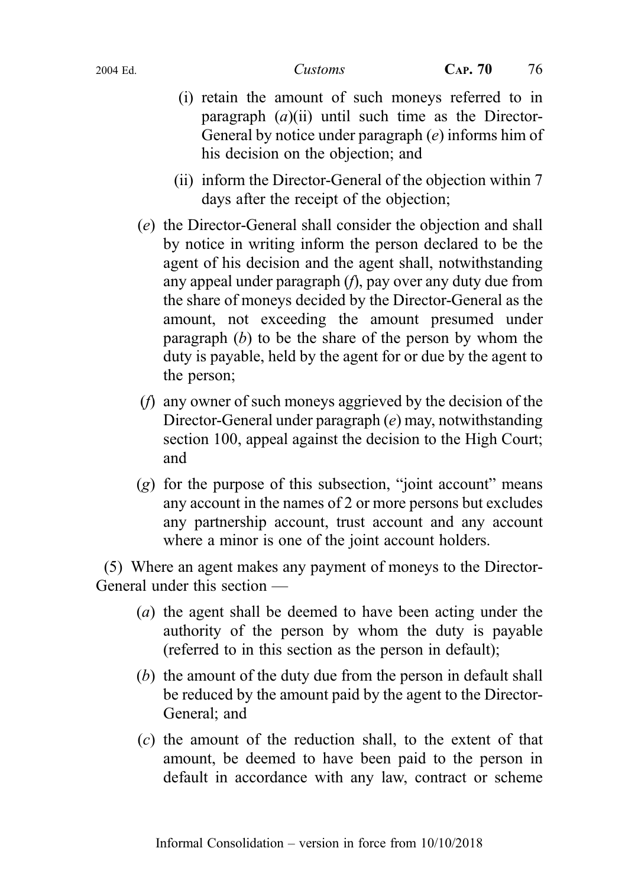- (i) retain the amount of such moneys referred to in paragraph  $(a)$ (ii) until such time as the Director-General by notice under paragraph  $(e)$  informs him of his decision on the objection; and
- (ii) inform the Director-General of the objection within 7 days after the receipt of the objection;
- (e) the Director-General shall consider the objection and shall by notice in writing inform the person declared to be the agent of his decision and the agent shall, notwithstanding any appeal under paragraph (f), pay over any duty due from the share of moneys decided by the Director-General as the amount, not exceeding the amount presumed under paragraph  $(b)$  to be the share of the person by whom the duty is payable, held by the agent for or due by the agent to the person;
- (f) any owner of such moneys aggrieved by the decision of the Director-General under paragraph (e) may, notwithstanding section 100, appeal against the decision to the High Court; and
- $(g)$  for the purpose of this subsection, "joint account" means any account in the names of 2 or more persons but excludes any partnership account, trust account and any account where a minor is one of the joint account holders.

(5) Where an agent makes any payment of moneys to the Director-General under this section —

- (a) the agent shall be deemed to have been acting under the authority of the person by whom the duty is payable (referred to in this section as the person in default);
- (b) the amount of the duty due from the person in default shall be reduced by the amount paid by the agent to the Director-General; and
- (c) the amount of the reduction shall, to the extent of that amount, be deemed to have been paid to the person in default in accordance with any law, contract or scheme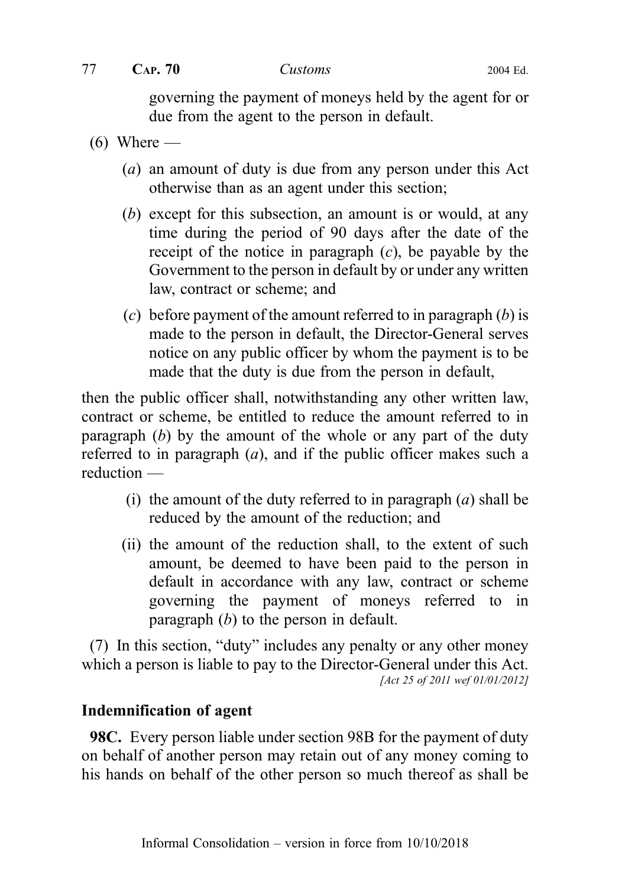governing the payment of moneys held by the agent for or due from the agent to the person in default.

- $(6)$  Where
	- (a) an amount of duty is due from any person under this Act otherwise than as an agent under this section;
	- (b) except for this subsection, an amount is or would, at any time during the period of 90 days after the date of the receipt of the notice in paragraph  $(c)$ , be payable by the Government to the person in default by or under any written law, contract or scheme; and
	- (c) before payment of the amount referred to in paragraph  $(b)$  is made to the person in default, the Director-General serves notice on any public officer by whom the payment is to be made that the duty is due from the person in default,

then the public officer shall, notwithstanding any other written law, contract or scheme, be entitled to reduce the amount referred to in paragraph  $(b)$  by the amount of the whole or any part of the duty referred to in paragraph  $(a)$ , and if the public officer makes such a reduction —

- (i) the amount of the duty referred to in paragraph  $(a)$  shall be reduced by the amount of the reduction; and
- (ii) the amount of the reduction shall, to the extent of such amount, be deemed to have been paid to the person in default in accordance with any law, contract or scheme governing the payment of moneys referred to in paragraph  $(b)$  to the person in default.

(7) In this section, "duty" includes any penalty or any other money which a person is liable to pay to the Director-General under this Act. [Act 25 of 2011 wef 01/01/2012]

# Indemnification of agent

**98C.** Every person liable under section 98B for the payment of duty on behalf of another person may retain out of any money coming to his hands on behalf of the other person so much thereof as shall be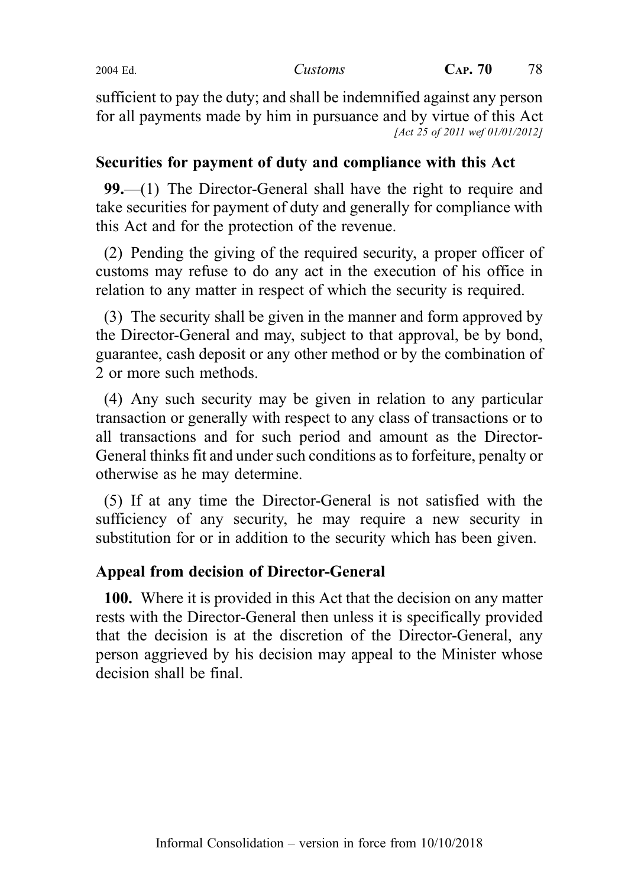sufficient to pay the duty; and shall be indemnified against any person for all payments made by him in pursuance and by virtue of this Act [Act 25 of 2011 wef 01/01/2012]

## Securities for payment of duty and compliance with this Act

99.—(1) The Director-General shall have the right to require and take securities for payment of duty and generally for compliance with this Act and for the protection of the revenue.

(2) Pending the giving of the required security, a proper officer of customs may refuse to do any act in the execution of his office in relation to any matter in respect of which the security is required.

(3) The security shall be given in the manner and form approved by the Director-General and may, subject to that approval, be by bond, guarantee, cash deposit or any other method or by the combination of 2 or more such methods.

(4) Any such security may be given in relation to any particular transaction or generally with respect to any class of transactions or to all transactions and for such period and amount as the Director-General thinks fit and under such conditions as to forfeiture, penalty or otherwise as he may determine.

(5) If at any time the Director-General is not satisfied with the sufficiency of any security, he may require a new security in substitution for or in addition to the security which has been given.

# Appeal from decision of Director-General

100. Where it is provided in this Act that the decision on any matter rests with the Director-General then unless it is specifically provided that the decision is at the discretion of the Director-General, any person aggrieved by his decision may appeal to the Minister whose decision shall be final.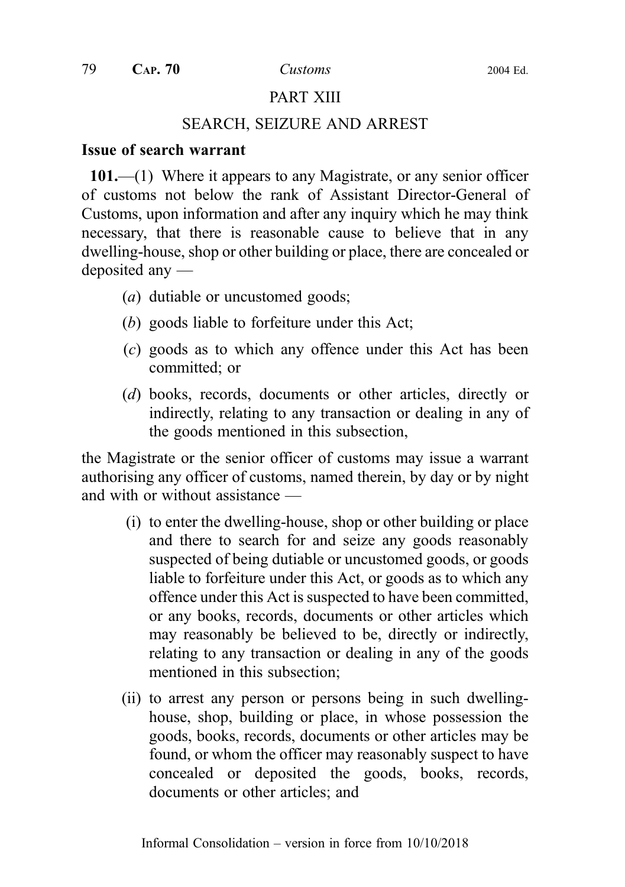### PART XIII

#### SEARCH, SEIZURE AND ARREST

#### Issue of search warrant

101.—(1) Where it appears to any Magistrate, or any senior officer of customs not below the rank of Assistant Director-General of Customs, upon information and after any inquiry which he may think necessary, that there is reasonable cause to believe that in any dwelling-house, shop or other building or place, there are concealed or deposited any —

- (a) dutiable or uncustomed goods;
- (b) goods liable to forfeiture under this Act;
- (c) goods as to which any offence under this Act has been committed; or
- (d) books, records, documents or other articles, directly or indirectly, relating to any transaction or dealing in any of the goods mentioned in this subsection,

the Magistrate or the senior officer of customs may issue a warrant authorising any officer of customs, named therein, by day or by night and with or without assistance —

- (i) to enter the dwelling-house, shop or other building or place and there to search for and seize any goods reasonably suspected of being dutiable or uncustomed goods, or goods liable to forfeiture under this Act, or goods as to which any offence under this Act is suspected to have been committed, or any books, records, documents or other articles which may reasonably be believed to be, directly or indirectly, relating to any transaction or dealing in any of the goods mentioned in this subsection;
- (ii) to arrest any person or persons being in such dwellinghouse, shop, building or place, in whose possession the goods, books, records, documents or other articles may be found, or whom the officer may reasonably suspect to have concealed or deposited the goods, books, records, documents or other articles; and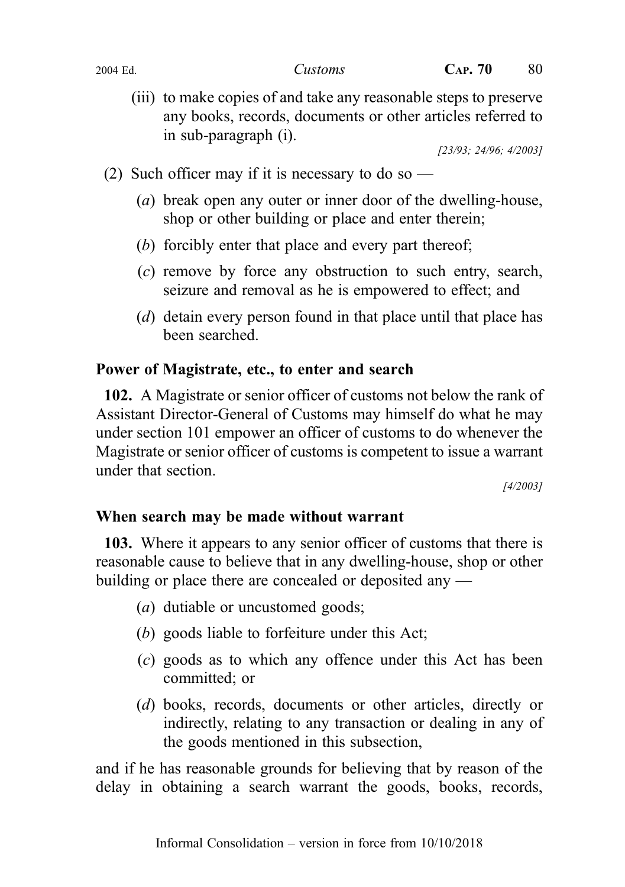(iii) to make copies of and take any reasonable steps to preserve any books, records, documents or other articles referred to in sub‑paragraph (i).

[23/93; 24/96; 4/2003]

- (2) Such officer may if it is necessary to do so
	- (a) break open any outer or inner door of the dwelling-house, shop or other building or place and enter therein;
	- (b) forcibly enter that place and every part thereof;
	- (c) remove by force any obstruction to such entry, search, seizure and removal as he is empowered to effect; and
	- (d) detain every person found in that place until that place has been searched.

# Power of Magistrate, etc., to enter and search

102. A Magistrate or senior officer of customs not below the rank of Assistant Director-General of Customs may himself do what he may under section 101 empower an officer of customs to do whenever the Magistrate or senior officer of customs is competent to issue a warrant under that section.

[4/2003]

# When search may be made without warrant

103. Where it appears to any senior officer of customs that there is reasonable cause to believe that in any dwelling-house, shop or other building or place there are concealed or deposited any —

- (a) dutiable or uncustomed goods;
- (b) goods liable to forfeiture under this Act;
- (c) goods as to which any offence under this Act has been committed; or
- (d) books, records, documents or other articles, directly or indirectly, relating to any transaction or dealing in any of the goods mentioned in this subsection,

and if he has reasonable grounds for believing that by reason of the delay in obtaining a search warrant the goods, books, records,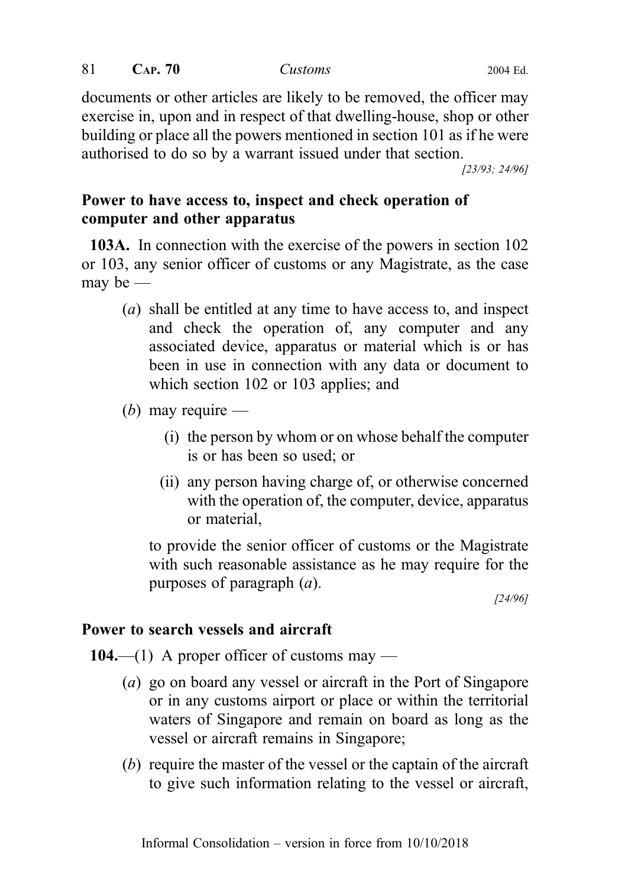documents or other articles are likely to be removed, the officer may exercise in, upon and in respect of that dwelling-house, shop or other building or place all the powers mentioned in section 101 as if he were authorised to do so by a warrant issued under that section.

[23/93; 24/96]

# Power to have access to, inspect and check operation of computer and other apparatus

103A. In connection with the exercise of the powers in section 102 or 103, any senior officer of customs or any Magistrate, as the case may be  $-$ 

- (a) shall be entitled at any time to have access to, and inspect and check the operation of, any computer and any associated device, apparatus or material which is or has been in use in connection with any data or document to which section 102 or 103 applies; and
- (b) may require  $-$ 
	- (i) the person by whom or on whose behalf the computer is or has been so used; or
	- (ii) any person having charge of, or otherwise concerned with the operation of, the computer, device, apparatus or material,

to provide the senior officer of customs or the Magistrate with such reasonable assistance as he may require for the purposes of paragraph (a).

[24/96]

### Power to search vessels and aircraft

104.—(1) A proper officer of customs may —

- (a) go on board any vessel or aircraft in the Port of Singapore or in any customs airport or place or within the territorial waters of Singapore and remain on board as long as the vessel or aircraft remains in Singapore;
- (b) require the master of the vessel or the captain of the aircraft to give such information relating to the vessel or aircraft,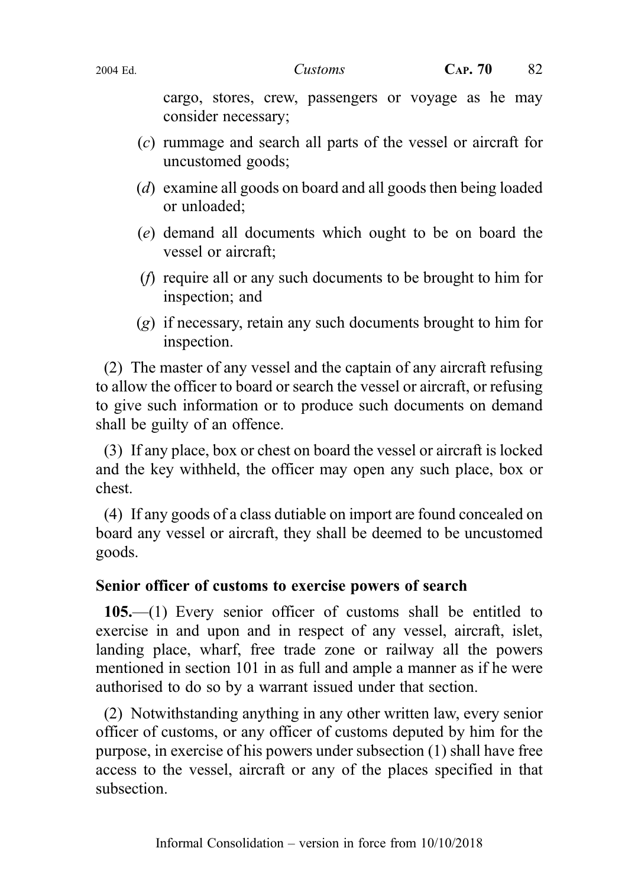cargo, stores, crew, passengers or voyage as he may consider necessary;

- (c) rummage and search all parts of the vessel or aircraft for uncustomed goods;
- (d) examine all goods on board and all goods then being loaded or unloaded;
- (e) demand all documents which ought to be on board the vessel or aircraft;
- (f) require all or any such documents to be brought to him for inspection; and
- (g) if necessary, retain any such documents brought to him for inspection.

(2) The master of any vessel and the captain of any aircraft refusing to allow the officer to board or search the vessel or aircraft, or refusing to give such information or to produce such documents on demand shall be guilty of an offence.

(3) If any place, box or chest on board the vessel or aircraft is locked and the key withheld, the officer may open any such place, box or chest.

(4) If any goods of a class dutiable on import are found concealed on board any vessel or aircraft, they shall be deemed to be uncustomed goods.

# Senior officer of customs to exercise powers of search

105.—(1) Every senior officer of customs shall be entitled to exercise in and upon and in respect of any vessel, aircraft, islet, landing place, wharf, free trade zone or railway all the powers mentioned in section 101 in as full and ample a manner as if he were authorised to do so by a warrant issued under that section.

(2) Notwithstanding anything in any other written law, every senior officer of customs, or any officer of customs deputed by him for the purpose, in exercise of his powers under subsection (1) shall have free access to the vessel, aircraft or any of the places specified in that subsection.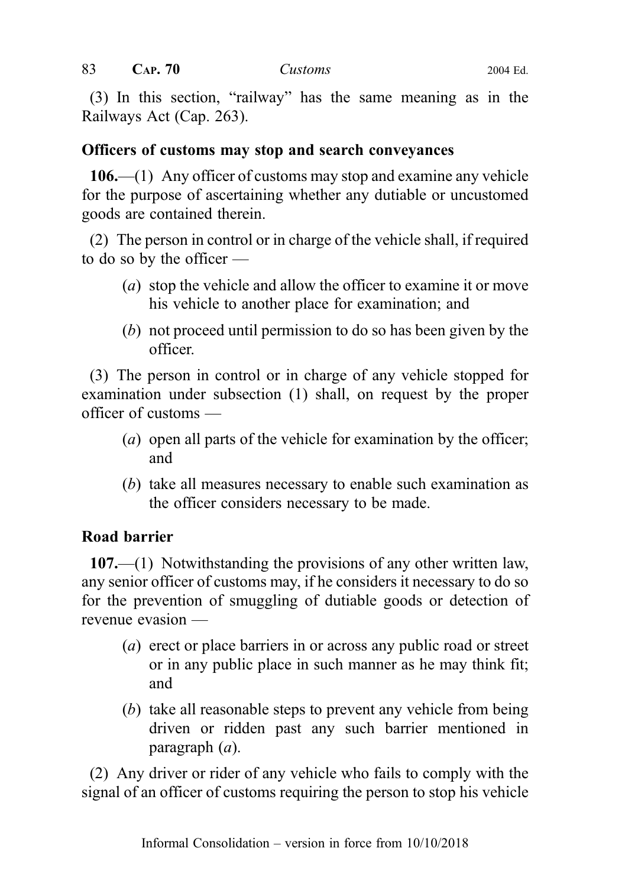(3) In this section, "railway" has the same meaning as in the Railways Act (Cap. 263).

## Officers of customs may stop and search conveyances

106.—(1) Any officer of customs may stop and examine any vehicle for the purpose of ascertaining whether any dutiable or uncustomed goods are contained therein.

(2) The person in control or in charge of the vehicle shall, if required to do so by the officer —

- (a) stop the vehicle and allow the officer to examine it or move his vehicle to another place for examination; and
- (b) not proceed until permission to do so has been given by the officer.

(3) The person in control or in charge of any vehicle stopped for examination under subsection (1) shall, on request by the proper officer of customs —

- (a) open all parts of the vehicle for examination by the officer; and
- (b) take all measures necessary to enable such examination as the officer considers necessary to be made.

# Road barrier

107.—(1) Notwithstanding the provisions of any other written law, any senior officer of customs may, if he considers it necessary to do so for the prevention of smuggling of dutiable goods or detection of revenue evasion —

- (a) erect or place barriers in or across any public road or street or in any public place in such manner as he may think fit; and
- (b) take all reasonable steps to prevent any vehicle from being driven or ridden past any such barrier mentioned in paragraph (a).

(2) Any driver or rider of any vehicle who fails to comply with the signal of an officer of customs requiring the person to stop his vehicle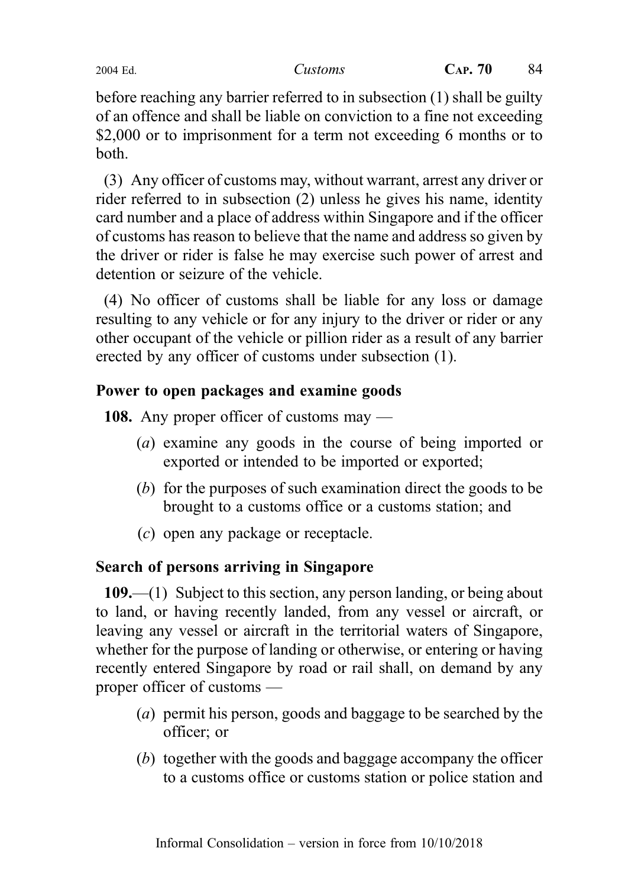before reaching any barrier referred to in subsection (1) shall be guilty of an offence and shall be liable on conviction to a fine not exceeding \$2,000 or to imprisonment for a term not exceeding 6 months or to both.

(3) Any officer of customs may, without warrant, arrest any driver or rider referred to in subsection (2) unless he gives his name, identity card number and a place of address within Singapore and if the officer of customs has reason to believe that the name and address so given by the driver or rider is false he may exercise such power of arrest and detention or seizure of the vehicle.

(4) No officer of customs shall be liable for any loss or damage resulting to any vehicle or for any injury to the driver or rider or any other occupant of the vehicle or pillion rider as a result of any barrier erected by any officer of customs under subsection (1).

# Power to open packages and examine goods

108. Any proper officer of customs may —

- (a) examine any goods in the course of being imported or exported or intended to be imported or exported;
- (b) for the purposes of such examination direct the goods to be brought to a customs office or a customs station; and
- (c) open any package or receptacle.

# Search of persons arriving in Singapore

109.—(1) Subject to this section, any person landing, or being about to land, or having recently landed, from any vessel or aircraft, or leaving any vessel or aircraft in the territorial waters of Singapore, whether for the purpose of landing or otherwise, or entering or having recently entered Singapore by road or rail shall, on demand by any proper officer of customs —

- (a) permit his person, goods and baggage to be searched by the officer; or
- (b) together with the goods and baggage accompany the officer to a customs office or customs station or police station and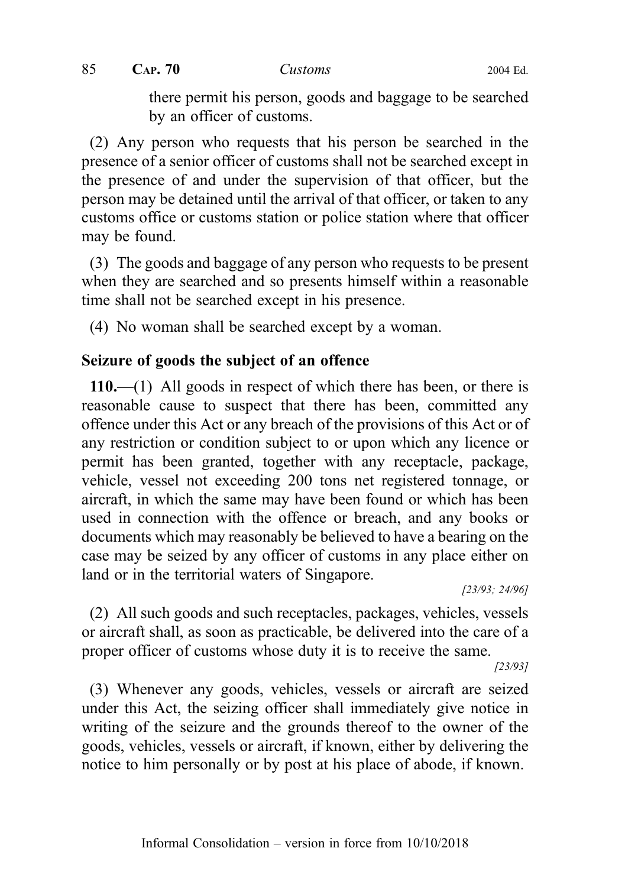there permit his person, goods and baggage to be searched by an officer of customs.

(2) Any person who requests that his person be searched in the presence of a senior officer of customs shall not be searched except in the presence of and under the supervision of that officer, but the person may be detained until the arrival of that officer, or taken to any customs office or customs station or police station where that officer may be found.

(3) The goods and baggage of any person who requests to be present when they are searched and so presents himself within a reasonable time shall not be searched except in his presence.

(4) No woman shall be searched except by a woman.

# Seizure of goods the subject of an offence

110.—(1) All goods in respect of which there has been, or there is reasonable cause to suspect that there has been, committed any offence under this Act or any breach of the provisions of this Act or of any restriction or condition subject to or upon which any licence or permit has been granted, together with any receptacle, package, vehicle, vessel not exceeding 200 tons net registered tonnage, or aircraft, in which the same may have been found or which has been used in connection with the offence or breach, and any books or documents which may reasonably be believed to have a bearing on the case may be seized by any officer of customs in any place either on land or in the territorial waters of Singapore.

[23/93; 24/96]

(2) All such goods and such receptacles, packages, vehicles, vessels or aircraft shall, as soon as practicable, be delivered into the care of a proper officer of customs whose duty it is to receive the same.

[23/93]

(3) Whenever any goods, vehicles, vessels or aircraft are seized under this Act, the seizing officer shall immediately give notice in writing of the seizure and the grounds thereof to the owner of the goods, vehicles, vessels or aircraft, if known, either by delivering the notice to him personally or by post at his place of abode, if known.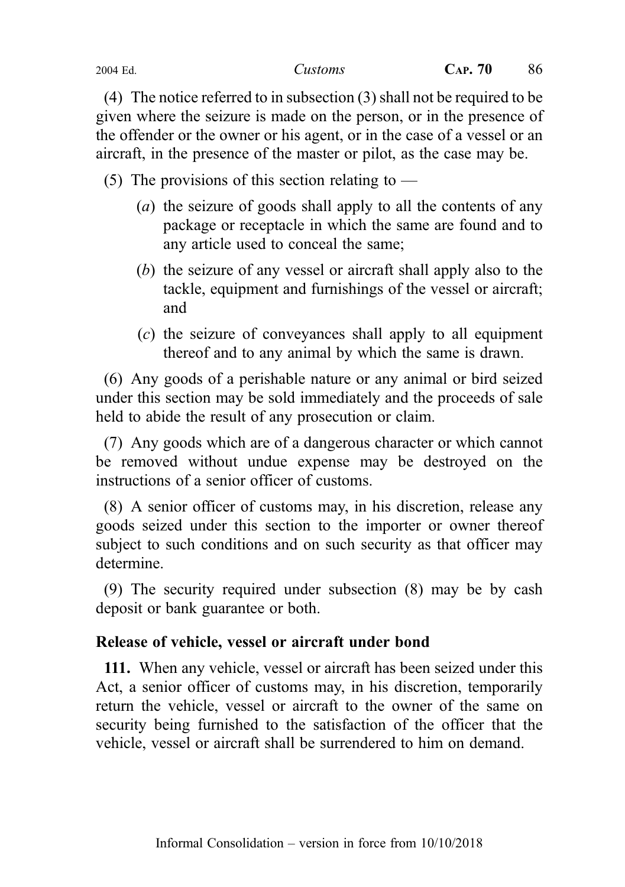(4) The notice referred to in subsection (3) shall not be required to be given where the seizure is made on the person, or in the presence of the offender or the owner or his agent, or in the case of a vessel or an aircraft, in the presence of the master or pilot, as the case may be.

(5) The provisions of this section relating to  $-$ 

- (*a*) the seizure of goods shall apply to all the contents of any package or receptacle in which the same are found and to any article used to conceal the same;
- (b) the seizure of any vessel or aircraft shall apply also to the tackle, equipment and furnishings of the vessel or aircraft; and
- (c) the seizure of conveyances shall apply to all equipment thereof and to any animal by which the same is drawn.

(6) Any goods of a perishable nature or any animal or bird seized under this section may be sold immediately and the proceeds of sale held to abide the result of any prosecution or claim.

(7) Any goods which are of a dangerous character or which cannot be removed without undue expense may be destroyed on the instructions of a senior officer of customs.

(8) A senior officer of customs may, in his discretion, release any goods seized under this section to the importer or owner thereof subject to such conditions and on such security as that officer may determine.

(9) The security required under subsection (8) may be by cash deposit or bank guarantee or both.

### Release of vehicle, vessel or aircraft under bond

111. When any vehicle, vessel or aircraft has been seized under this Act, a senior officer of customs may, in his discretion, temporarily return the vehicle, vessel or aircraft to the owner of the same on security being furnished to the satisfaction of the officer that the vehicle, vessel or aircraft shall be surrendered to him on demand.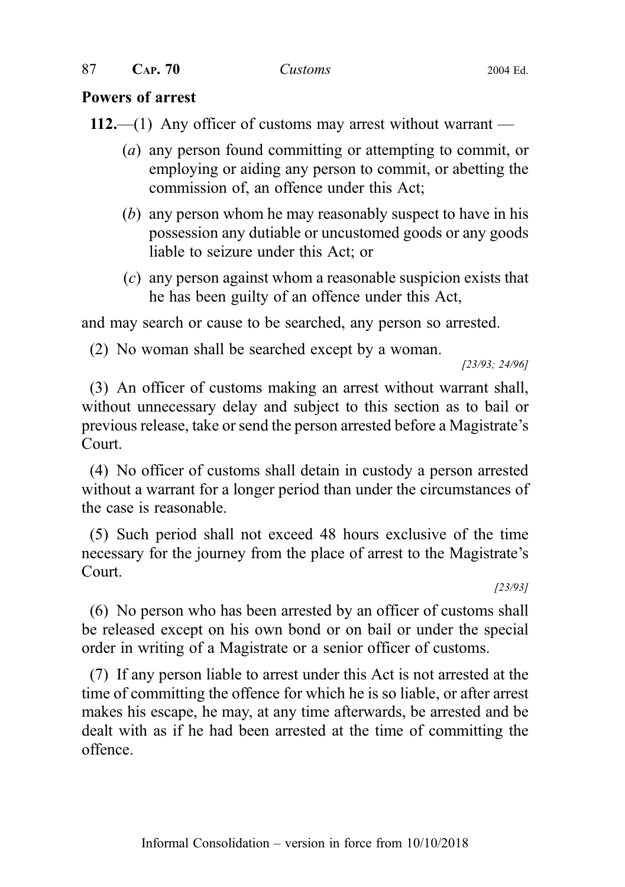#### Powers of arrest

112.—(1) Any officer of customs may arrest without warrant —

- (a) any person found committing or attempting to commit, or employing or aiding any person to commit, or abetting the commission of, an offence under this Act;
- (b) any person whom he may reasonably suspect to have in his possession any dutiable or uncustomed goods or any goods liable to seizure under this Act; or
- (c) any person against whom a reasonable suspicion exists that he has been guilty of an offence under this Act,

and may search or cause to be searched, any person so arrested.

(2) No woman shall be searched except by a woman.

[23/93; 24/96]

(3) An officer of customs making an arrest without warrant shall, without unnecessary delay and subject to this section as to bail or previous release, take or send the person arrested before a Magistrate's Court.

(4) No officer of customs shall detain in custody a person arrested without a warrant for a longer period than under the circumstances of the case is reasonable.

(5) Such period shall not exceed 48 hours exclusive of the time necessary for the journey from the place of arrest to the Magistrate's Court.

[23/93]

(6) No person who has been arrested by an officer of customs shall be released except on his own bond or on bail or under the special order in writing of a Magistrate or a senior officer of customs.

(7) If any person liable to arrest under this Act is not arrested at the time of committing the offence for which he is so liable, or after arrest makes his escape, he may, at any time afterwards, be arrested and be dealt with as if he had been arrested at the time of committing the offence.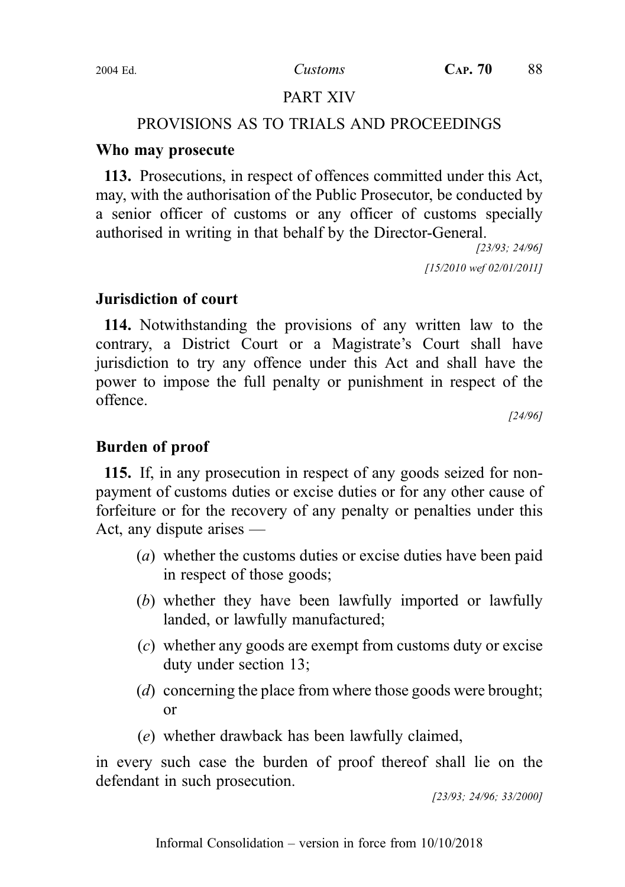## PART XIV

#### PROVISIONS AS TO TRIALS AND PROCEEDINGS

#### Who may prosecute

113. Prosecutions, in respect of offences committed under this Act, may, with the authorisation of the Public Prosecutor, be conducted by a senior officer of customs or any officer of customs specially authorised in writing in that behalf by the Director-General.

> [23/93; 24/96] [15/2010 wef 02/01/2011]

### Jurisdiction of court

114. Notwithstanding the provisions of any written law to the contrary, a District Court or a Magistrate's Court shall have jurisdiction to try any offence under this Act and shall have the power to impose the full penalty or punishment in respect of the offence.

[24/96]

### Burden of proof

115. If, in any prosecution in respect of any goods seized for nonpayment of customs duties or excise duties or for any other cause of forfeiture or for the recovery of any penalty or penalties under this Act, any dispute arises —

- (a) whether the customs duties or excise duties have been paid in respect of those goods;
- (b) whether they have been lawfully imported or lawfully landed, or lawfully manufactured;
- (c) whether any goods are exempt from customs duty or excise duty under section 13;
- (d) concerning the place from where those goods were brought; or
- (e) whether drawback has been lawfully claimed,

in every such case the burden of proof thereof shall lie on the defendant in such prosecution.

[23/93; 24/96; 33/2000]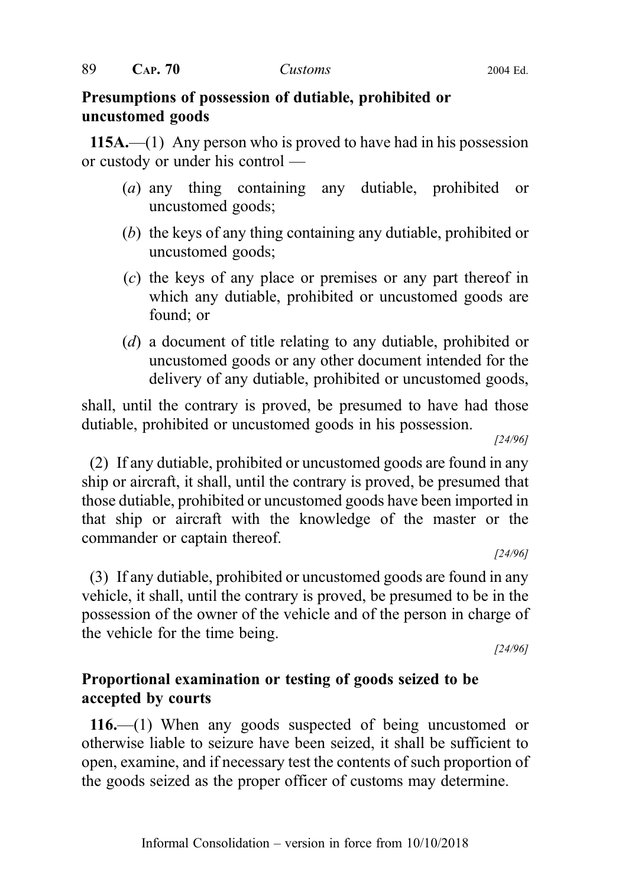### Presumptions of possession of dutiable, prohibited or uncustomed goods

115A.—(1) Any person who is proved to have had in his possession or custody or under his control —

- (a) any thing containing any dutiable, prohibited or uncustomed goods;
- (b) the keys of any thing containing any dutiable, prohibited or uncustomed goods;
- (c) the keys of any place or premises or any part thereof in which any dutiable, prohibited or uncustomed goods are found; or
- (d) a document of title relating to any dutiable, prohibited or uncustomed goods or any other document intended for the delivery of any dutiable, prohibited or uncustomed goods,

shall, until the contrary is proved, be presumed to have had those dutiable, prohibited or uncustomed goods in his possession.

[24/96]

(2) If any dutiable, prohibited or uncustomed goods are found in any ship or aircraft, it shall, until the contrary is proved, be presumed that those dutiable, prohibited or uncustomed goods have been imported in that ship or aircraft with the knowledge of the master or the commander or captain thereof.

[24/96]

(3) If any dutiable, prohibited or uncustomed goods are found in any vehicle, it shall, until the contrary is proved, be presumed to be in the possession of the owner of the vehicle and of the person in charge of the vehicle for the time being.

[24/96]

## Proportional examination or testing of goods seized to be accepted by courts

116.—(1) When any goods suspected of being uncustomed or otherwise liable to seizure have been seized, it shall be sufficient to open, examine, and if necessary test the contents of such proportion of the goods seized as the proper officer of customs may determine.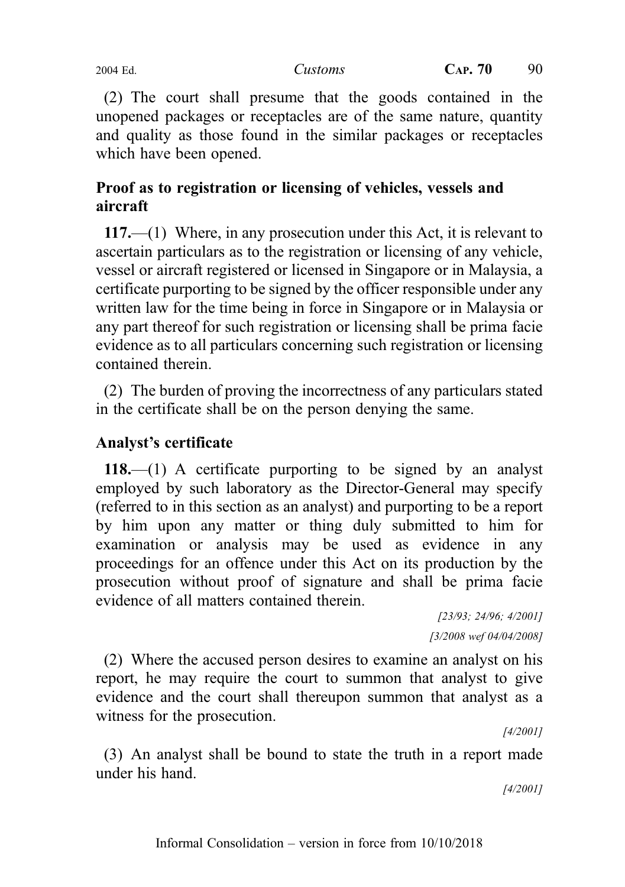(2) The court shall presume that the goods contained in the unopened packages or receptacles are of the same nature, quantity and quality as those found in the similar packages or receptacles which have been opened.

# Proof as to registration or licensing of vehicles, vessels and aircraft

117.—(1) Where, in any prosecution under this Act, it is relevant to ascertain particulars as to the registration or licensing of any vehicle, vessel or aircraft registered or licensed in Singapore or in Malaysia, a certificate purporting to be signed by the officer responsible under any written law for the time being in force in Singapore or in Malaysia or any part thereof for such registration or licensing shall be prima facie evidence as to all particulars concerning such registration or licensing contained therein.

(2) The burden of proving the incorrectness of any particulars stated in the certificate shall be on the person denying the same.

## Analyst's certificate

118.—(1) A certificate purporting to be signed by an analyst employed by such laboratory as the Director-General may specify (referred to in this section as an analyst) and purporting to be a report by him upon any matter or thing duly submitted to him for examination or analysis may be used as evidence in any proceedings for an offence under this Act on its production by the prosecution without proof of signature and shall be prima facie evidence of all matters contained therein.

[23/93; 24/96; 4/2001] [3/2008 wef 04/04/2008]

(2) Where the accused person desires to examine an analyst on his report, he may require the court to summon that analyst to give evidence and the court shall thereupon summon that analyst as a witness for the prosecution.

[4/2001]

(3) An analyst shall be bound to state the truth in a report made under his hand.

[4/2001]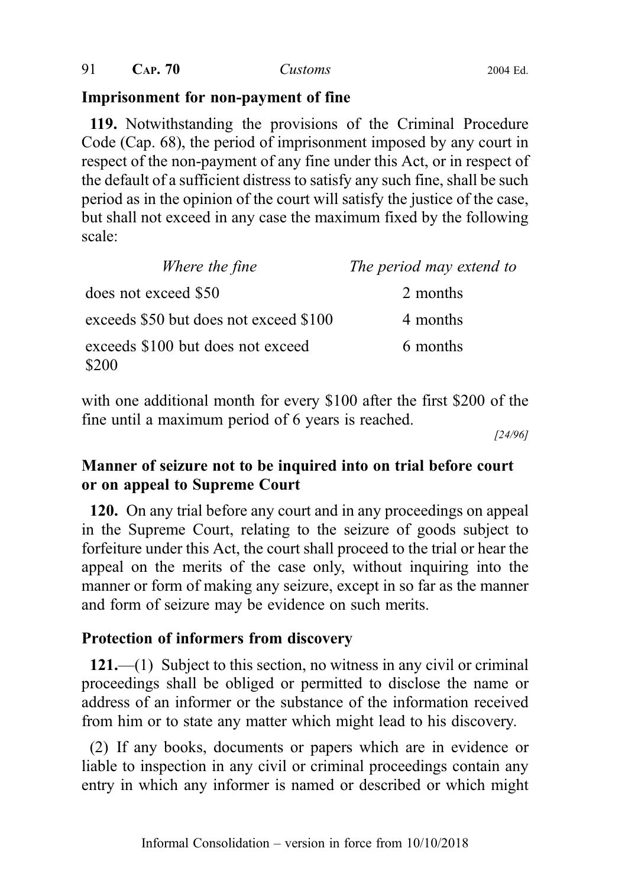#### Imprisonment for non-payment of fine

119. Notwithstanding the provisions of the Criminal Procedure Code (Cap. 68), the period of imprisonment imposed by any court in respect of the non-payment of any fine under this Act, or in respect of the default of a sufficient distress to satisfy any such fine, shall be such period as in the opinion of the court will satisfy the justice of the case, but shall not exceed in any case the maximum fixed by the following scale:

| Where the fine                             | The period may extend to |
|--------------------------------------------|--------------------------|
| does not exceed \$50                       | 2 months                 |
| exceeds \$50 but does not exceed \$100     | 4 months                 |
| exceeds \$100 but does not exceed<br>\$200 | 6 months                 |

with one additional month for every \$100 after the first \$200 of the fine until a maximum period of 6 years is reached.

[24/96]

# Manner of seizure not to be inquired into on trial before court or on appeal to Supreme Court

120. On any trial before any court and in any proceedings on appeal in the Supreme Court, relating to the seizure of goods subject to forfeiture under this Act, the court shall proceed to the trial or hear the appeal on the merits of the case only, without inquiring into the manner or form of making any seizure, except in so far as the manner and form of seizure may be evidence on such merits.

### Protection of informers from discovery

121.—(1) Subject to this section, no witness in any civil or criminal proceedings shall be obliged or permitted to disclose the name or address of an informer or the substance of the information received from him or to state any matter which might lead to his discovery.

(2) If any books, documents or papers which are in evidence or liable to inspection in any civil or criminal proceedings contain any entry in which any informer is named or described or which might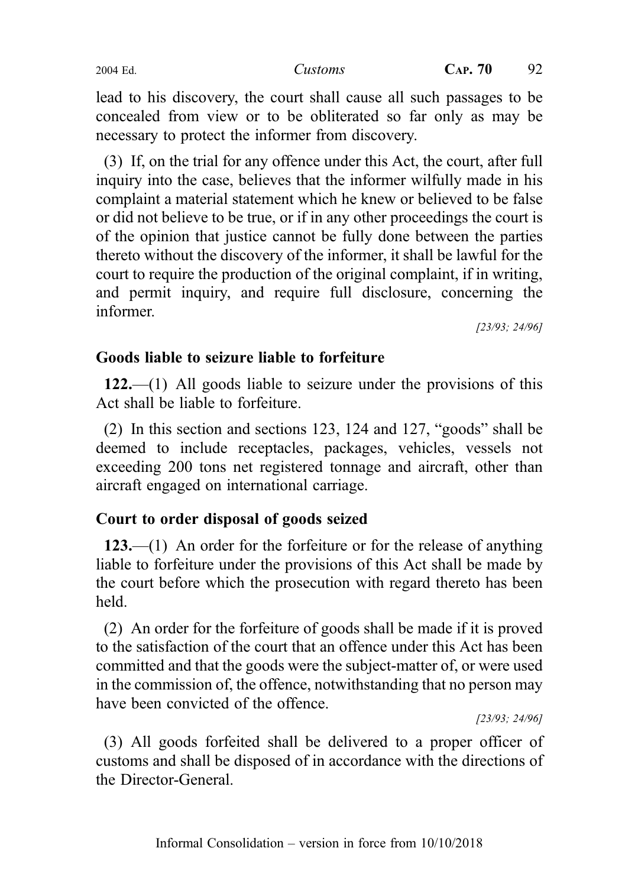lead to his discovery, the court shall cause all such passages to be concealed from view or to be obliterated so far only as may be necessary to protect the informer from discovery.

(3) If, on the trial for any offence under this Act, the court, after full inquiry into the case, believes that the informer wilfully made in his complaint a material statement which he knew or believed to be false or did not believe to be true, or if in any other proceedings the court is of the opinion that justice cannot be fully done between the parties thereto without the discovery of the informer, it shall be lawful for the court to require the production of the original complaint, if in writing, and permit inquiry, and require full disclosure, concerning the informer.

[23/93; 24/96]

### Goods liable to seizure liable to forfeiture

122.—(1) All goods liable to seizure under the provisions of this Act shall be liable to forfeiture.

(2) In this section and sections 123, 124 and 127, "goods" shall be deemed to include receptacles, packages, vehicles, vessels not exceeding 200 tons net registered tonnage and aircraft, other than aircraft engaged on international carriage.

### Court to order disposal of goods seized

123.—(1) An order for the forfeiture or for the release of anything liable to forfeiture under the provisions of this Act shall be made by the court before which the prosecution with regard thereto has been held.

(2) An order for the forfeiture of goods shall be made if it is proved to the satisfaction of the court that an offence under this Act has been committed and that the goods were the subject-matter of, or were used in the commission of, the offence, notwithstanding that no person may have been convicted of the offence.

[23/93; 24/96]

(3) All goods forfeited shall be delivered to a proper officer of customs and shall be disposed of in accordance with the directions of the Director-General.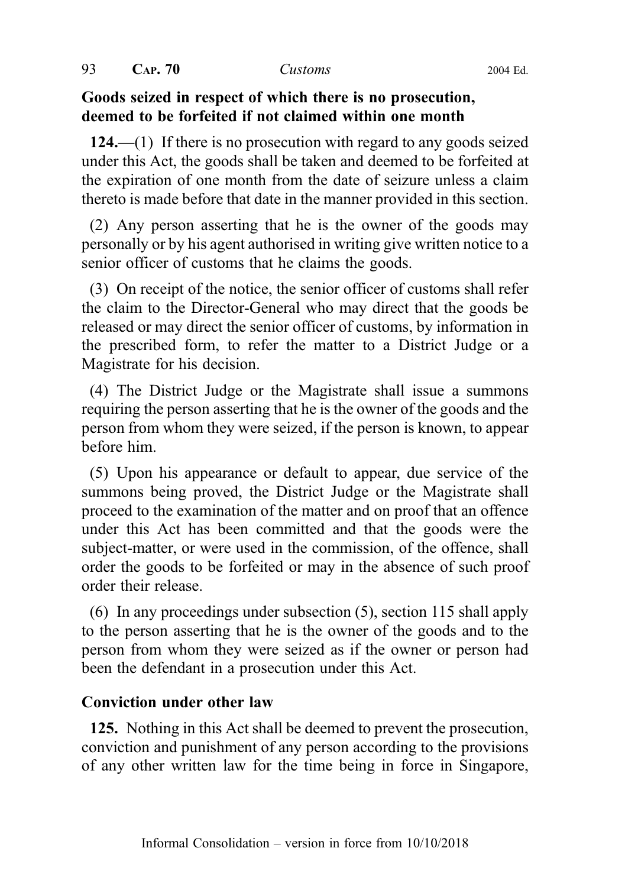### Goods seized in respect of which there is no prosecution, deemed to be forfeited if not claimed within one month

124.—(1) If there is no prosecution with regard to any goods seized under this Act, the goods shall be taken and deemed to be forfeited at the expiration of one month from the date of seizure unless a claim thereto is made before that date in the manner provided in this section.

(2) Any person asserting that he is the owner of the goods may personally or by his agent authorised in writing give written notice to a senior officer of customs that he claims the goods.

(3) On receipt of the notice, the senior officer of customs shall refer the claim to the Director-General who may direct that the goods be released or may direct the senior officer of customs, by information in the prescribed form, to refer the matter to a District Judge or a Magistrate for his decision.

(4) The District Judge or the Magistrate shall issue a summons requiring the person asserting that he is the owner of the goods and the person from whom they were seized, if the person is known, to appear before him.

(5) Upon his appearance or default to appear, due service of the summons being proved, the District Judge or the Magistrate shall proceed to the examination of the matter and on proof that an offence under this Act has been committed and that the goods were the subject-matter, or were used in the commission, of the offence, shall order the goods to be forfeited or may in the absence of such proof order their release.

(6) In any proceedings under subsection (5), section 115 shall apply to the person asserting that he is the owner of the goods and to the person from whom they were seized as if the owner or person had been the defendant in a prosecution under this Act.

### Conviction under other law

125. Nothing in this Act shall be deemed to prevent the prosecution, conviction and punishment of any person according to the provisions of any other written law for the time being in force in Singapore,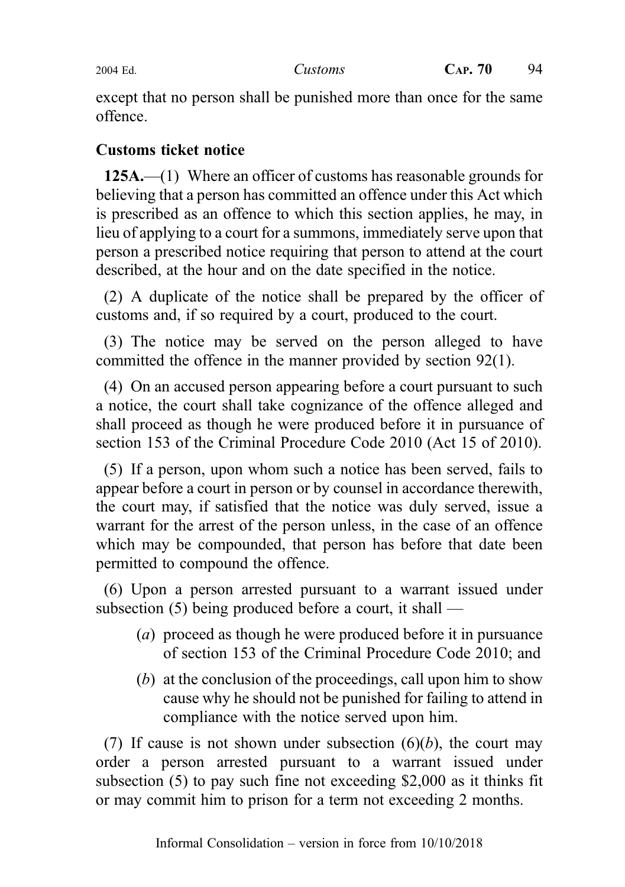except that no person shall be punished more than once for the same offence.

## Customs ticket notice

125A.—(1) Where an officer of customs has reasonable grounds for believing that a person has committed an offence under this Act which is prescribed as an offence to which this section applies, he may, in lieu of applying to a court for a summons, immediately serve upon that person a prescribed notice requiring that person to attend at the court described, at the hour and on the date specified in the notice.

(2) A duplicate of the notice shall be prepared by the officer of customs and, if so required by a court, produced to the court.

(3) The notice may be served on the person alleged to have committed the offence in the manner provided by section 92(1).

(4) On an accused person appearing before a court pursuant to such a notice, the court shall take cognizance of the offence alleged and shall proceed as though he were produced before it in pursuance of section 153 of the Criminal Procedure Code 2010 (Act 15 of 2010).

(5) If a person, upon whom such a notice has been served, fails to appear before a court in person or by counsel in accordance therewith, the court may, if satisfied that the notice was duly served, issue a warrant for the arrest of the person unless, in the case of an offence which may be compounded, that person has before that date been permitted to compound the offence.

(6) Upon a person arrested pursuant to a warrant issued under subsection (5) being produced before a court, it shall —

- (a) proceed as though he were produced before it in pursuance of section 153 of the Criminal Procedure Code 2010; and
- (b) at the conclusion of the proceedings, call upon him to show cause why he should not be punished for failing to attend in compliance with the notice served upon him.

(7) If cause is not shown under subsection  $(6)(b)$ , the court may order a person arrested pursuant to a warrant issued under subsection (5) to pay such fine not exceeding \$2,000 as it thinks fit or may commit him to prison for a term not exceeding 2 months.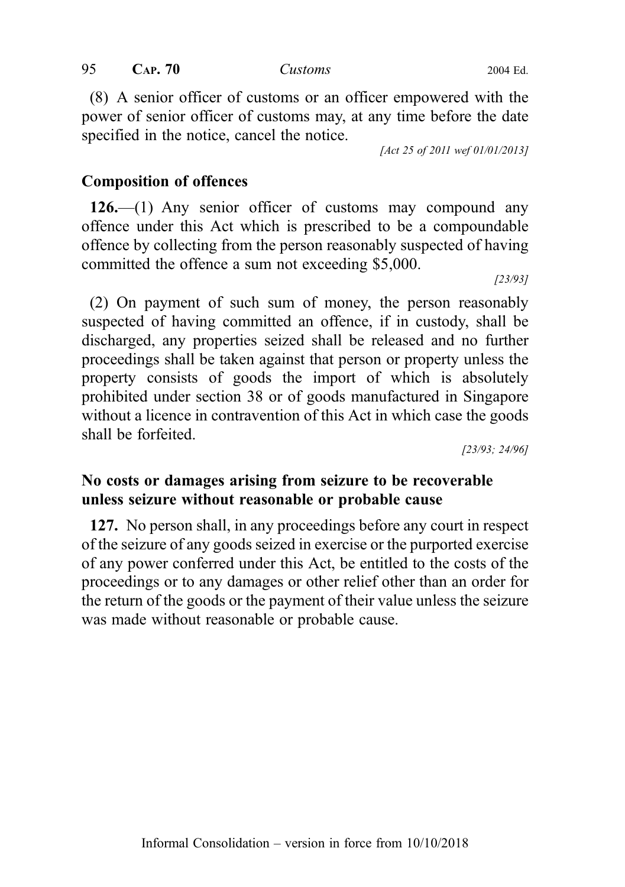(8) A senior officer of customs or an officer empowered with the power of senior officer of customs may, at any time before the date specified in the notice, cancel the notice.

[Act 25 of 2011 wef 01/01/2013]

#### Composition of offences

126.—(1) Any senior officer of customs may compound any offence under this Act which is prescribed to be a compoundable offence by collecting from the person reasonably suspected of having committed the offence a sum not exceeding \$5,000.

[23/93]

(2) On payment of such sum of money, the person reasonably suspected of having committed an offence, if in custody, shall be discharged, any properties seized shall be released and no further proceedings shall be taken against that person or property unless the property consists of goods the import of which is absolutely prohibited under section 38 or of goods manufactured in Singapore without a licence in contravention of this Act in which case the goods shall be forfeited.

[23/93; 24/96]

## No costs or damages arising from seizure to be recoverable unless seizure without reasonable or probable cause

127. No person shall, in any proceedings before any court in respect of the seizure of any goods seized in exercise or the purported exercise of any power conferred under this Act, be entitled to the costs of the proceedings or to any damages or other relief other than an order for the return of the goods or the payment of their value unless the seizure was made without reasonable or probable cause.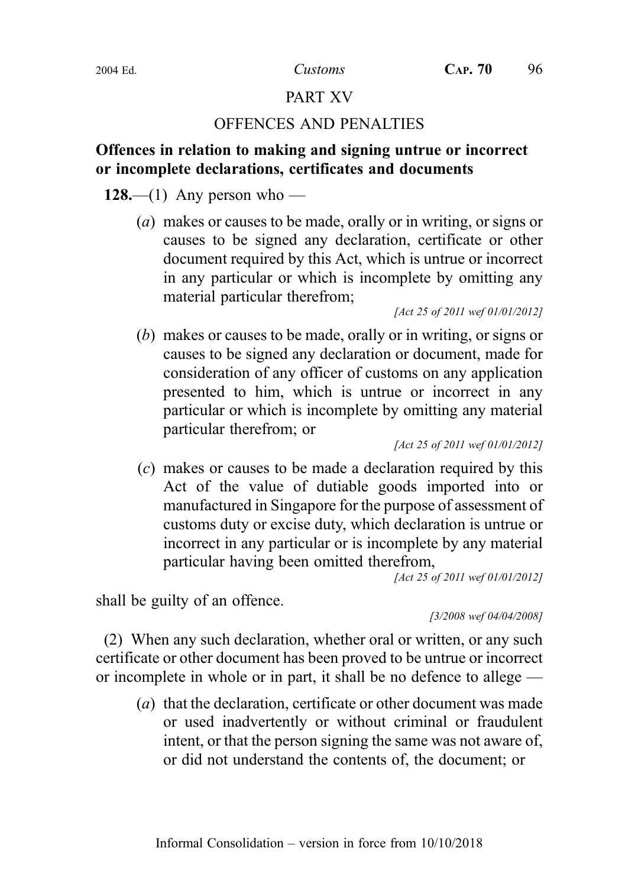## PART XV

### OFFENCES AND PENALTIES

## Offences in relation to making and signing untrue or incorrect or incomplete declarations, certificates and documents

128.—(1) Any person who —

(a) makes or causes to be made, orally or in writing, or signs or causes to be signed any declaration, certificate or other document required by this Act, which is untrue or incorrect in any particular or which is incomplete by omitting any material particular therefrom;

[Act 25 of 2011 wef 01/01/2012]

(b) makes or causes to be made, orally or in writing, or signs or causes to be signed any declaration or document, made for consideration of any officer of customs on any application presented to him, which is untrue or incorrect in any particular or which is incomplete by omitting any material particular therefrom; or

[Act 25 of 2011 wef 01/01/2012]

(c) makes or causes to be made a declaration required by this Act of the value of dutiable goods imported into or manufactured in Singapore for the purpose of assessment of customs duty or excise duty, which declaration is untrue or incorrect in any particular or is incomplete by any material particular having been omitted therefrom,

[Act 25 of 2011 wef 01/01/2012]

shall be guilty of an offence.

[3/2008 wef 04/04/2008]

(2) When any such declaration, whether oral or written, or any such certificate or other document has been proved to be untrue or incorrect or incomplete in whole or in part, it shall be no defence to allege —

(a) that the declaration, certificate or other document was made or used inadvertently or without criminal or fraudulent intent, or that the person signing the same was not aware of, or did not understand the contents of, the document; or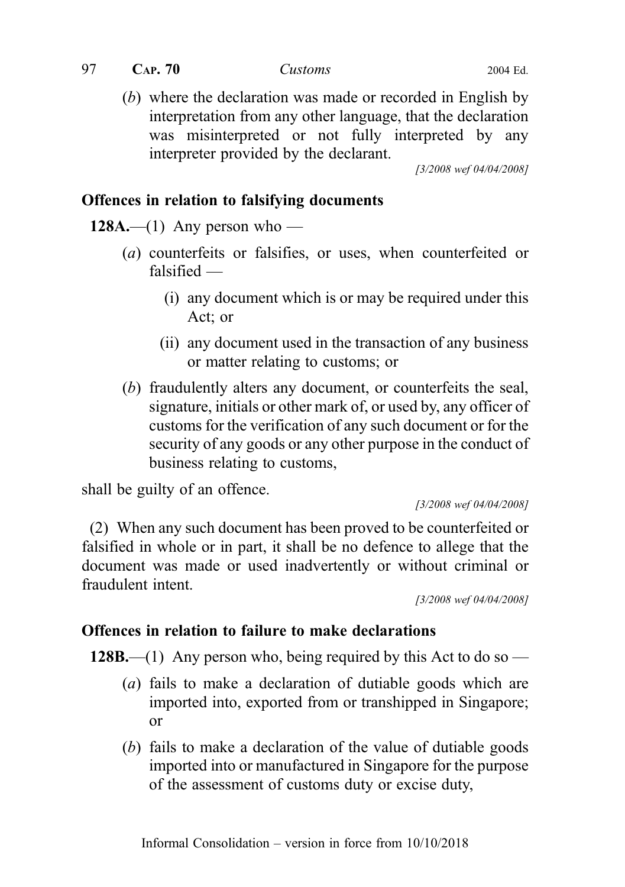$97$  CAP.  $70$  Customs 2004 Ed.

(b) where the declaration was made or recorded in English by interpretation from any other language, that the declaration was misinterpreted or not fully interpreted by any interpreter provided by the declarant.

[3/2008 wef 04/04/2008]

#### Offences in relation to falsifying documents

128A.—(1) Any person who —

- (a) counterfeits or falsifies, or uses, when counterfeited or falsified —
	- (i) any document which is or may be required under this Act; or
	- (ii) any document used in the transaction of any business or matter relating to customs; or
- (b) fraudulently alters any document, or counterfeits the seal, signature, initials or other mark of, or used by, any officer of customs for the verification of any such document or for the security of any goods or any other purpose in the conduct of business relating to customs,

shall be guilty of an offence.

[3/2008 wef 04/04/2008]

(2) When any such document has been proved to be counterfeited or falsified in whole or in part, it shall be no defence to allege that the document was made or used inadvertently or without criminal or fraudulent intent.

[3/2008 wef 04/04/2008]

### Offences in relation to failure to make declarations

128B.—(1) Any person who, being required by this Act to do so —

- (a) fails to make a declaration of dutiable goods which are imported into, exported from or transhipped in Singapore; or
- (b) fails to make a declaration of the value of dutiable goods imported into or manufactured in Singapore for the purpose of the assessment of customs duty or excise duty,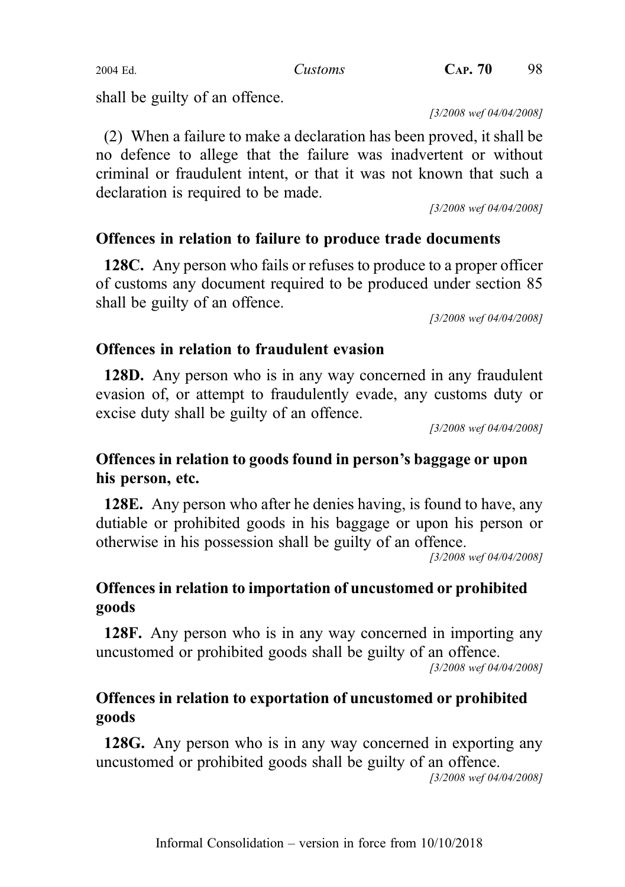shall be guilty of an offence.

[3/2008 wef 04/04/2008]

(2) When a failure to make a declaration has been proved, it shall be no defence to allege that the failure was inadvertent or without criminal or fraudulent intent, or that it was not known that such a declaration is required to be made.

[3/2008 wef 04/04/2008]

# Offences in relation to failure to produce trade documents

128C. Any person who fails or refuses to produce to a proper officer of customs any document required to be produced under section 85 shall be guilty of an offence.

[3/2008 wef 04/04/2008]

## Offences in relation to fraudulent evasion

128D. Any person who is in any way concerned in any fraudulent evasion of, or attempt to fraudulently evade, any customs duty or excise duty shall be guilty of an offence.

[3/2008 wef 04/04/2008]

# Offences in relation to goods found in person's baggage or upon his person, etc.

128E. Any person who after he denies having, is found to have, any dutiable or prohibited goods in his baggage or upon his person or otherwise in his possession shall be guilty of an offence.

[3/2008 wef 04/04/2008]

# Offences in relation to importation of uncustomed or prohibited goods

128F. Any person who is in any way concerned in importing any uncustomed or prohibited goods shall be guilty of an offence.

[3/2008 wef 04/04/2008]

# Offences in relation to exportation of uncustomed or prohibited goods

128G. Any person who is in any way concerned in exporting any uncustomed or prohibited goods shall be guilty of an offence.

[3/2008 wef 04/04/2008]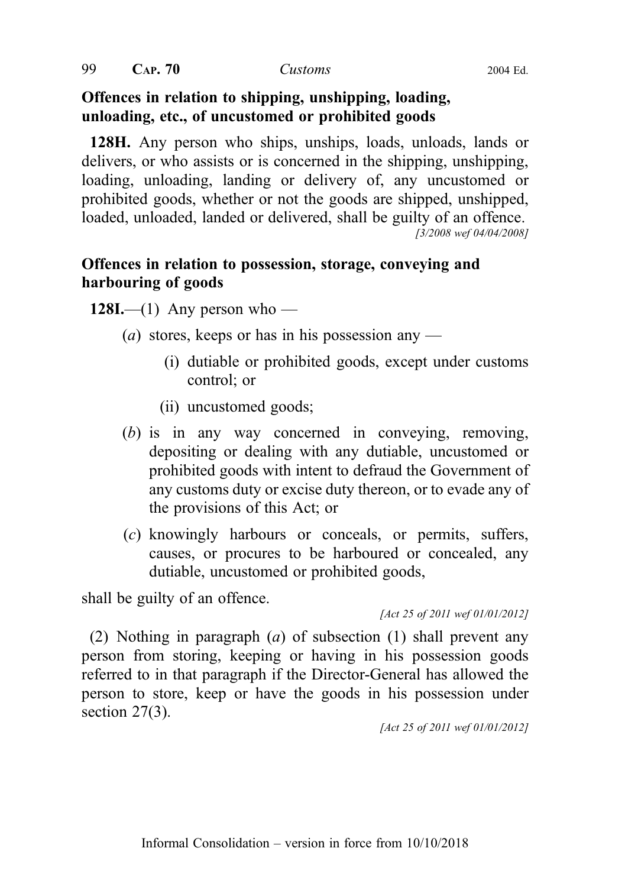$99$  CAP.  $70$  Customs 2004 Ed.

#### Offences in relation to shipping, unshipping, loading, unloading, etc., of uncustomed or prohibited goods

128H. Any person who ships, unships, loads, unloads, lands or delivers, or who assists or is concerned in the shipping, unshipping, loading, unloading, landing or delivery of, any uncustomed or prohibited goods, whether or not the goods are shipped, unshipped, loaded, unloaded, landed or delivered, shall be guilty of an offence. [3/2008 wef 04/04/2008]

## Offences in relation to possession, storage, conveying and harbouring of goods

128I.—(1) Any person who —

- (*a*) stores, keeps or has in his possession any
	- (i) dutiable or prohibited goods, except under customs control; or
	- (ii) uncustomed goods;
- (b) is in any way concerned in conveying, removing, depositing or dealing with any dutiable, uncustomed or prohibited goods with intent to defraud the Government of any customs duty or excise duty thereon, or to evade any of the provisions of this Act; or
- (c) knowingly harbours or conceals, or permits, suffers, causes, or procures to be harboured or concealed, any dutiable, uncustomed or prohibited goods,

shall be guilty of an offence.

[Act 25 of 2011 wef 01/01/2012]

(2) Nothing in paragraph (a) of subsection (1) shall prevent any person from storing, keeping or having in his possession goods referred to in that paragraph if the Director-General has allowed the person to store, keep or have the goods in his possession under section 27(3).

[Act 25 of 2011 wef 01/01/2012]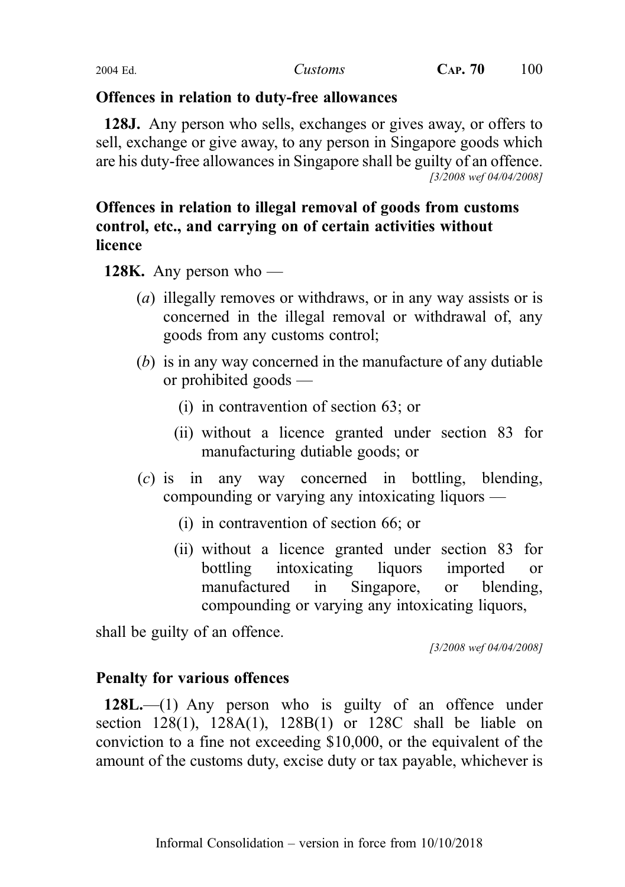## Offences in relation to duty-free allowances

128J. Any person who sells, exchanges or gives away, or offers to sell, exchange or give away, to any person in Singapore goods which are his duty-free allowances in Singapore shall be guilty of an offence. [3/2008 wef 04/04/2008]

# Offences in relation to illegal removal of goods from customs control, etc., and carrying on of certain activities without licence

**128K.** Any person who —

- (a) illegally removes or withdraws, or in any way assists or is concerned in the illegal removal or withdrawal of, any goods from any customs control;
- (b) is in any way concerned in the manufacture of any dutiable or prohibited goods —
	- (i) in contravention of section 63; or
	- (ii) without a licence granted under section 83 for manufacturing dutiable goods; or
- (c) is in any way concerned in bottling, blending, compounding or varying any intoxicating liquors —
	- (i) in contravention of section 66; or
	- (ii) without a licence granted under section 83 for bottling intoxicating liquors imported or manufactured in Singapore, or blending, compounding or varying any intoxicating liquors,

shall be guilty of an offence.

[3/2008 wef 04/04/2008]

# Penalty for various offences

128L.—(1) Any person who is guilty of an offence under section  $128(1)$ ,  $128A(1)$ ,  $128B(1)$  or  $128C$  shall be liable on conviction to a fine not exceeding \$10,000, or the equivalent of the amount of the customs duty, excise duty or tax payable, whichever is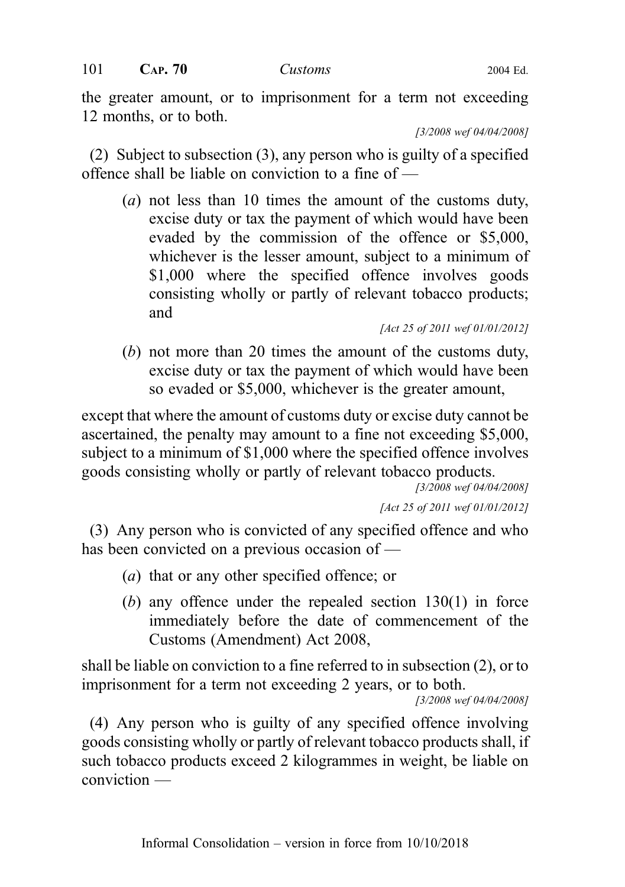the greater amount, or to imprisonment for a term not exceeding 12 months, or to both.

[3/2008 wef 04/04/2008]

(2) Subject to subsection (3), any person who is guilty of a specified offence shall be liable on conviction to a fine of —

(a) not less than 10 times the amount of the customs duty, excise duty or tax the payment of which would have been evaded by the commission of the offence or \$5,000, whichever is the lesser amount, subject to a minimum of \$1,000 where the specified offence involves goods consisting wholly or partly of relevant tobacco products; and

[Act 25 of 2011 wef 01/01/2012]

(b) not more than 20 times the amount of the customs duty, excise duty or tax the payment of which would have been so evaded or \$5,000, whichever is the greater amount,

except that where the amount of customs duty or excise duty cannot be ascertained, the penalty may amount to a fine not exceeding \$5,000, subject to a minimum of \$1,000 where the specified offence involves goods consisting wholly or partly of relevant tobacco products.

[3/2008 wef 04/04/2008]

[Act 25 of 2011 wef 01/01/2012]

(3) Any person who is convicted of any specified offence and who has been convicted on a previous occasion of —

- (a) that or any other specified offence; or
- (b) any offence under the repealed section 130(1) in force immediately before the date of commencement of the Customs (Amendment) Act 2008,

shall be liable on conviction to a fine referred to in subsection (2), or to imprisonment for a term not exceeding 2 years, or to both.

[3/2008 wef 04/04/2008]

(4) Any person who is guilty of any specified offence involving goods consisting wholly or partly of relevant tobacco products shall, if such tobacco products exceed 2 kilogrammes in weight, be liable on conviction —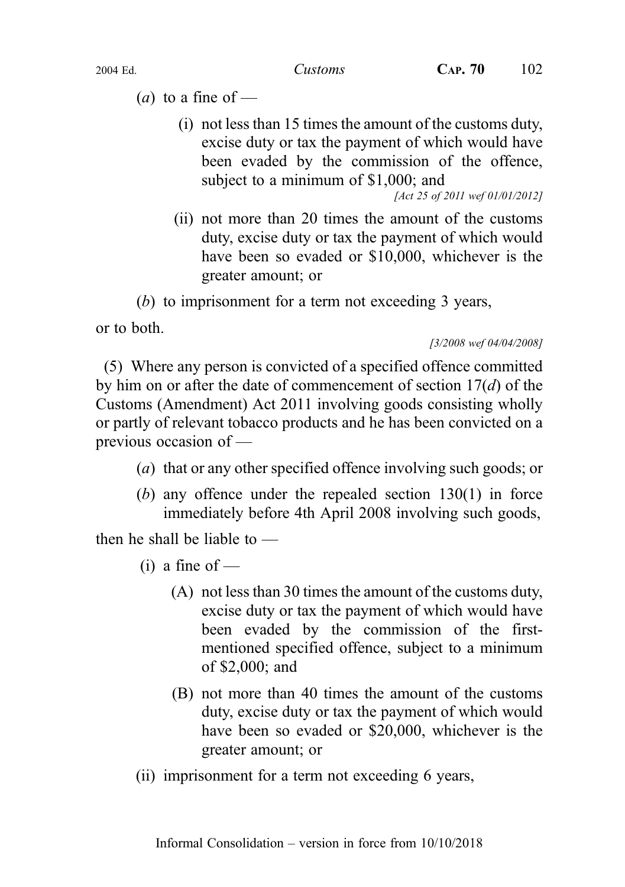- (*a*) to a fine of
	- (i) not less than 15 times the amount of the customs duty, excise duty or tax the payment of which would have been evaded by the commission of the offence, subject to a minimum of \$1,000; and

[Act 25 of 2011 wef 01/01/2012]

(ii) not more than 20 times the amount of the customs duty, excise duty or tax the payment of which would have been so evaded or \$10,000, whichever is the greater amount; or

(b) to imprisonment for a term not exceeding 3 years,

or to both.

[3/2008 wef 04/04/2008]

(5) Where any person is convicted of a specified offence committed by him on or after the date of commencement of section  $17(d)$  of the Customs (Amendment) Act 2011 involving goods consisting wholly or partly of relevant tobacco products and he has been convicted on a previous occasion of —

- (a) that or any other specified offence involving such goods; or
- (b) any offence under the repealed section 130(1) in force immediately before 4th April 2008 involving such goods,

then he shall be liable to —

- $(i)$  a fine of
	- (A) not less than 30 times the amount of the customs duty, excise duty or tax the payment of which would have been evaded by the commission of the firstmentioned specified offence, subject to a minimum of \$2,000; and
	- (B) not more than 40 times the amount of the customs duty, excise duty or tax the payment of which would have been so evaded or \$20,000, whichever is the greater amount; or
- (ii) imprisonment for a term not exceeding 6 years,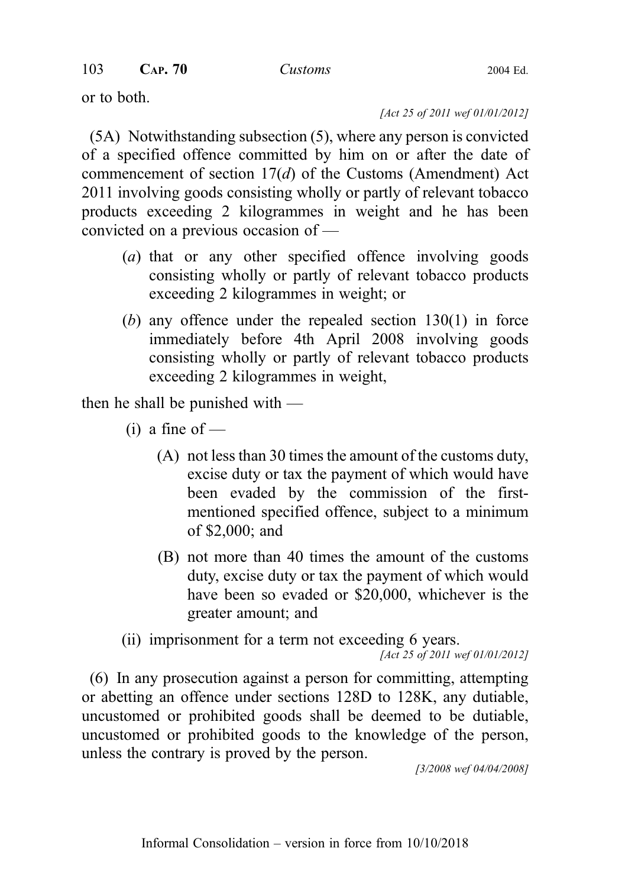or to both.

[Act 25 of 2011 wef 01/01/2012]

(5A) Notwithstanding subsection (5), where any person is convicted of a specified offence committed by him on or after the date of commencement of section  $17(d)$  of the Customs (Amendment) Act 2011 involving goods consisting wholly or partly of relevant tobacco products exceeding 2 kilogrammes in weight and he has been convicted on a previous occasion of —

- (a) that or any other specified offence involving goods consisting wholly or partly of relevant tobacco products exceeding 2 kilogrammes in weight; or
- (b) any offence under the repealed section 130(1) in force immediately before 4th April 2008 involving goods consisting wholly or partly of relevant tobacco products exceeding 2 kilogrammes in weight,

then he shall be punished with —

- $(i)$  a fine of
	- (A) not less than 30 times the amount of the customs duty, excise duty or tax the payment of which would have been evaded by the commission of the firstmentioned specified offence, subject to a minimum of \$2,000; and
	- (B) not more than 40 times the amount of the customs duty, excise duty or tax the payment of which would have been so evaded or \$20,000, whichever is the greater amount; and

(ii) imprisonment for a term not exceeding 6 years.

[Act 25 of 2011 wef 01/01/2012]

(6) In any prosecution against a person for committing, attempting or abetting an offence under sections 128D to 128K, any dutiable, uncustomed or prohibited goods shall be deemed to be dutiable, uncustomed or prohibited goods to the knowledge of the person, unless the contrary is proved by the person.

[3/2008 wef 04/04/2008]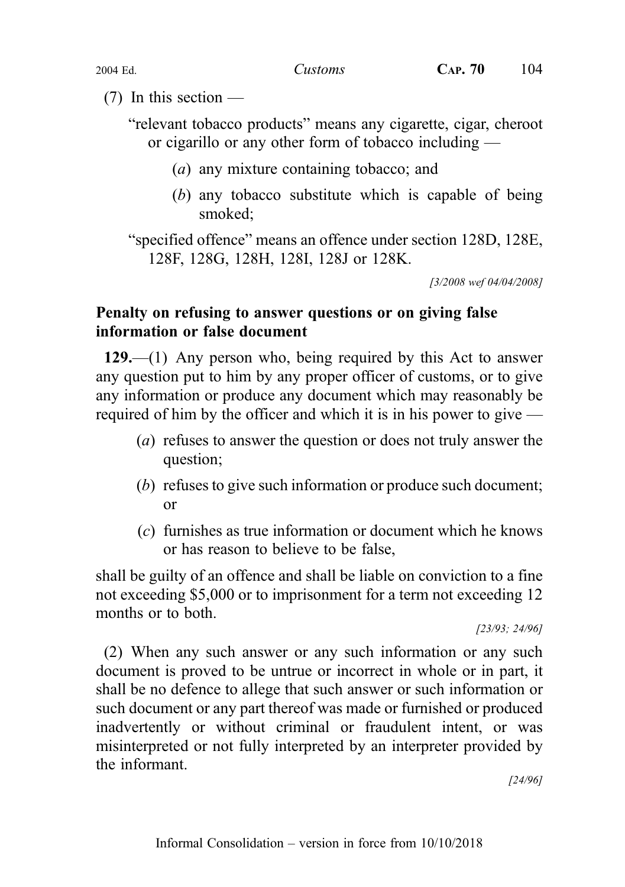$(7)$  In this section —

"relevant tobacco products" means any cigarette, cigar, cheroot or cigarillo or any other form of tobacco including —

- (a) any mixture containing tobacco; and
- (b) any tobacco substitute which is capable of being smoked;

"specified offence" means an offence under section 128D, 128E, 128F, 128G, 128H, 128I, 128J or 128K.

[3/2008 wef 04/04/2008]

## Penalty on refusing to answer questions or on giving false information or false document

129.—(1) Any person who, being required by this Act to answer any question put to him by any proper officer of customs, or to give any information or produce any document which may reasonably be required of him by the officer and which it is in his power to give —

- (a) refuses to answer the question or does not truly answer the question;
- (b) refuses to give such information or produce such document; or
- (c) furnishes as true information or document which he knows or has reason to believe to be false,

shall be guilty of an offence and shall be liable on conviction to a fine not exceeding \$5,000 or to imprisonment for a term not exceeding 12 months or to both.

[23/93; 24/96]

(2) When any such answer or any such information or any such document is proved to be untrue or incorrect in whole or in part, it shall be no defence to allege that such answer or such information or such document or any part thereof was made or furnished or produced inadvertently or without criminal or fraudulent intent, or was misinterpreted or not fully interpreted by an interpreter provided by the informant.

[24/96]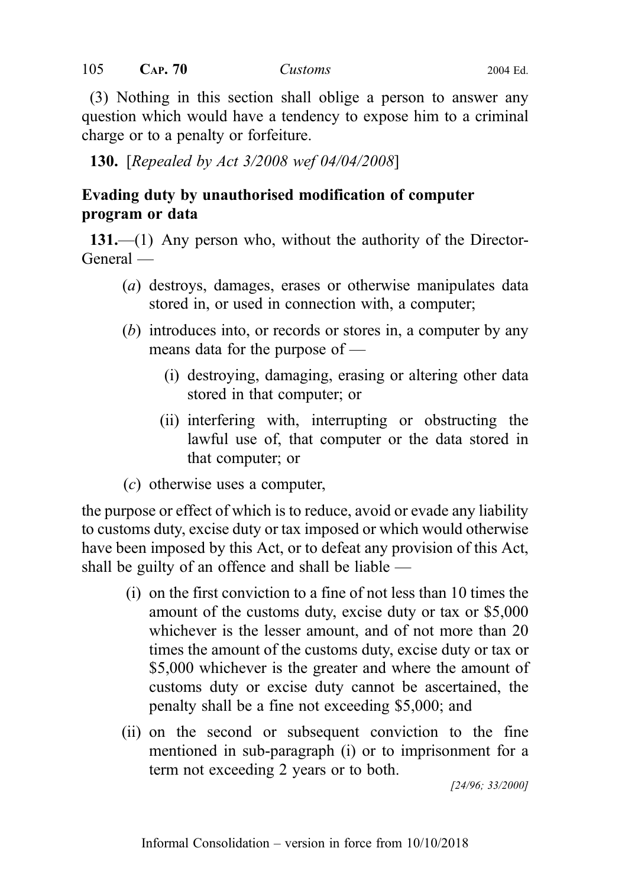(3) Nothing in this section shall oblige a person to answer any question which would have a tendency to expose him to a criminal charge or to a penalty or forfeiture.

130. [Repealed by Act 3/2008 wef 04/04/2008]

# Evading duty by unauthorised modification of computer program or data

131.—(1) Any person who, without the authority of the Director-General —

- (a) destroys, damages, erases or otherwise manipulates data stored in, or used in connection with, a computer;
- (b) introduces into, or records or stores in, a computer by any means data for the purpose of —
	- (i) destroying, damaging, erasing or altering other data stored in that computer; or
	- (ii) interfering with, interrupting or obstructing the lawful use of, that computer or the data stored in that computer; or
- (c) otherwise uses a computer,

the purpose or effect of which is to reduce, avoid or evade any liability to customs duty, excise duty or tax imposed or which would otherwise have been imposed by this Act, or to defeat any provision of this Act, shall be guilty of an offence and shall be liable —

- (i) on the first conviction to a fine of not less than 10 times the amount of the customs duty, excise duty or tax or \$5,000 whichever is the lesser amount, and of not more than 20 times the amount of the customs duty, excise duty or tax or \$5,000 whichever is the greater and where the amount of customs duty or excise duty cannot be ascertained, the penalty shall be a fine not exceeding \$5,000; and
- (ii) on the second or subsequent conviction to the fine mentioned in sub‑paragraph (i) or to imprisonment for a term not exceeding 2 years or to both.

[24/96; 33/2000]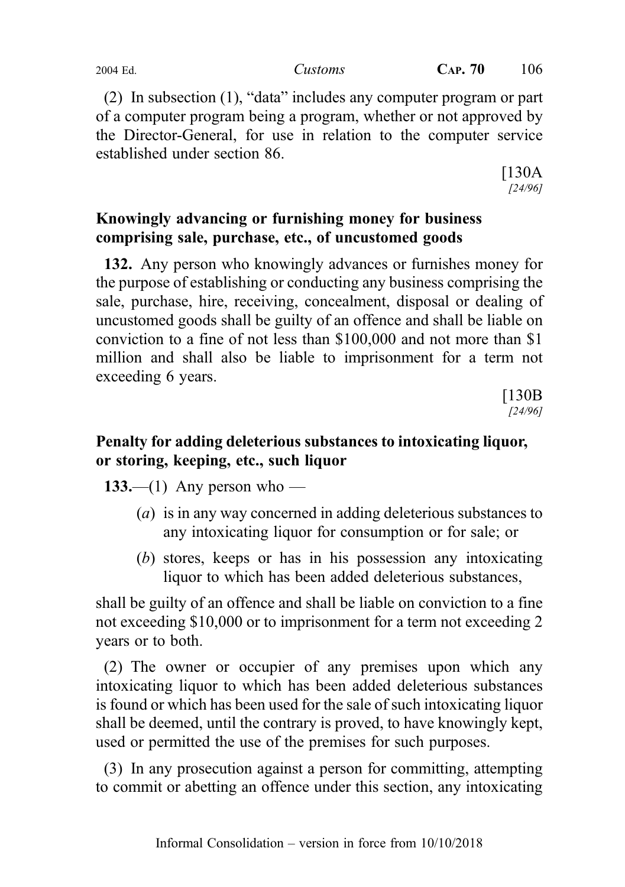(2) In subsection (1), "data" includes any computer program or part of a computer program being a program, whether or not approved by the Director-General, for use in relation to the computer service established under section 86.

> [130A [24/96]

# Knowingly advancing or furnishing money for business comprising sale, purchase, etc., of uncustomed goods

132. Any person who knowingly advances or furnishes money for the purpose of establishing or conducting any business comprising the sale, purchase, hire, receiving, concealment, disposal or dealing of uncustomed goods shall be guilty of an offence and shall be liable on conviction to a fine of not less than \$100,000 and not more than \$1 million and shall also be liable to imprisonment for a term not exceeding 6 years.

> [130B [24/96]

# Penalty for adding deleterious substances to intoxicating liquor, or storing, keeping, etc., such liquor

133.—(1) Any person who —

- (a) is in any way concerned in adding deleterious substances to any intoxicating liquor for consumption or for sale; or
- (b) stores, keeps or has in his possession any intoxicating liquor to which has been added deleterious substances,

shall be guilty of an offence and shall be liable on conviction to a fine not exceeding \$10,000 or to imprisonment for a term not exceeding 2 years or to both.

(2) The owner or occupier of any premises upon which any intoxicating liquor to which has been added deleterious substances is found or which has been used for the sale of such intoxicating liquor shall be deemed, until the contrary is proved, to have knowingly kept, used or permitted the use of the premises for such purposes.

(3) In any prosecution against a person for committing, attempting to commit or abetting an offence under this section, any intoxicating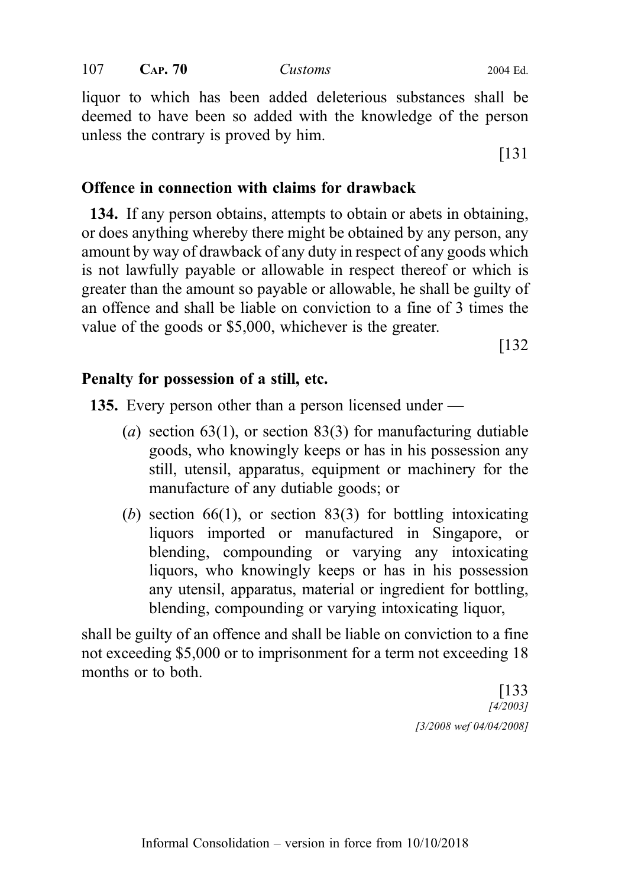107 **CAP. 70** *Customs* 2004 Ed.

liquor to which has been added deleterious substances shall be deemed to have been so added with the knowledge of the person unless the contrary is proved by him.

[131

### Offence in connection with claims for drawback

134. If any person obtains, attempts to obtain or abets in obtaining, or does anything whereby there might be obtained by any person, any amount by way of drawback of any duty in respect of any goods which is not lawfully payable or allowable in respect thereof or which is greater than the amount so payable or allowable, he shall be guilty of an offence and shall be liable on conviction to a fine of 3 times the value of the goods or \$5,000, whichever is the greater.

[132

#### Penalty for possession of a still, etc.

135. Every person other than a person licensed under —

- (a) section 63(1), or section 83(3) for manufacturing dutiable goods, who knowingly keeps or has in his possession any still, utensil, apparatus, equipment or machinery for the manufacture of any dutiable goods; or
- (b) section 66(1), or section 83(3) for bottling intoxicating liquors imported or manufactured in Singapore, or blending, compounding or varying any intoxicating liquors, who knowingly keeps or has in his possession any utensil, apparatus, material or ingredient for bottling, blending, compounding or varying intoxicating liquor,

shall be guilty of an offence and shall be liable on conviction to a fine not exceeding \$5,000 or to imprisonment for a term not exceeding 18 months or to both.

> [133 [4/2003] [3/2008 wef 04/04/2008]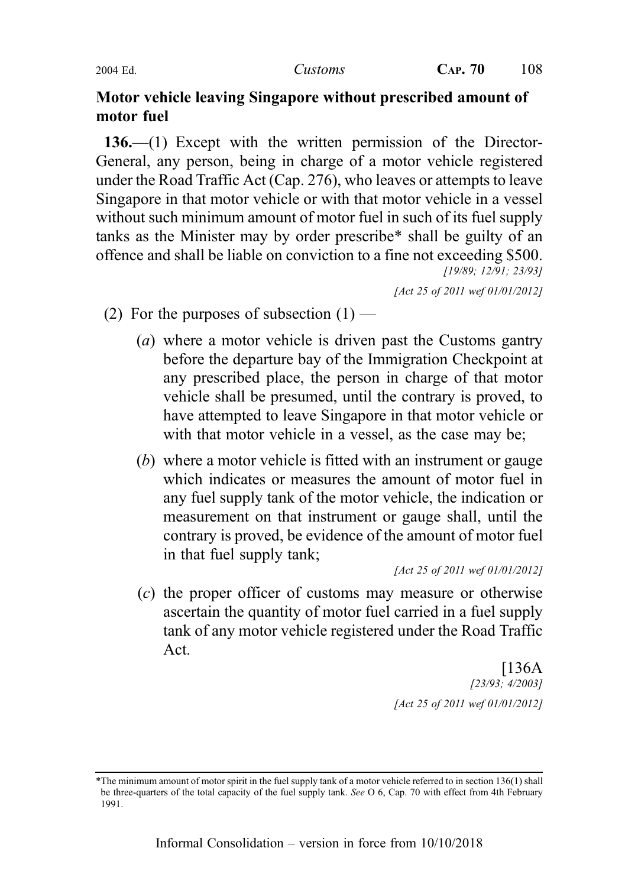## Motor vehicle leaving Singapore without prescribed amount of motor fuel

136.—(1) Except with the written permission of the Director-General, any person, being in charge of a motor vehicle registered under the Road Traffic Act (Cap. 276), who leaves or attempts to leave Singapore in that motor vehicle or with that motor vehicle in a vessel without such minimum amount of motor fuel in such of its fuel supply tanks as the Minister may by order prescribe\* shall be guilty of an offence and shall be liable on conviction to a fine not exceeding \$500. [19/89; 12/91; 23/93]

[Act 25 of 2011 wef 01/01/2012]

- (2) For the purposes of subsection  $(1)$ 
	- (a) where a motor vehicle is driven past the Customs gantry before the departure bay of the Immigration Checkpoint at any prescribed place, the person in charge of that motor vehicle shall be presumed, until the contrary is proved, to have attempted to leave Singapore in that motor vehicle or with that motor vehicle in a vessel, as the case may be;
	- (b) where a motor vehicle is fitted with an instrument or gauge which indicates or measures the amount of motor fuel in any fuel supply tank of the motor vehicle, the indication or measurement on that instrument or gauge shall, until the contrary is proved, be evidence of the amount of motor fuel in that fuel supply tank;

[Act 25 of 2011 wef 01/01/2012]

(c) the proper officer of customs may measure or otherwise ascertain the quantity of motor fuel carried in a fuel supply tank of any motor vehicle registered under the Road Traffic Act.

> [136A [23/93; 4/2003] [Act 25 of 2011 wef 01/01/2012]

<sup>\*</sup>The minimum amount of motor spirit in the fuel supply tank of a motor vehicle referred to in section 136(1) shall be three-quarters of the total capacity of the fuel supply tank. See O 6, Cap. 70 with effect from 4th February 1991.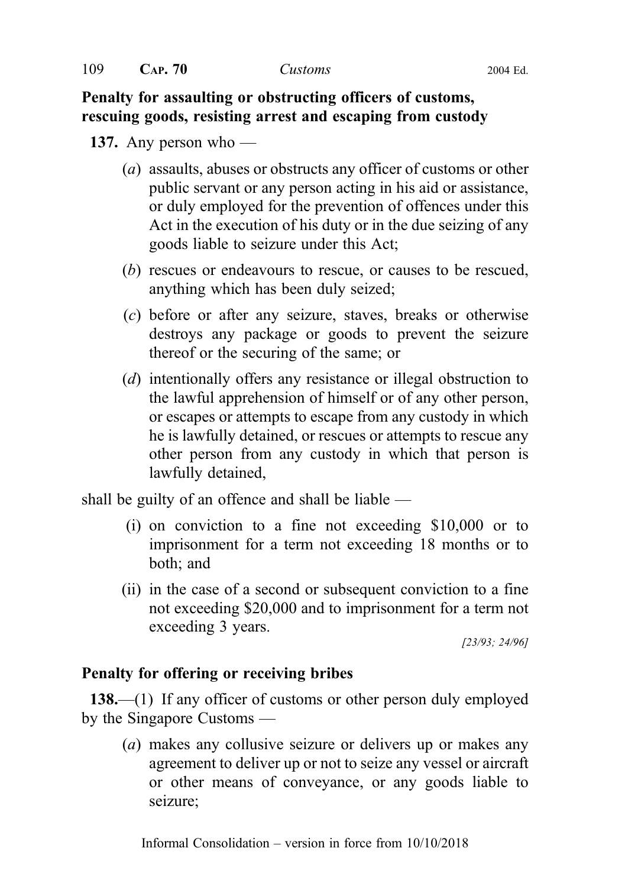## Penalty for assaulting or obstructing officers of customs, rescuing goods, resisting arrest and escaping from custody

## 137. Any person who —

- (a) assaults, abuses or obstructs any officer of customs or other public servant or any person acting in his aid or assistance, or duly employed for the prevention of offences under this Act in the execution of his duty or in the due seizing of any goods liable to seizure under this Act;
- (b) rescues or endeavours to rescue, or causes to be rescued, anything which has been duly seized;
- (c) before or after any seizure, staves, breaks or otherwise destroys any package or goods to prevent the seizure thereof or the securing of the same; or
- (d) intentionally offers any resistance or illegal obstruction to the lawful apprehension of himself or of any other person, or escapes or attempts to escape from any custody in which he is lawfully detained, or rescues or attempts to rescue any other person from any custody in which that person is lawfully detained,

shall be guilty of an offence and shall be liable  $-$ 

- (i) on conviction to a fine not exceeding \$10,000 or to imprisonment for a term not exceeding 18 months or to both; and
- (ii) in the case of a second or subsequent conviction to a fine not exceeding \$20,000 and to imprisonment for a term not exceeding 3 years.

[23/93; 24/96]

## Penalty for offering or receiving bribes

138.—(1) If any officer of customs or other person duly employed by the Singapore Customs —

(a) makes any collusive seizure or delivers up or makes any agreement to deliver up or not to seize any vessel or aircraft or other means of conveyance, or any goods liable to seizure;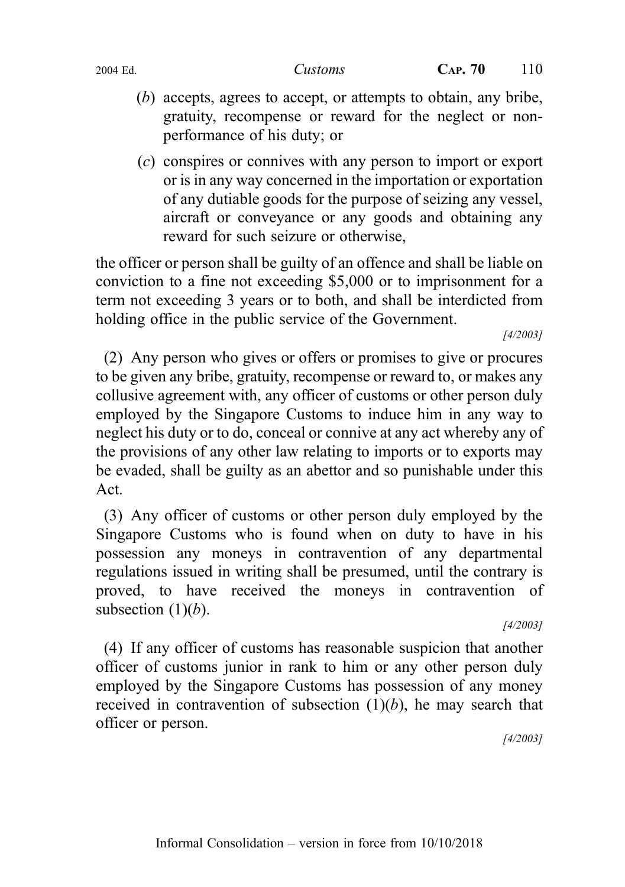- (b) accepts, agrees to accept, or attempts to obtain, any bribe, gratuity, recompense or reward for the neglect or nonperformance of his duty; or
- (c) conspires or connives with any person to import or export or is in any way concerned in the importation or exportation of any dutiable goods for the purpose of seizing any vessel, aircraft or conveyance or any goods and obtaining any reward for such seizure or otherwise,

the officer or person shall be guilty of an offence and shall be liable on conviction to a fine not exceeding \$5,000 or to imprisonment for a term not exceeding 3 years or to both, and shall be interdicted from holding office in the public service of the Government.

[4/2003]

(2) Any person who gives or offers or promises to give or procures to be given any bribe, gratuity, recompense or reward to, or makes any collusive agreement with, any officer of customs or other person duly employed by the Singapore Customs to induce him in any way to neglect his duty or to do, conceal or connive at any act whereby any of the provisions of any other law relating to imports or to exports may be evaded, shall be guilty as an abettor and so punishable under this Act.

(3) Any officer of customs or other person duly employed by the Singapore Customs who is found when on duty to have in his possession any moneys in contravention of any departmental regulations issued in writing shall be presumed, until the contrary is proved, to have received the moneys in contravention of subsection  $(1)(b)$ .

[4/2003]

(4) If any officer of customs has reasonable suspicion that another officer of customs junior in rank to him or any other person duly employed by the Singapore Customs has possession of any money received in contravention of subsection  $(1)(b)$ , he may search that officer or person.

[4/2003]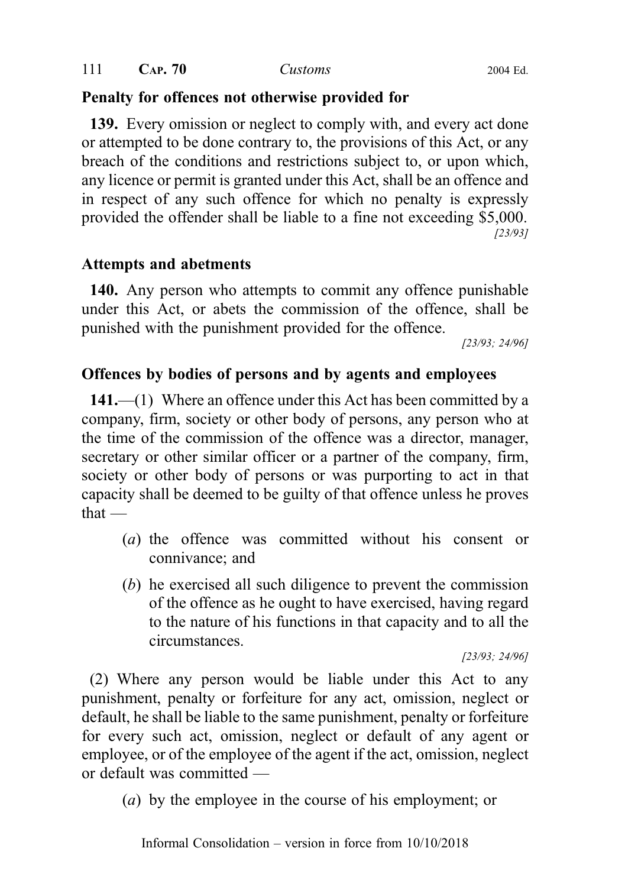# Penalty for offences not otherwise provided for

139. Every omission or neglect to comply with, and every act done or attempted to be done contrary to, the provisions of this Act, or any breach of the conditions and restrictions subject to, or upon which, any licence or permit is granted under this Act, shall be an offence and in respect of any such offence for which no penalty is expressly provided the offender shall be liable to a fine not exceeding \$5,000. [23/93]

## Attempts and abetments

140. Any person who attempts to commit any offence punishable under this Act, or abets the commission of the offence, shall be punished with the punishment provided for the offence.

[23/93; 24/96]

## Offences by bodies of persons and by agents and employees

141.—(1) Where an offence under this Act has been committed by a company, firm, society or other body of persons, any person who at the time of the commission of the offence was a director, manager, secretary or other similar officer or a partner of the company, firm, society or other body of persons or was purporting to act in that capacity shall be deemed to be guilty of that offence unless he proves that —

- (a) the offence was committed without his consent or connivance; and
- (b) he exercised all such diligence to prevent the commission of the offence as he ought to have exercised, having regard to the nature of his functions in that capacity and to all the circumstances.

[23/93; 24/96]

(2) Where any person would be liable under this Act to any punishment, penalty or forfeiture for any act, omission, neglect or default, he shall be liable to the same punishment, penalty or forfeiture for every such act, omission, neglect or default of any agent or employee, or of the employee of the agent if the act, omission, neglect or default was committed —

(a) by the employee in the course of his employment; or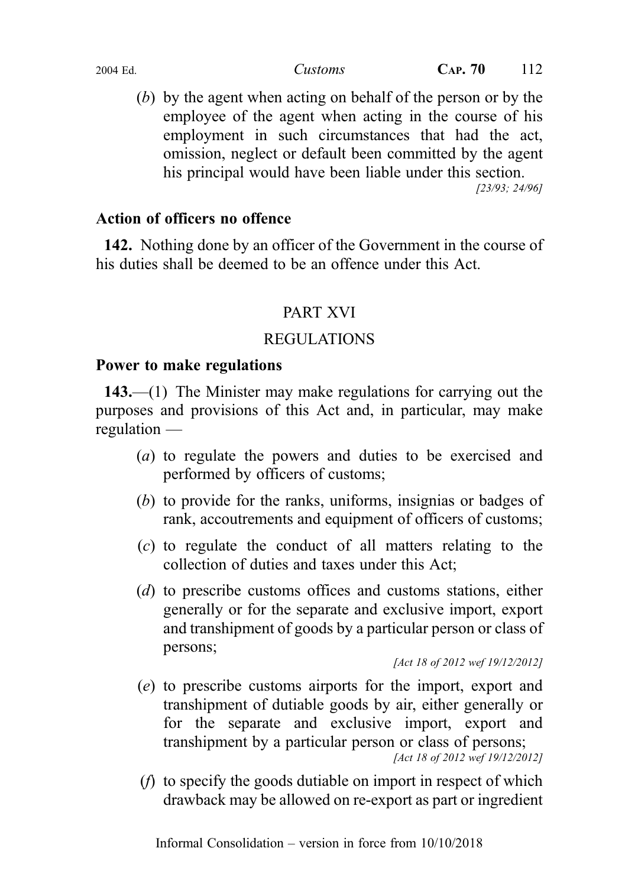(b) by the agent when acting on behalf of the person or by the employee of the agent when acting in the course of his employment in such circumstances that had the act, omission, neglect or default been committed by the agent his principal would have been liable under this section.

[23/93; 24/96]

## Action of officers no offence

142. Nothing done by an officer of the Government in the course of his duties shall be deemed to be an offence under this Act.

## PART XVI

## REGULATIONS

## Power to make regulations

143.—(1) The Minister may make regulations for carrying out the purposes and provisions of this Act and, in particular, may make regulation —

- (a) to regulate the powers and duties to be exercised and performed by officers of customs;
- (b) to provide for the ranks, uniforms, insignias or badges of rank, accoutrements and equipment of officers of customs;
- (c) to regulate the conduct of all matters relating to the collection of duties and taxes under this Act;
- (d) to prescribe customs offices and customs stations, either generally or for the separate and exclusive import, export and transhipment of goods by a particular person or class of persons;

[Act 18 of 2012 wef 19/12/2012]

- (e) to prescribe customs airports for the import, export and transhipment of dutiable goods by air, either generally or for the separate and exclusive import, export and transhipment by a particular person or class of persons; [Act 18 of 2012 wef 19/12/2012]
- (f) to specify the goods dutiable on import in respect of which drawback may be allowed on re-export as part or ingredient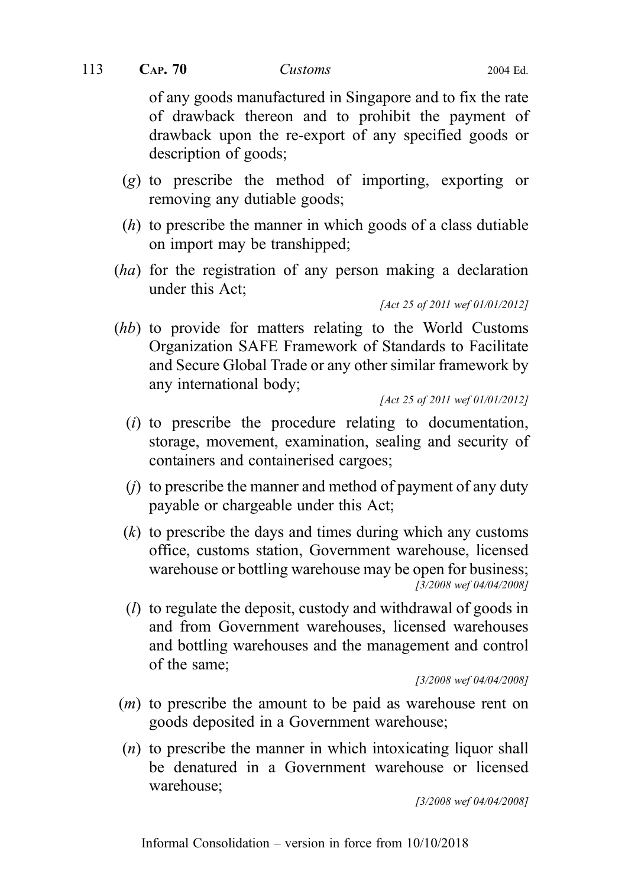of any goods manufactured in Singapore and to fix the rate of drawback thereon and to prohibit the payment of drawback upon the re-export of any specified goods or description of goods;

- (g) to prescribe the method of importing, exporting or removing any dutiable goods;
- (h) to prescribe the manner in which goods of a class dutiable on import may be transhipped;
- (ha) for the registration of any person making a declaration under this Act;

[Act 25 of 2011 wef 01/01/2012]

(hb) to provide for matters relating to the World Customs Organization SAFE Framework of Standards to Facilitate and Secure Global Trade or any other similar framework by any international body;

[Act 25 of 2011 wef 01/01/2012]

- (i) to prescribe the procedure relating to documentation, storage, movement, examination, sealing and security of containers and containerised cargoes;
- $(j)$  to prescribe the manner and method of payment of any duty payable or chargeable under this Act;
- $(k)$  to prescribe the days and times during which any customs office, customs station, Government warehouse, licensed warehouse or bottling warehouse may be open for business; [3/2008 wef 04/04/2008]
- (l) to regulate the deposit, custody and withdrawal of goods in and from Government warehouses, licensed warehouses and bottling warehouses and the management and control of the same;

[3/2008 wef 04/04/2008]

- (m) to prescribe the amount to be paid as warehouse rent on goods deposited in a Government warehouse;
- $(n)$  to prescribe the manner in which intoxicating liquor shall be denatured in a Government warehouse or licensed warehouse;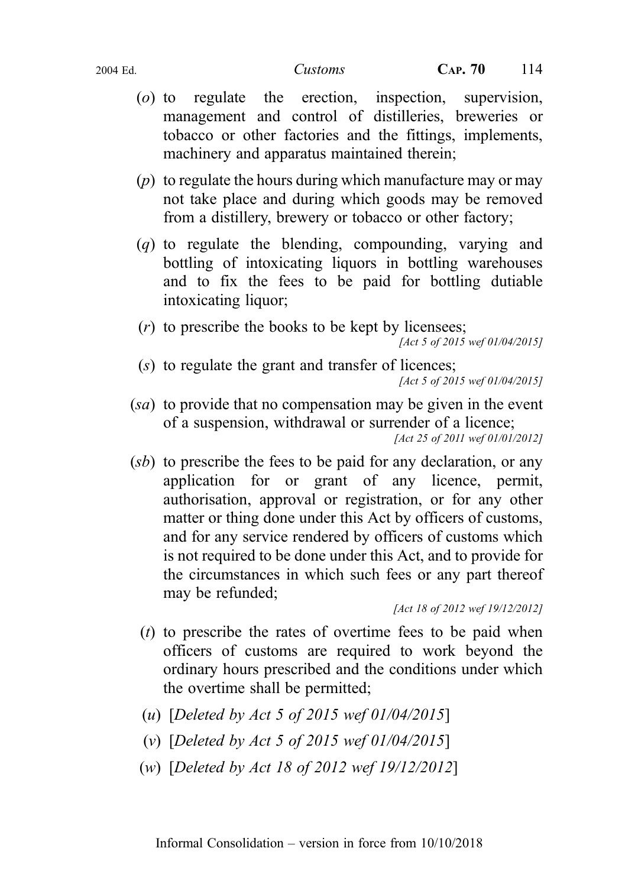- (o) to regulate the erection, inspection, supervision, management and control of distilleries, breweries or tobacco or other factories and the fittings, implements, machinery and apparatus maintained therein;
- $(p)$  to regulate the hours during which manufacture may or may not take place and during which goods may be removed from a distillery, brewery or tobacco or other factory;
- (q) to regulate the blending, compounding, varying and bottling of intoxicating liquors in bottling warehouses and to fix the fees to be paid for bottling dutiable intoxicating liquor;
- (r) to prescribe the books to be kept by licensees; [Act 5 of 2015 wef 01/04/2015]
- (s) to regulate the grant and transfer of licences; [Act 5 of 2015 wef 01/04/2015]
- (sa) to provide that no compensation may be given in the event of a suspension, withdrawal or surrender of a licence; [Act 25 of 2011 wef 01/01/2012]
- (sb) to prescribe the fees to be paid for any declaration, or any application for or grant of any licence, permit, authorisation, approval or registration, or for any other matter or thing done under this Act by officers of customs, and for any service rendered by officers of customs which is not required to be done under this Act, and to provide for the circumstances in which such fees or any part thereof may be refunded;

[Act 18 of 2012 wef 19/12/2012]

- $(t)$  to prescribe the rates of overtime fees to be paid when officers of customs are required to work beyond the ordinary hours prescribed and the conditions under which the overtime shall be permitted;
- (u) [Deleted by Act 5 of 2015 wef 01/04/2015]
- (v) [Deleted by Act 5 of 2015 wef  $01/04/2015$ ]
- (w) [Deleted by Act 18 of 2012 wef 19/12/2012]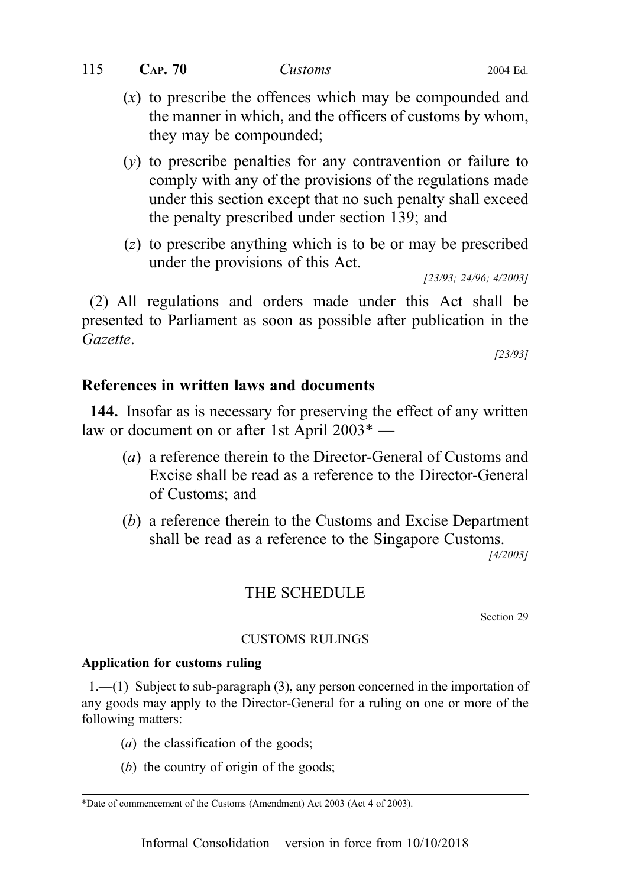| 115 | CAP.70 | Customs | 2004 Ed. |
|-----|--------|---------|----------|
|     |        |         |          |

- $(x)$  to prescribe the offences which may be compounded and the manner in which, and the officers of customs by whom, they may be compounded;
- (y) to prescribe penalties for any contravention or failure to comply with any of the provisions of the regulations made under this section except that no such penalty shall exceed the penalty prescribed under section 139; and
- (z) to prescribe anything which is to be or may be prescribed under the provisions of this Act.

[23/93; 24/96; 4/2003]

(2) All regulations and orders made under this Act shall be presented to Parliament as soon as possible after publication in the Gazette.

[23/93]

## References in written laws and documents

144. Insofar as is necessary for preserving the effect of any written law or document on or after 1st April 2003\* —

- (a) a reference therein to the Director-General of Customs and Excise shall be read as a reference to the Director-General of Customs; and
- (b) a reference therein to the Customs and Excise Department shall be read as a reference to the Singapore Customs.

[4/2003]

## THE SCHEDULE

Section 29

#### CUSTOMS RULINGS

#### Application for customs ruling

 $1.$ —(1) Subject to sub-paragraph (3), any person concerned in the importation of any goods may apply to the Director-General for a ruling on one or more of the following matters:

- (*a*) the classification of the goods;
- (b) the country of origin of the goods;

<sup>\*</sup>Date of commencement of the Customs (Amendment) Act 2003 (Act 4 of 2003).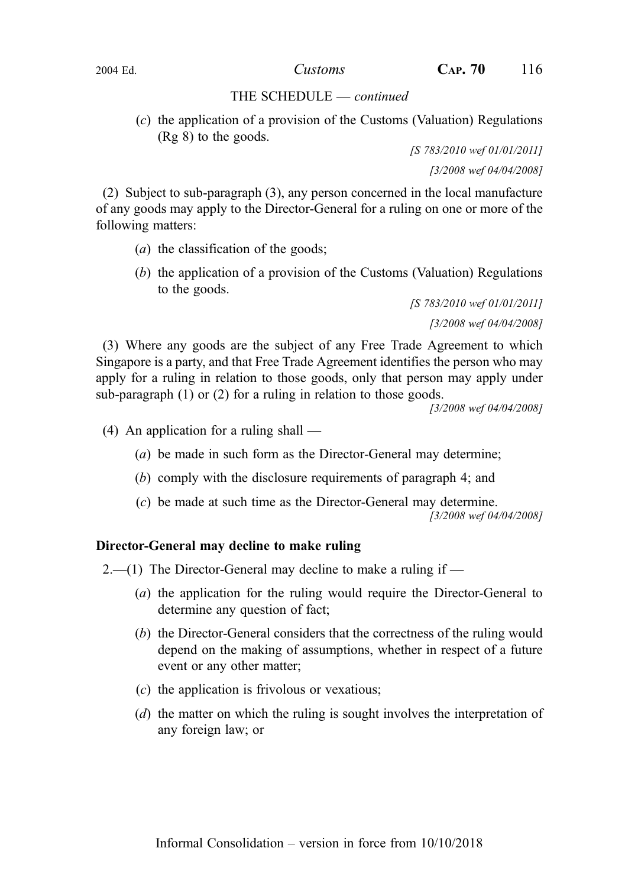(c) the application of a provision of the Customs (Valuation) Regulations (Rg 8) to the goods.

> [S 783/2010 wef 01/01/2011] [3/2008 wef 04/04/2008]

(2) Subject to sub‑paragraph (3), any person concerned in the local manufacture of any goods may apply to the Director-General for a ruling on one or more of the following matters:

- (*a*) the classification of the goods;
- (b) the application of a provision of the Customs (Valuation) Regulations to the goods.

[S 783/2010 wef 01/01/2011] [3/2008 wef 04/04/2008]

(3) Where any goods are the subject of any Free Trade Agreement to which Singapore is a party, and that Free Trade Agreement identifies the person who may apply for a ruling in relation to those goods, only that person may apply under sub-paragraph  $(1)$  or  $(2)$  for a ruling in relation to those goods.

[3/2008 wef 04/04/2008]

(4) An application for a ruling shall —

- (a) be made in such form as the Director-General may determine;
- (b) comply with the disclosure requirements of paragraph 4; and
- (c) be made at such time as the Director-General may determine.

[3/2008 wef 04/04/2008]

#### Director-General may decline to make ruling

 $2-$ (1) The Director-General may decline to make a ruling if  $-$ 

- (a) the application for the ruling would require the Director-General to determine any question of fact;
- (b) the Director-General considers that the correctness of the ruling would depend on the making of assumptions, whether in respect of a future event or any other matter;
- $(c)$  the application is frivolous or vexatious;
- (d) the matter on which the ruling is sought involves the interpretation of any foreign law; or

2004 Ed.  $\qquad \qquad \qquad \qquad \text{Customs} \qquad \qquad \text{CAP. 70} \qquad \qquad \text{116}$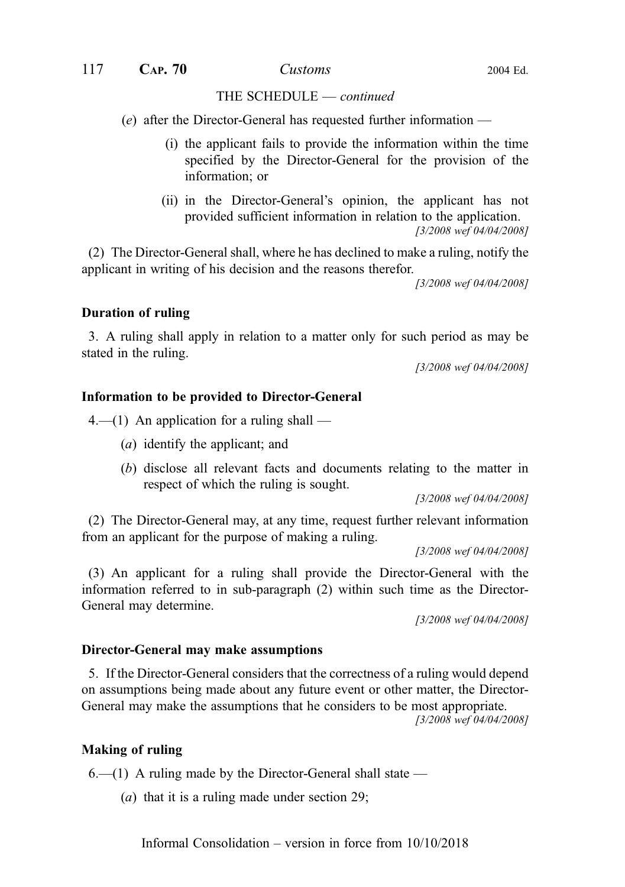(e) after the Director-General has requested further information —

- (i) the applicant fails to provide the information within the time specified by the Director-General for the provision of the information; or
- (ii) in the Director-General's opinion, the applicant has not provided sufficient information in relation to the application. [3/2008 wef 04/04/2008]

(2) The Director-General shall, where he has declined to make a ruling, notify the applicant in writing of his decision and the reasons therefor.

[3/2008 wef 04/04/2008]

#### Duration of ruling

3. A ruling shall apply in relation to a matter only for such period as may be stated in the ruling.

[3/2008 wef 04/04/2008]

#### Information to be provided to Director-General

 $4-$ (1) An application for a ruling shall —

- (a) identify the applicant; and
- (b) disclose all relevant facts and documents relating to the matter in respect of which the ruling is sought.

[3/2008 wef 04/04/2008]

(2) The Director-General may, at any time, request further relevant information from an applicant for the purpose of making a ruling.

[3/2008 wef 04/04/2008]

(3) An applicant for a ruling shall provide the Director-General with the information referred to in sub-paragraph  $(2)$  within such time as the Director-General may determine.

[3/2008 wef 04/04/2008]

#### Director-General may make assumptions

5. If the Director-General considers that the correctness of a ruling would depend on assumptions being made about any future event or other matter, the Director-General may make the assumptions that he considers to be most appropriate.

[3/2008 wef 04/04/2008]

#### Making of ruling

 $6.$ —(1) A ruling made by the Director-General shall state —

(a) that it is a ruling made under section 29;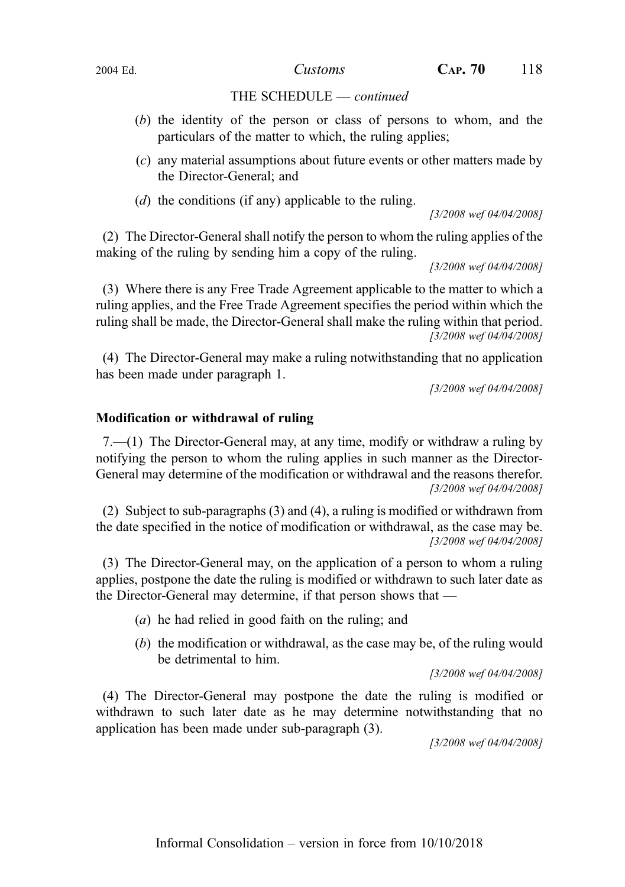- (b) the identity of the person or class of persons to whom, and the particulars of the matter to which, the ruling applies;
- (c) any material assumptions about future events or other matters made by the Director-General; and
- (d) the conditions (if any) applicable to the ruling.

[3/2008 wef 04/04/2008]

(2) The Director-General shall notify the person to whom the ruling applies of the making of the ruling by sending him a copy of the ruling.

[3/2008 wef 04/04/2008]

(3) Where there is any Free Trade Agreement applicable to the matter to which a ruling applies, and the Free Trade Agreement specifies the period within which the ruling shall be made, the Director-General shall make the ruling within that period. [3/2008 wef 04/04/2008]

(4) The Director-General may make a ruling notwithstanding that no application has been made under paragraph 1.

[3/2008 wef 04/04/2008]

## Modification or withdrawal of ruling

7.—(1) The Director-General may, at any time, modify or withdraw a ruling by notifying the person to whom the ruling applies in such manner as the Director-General may determine of the modification or withdrawal and the reasons therefor. [3/2008 wef 04/04/2008]

(2) Subject to sub-paragraphs  $(3)$  and  $(4)$ , a ruling is modified or withdrawn from the date specified in the notice of modification or withdrawal, as the case may be. [3/2008 wef 04/04/2008]

(3) The Director-General may, on the application of a person to whom a ruling applies, postpone the date the ruling is modified or withdrawn to such later date as the Director-General may determine, if that person shows that —

- (a) he had relied in good faith on the ruling; and
- (b) the modification or withdrawal, as the case may be, of the ruling would be detrimental to him.

[3/2008 wef 04/04/2008]

(4) The Director-General may postpone the date the ruling is modified or withdrawn to such later date as he may determine notwithstanding that no application has been made under sub‑paragraph (3).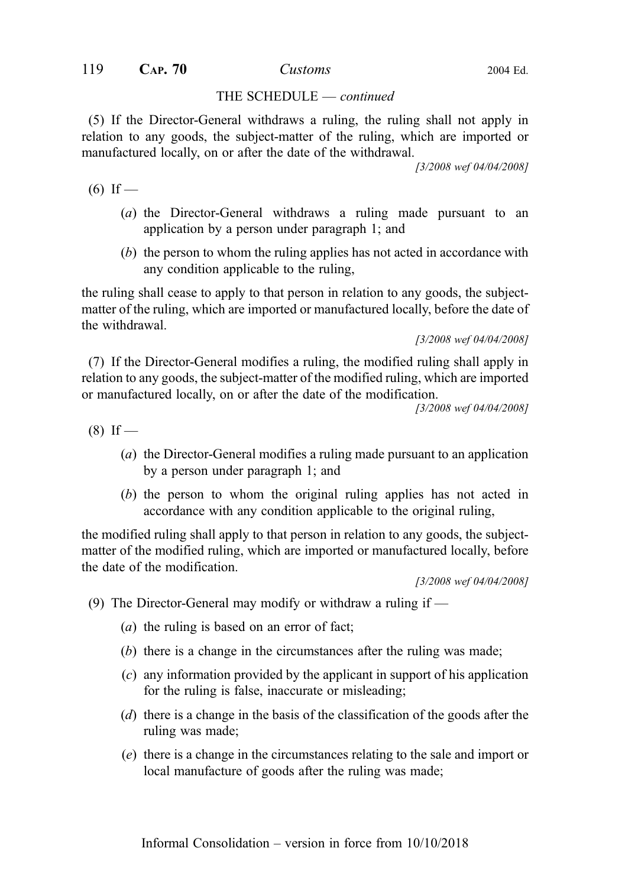(5) If the Director-General withdraws a ruling, the ruling shall not apply in relation to any goods, the subject-matter of the ruling, which are imported or manufactured locally, on or after the date of the withdrawal.

[3/2008 wef 04/04/2008]

 $(6)$  If —

- (a) the Director-General withdraws a ruling made pursuant to an application by a person under paragraph 1; and
- (b) the person to whom the ruling applies has not acted in accordance with any condition applicable to the ruling,

the ruling shall cease to apply to that person in relation to any goods, the subjectmatter of the ruling, which are imported or manufactured locally, before the date of the withdrawal.

[3/2008 wef 04/04/2008]

(7) If the Director-General modifies a ruling, the modified ruling shall apply in relation to any goods, the subject-matter of the modified ruling, which are imported or manufactured locally, on or after the date of the modification.

[3/2008 wef 04/04/2008]

 $(8)$  If —

- (a) the Director-General modifies a ruling made pursuant to an application by a person under paragraph 1; and
- (b) the person to whom the original ruling applies has not acted in accordance with any condition applicable to the original ruling,

the modified ruling shall apply to that person in relation to any goods, the subjectmatter of the modified ruling, which are imported or manufactured locally, before the date of the modification.

- (9) The Director-General may modify or withdraw a ruling if  $-$ 
	- (*a*) the ruling is based on an error of fact;
	- (b) there is a change in the circumstances after the ruling was made;
	- (c) any information provided by the applicant in support of his application for the ruling is false, inaccurate or misleading;
	- (d) there is a change in the basis of the classification of the goods after the ruling was made;
	- (e) there is a change in the circumstances relating to the sale and import or local manufacture of goods after the ruling was made;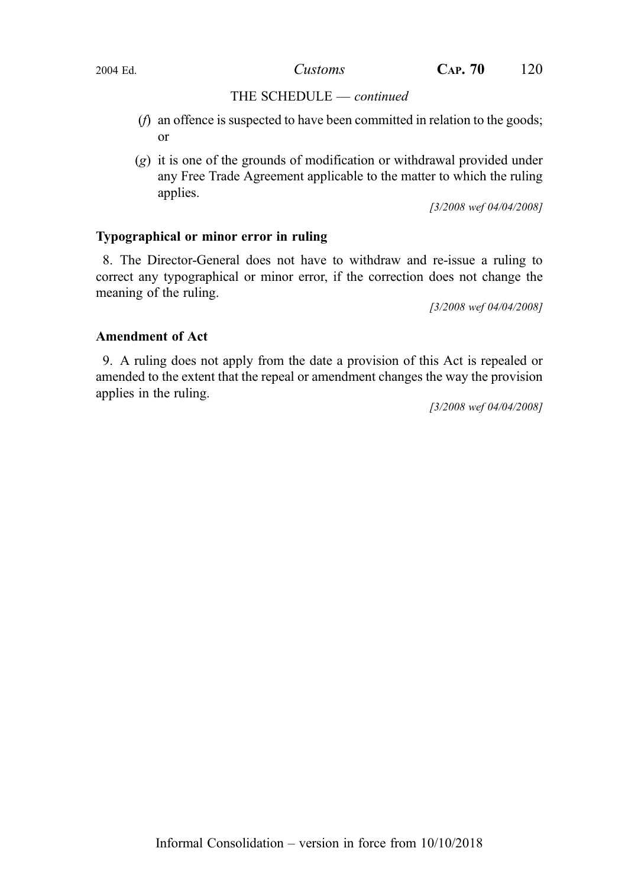- (f) an offence is suspected to have been committed in relation to the goods; or
- (g) it is one of the grounds of modification or withdrawal provided under any Free Trade Agreement applicable to the matter to which the ruling applies.

[3/2008 wef 04/04/2008]

#### Typographical or minor error in ruling

8. The Director-General does not have to withdraw and re-issue a ruling to correct any typographical or minor error, if the correction does not change the meaning of the ruling.

[3/2008 wef 04/04/2008]

#### Amendment of Act

9. A ruling does not apply from the date a provision of this Act is repealed or amended to the extent that the repeal or amendment changes the way the provision applies in the ruling.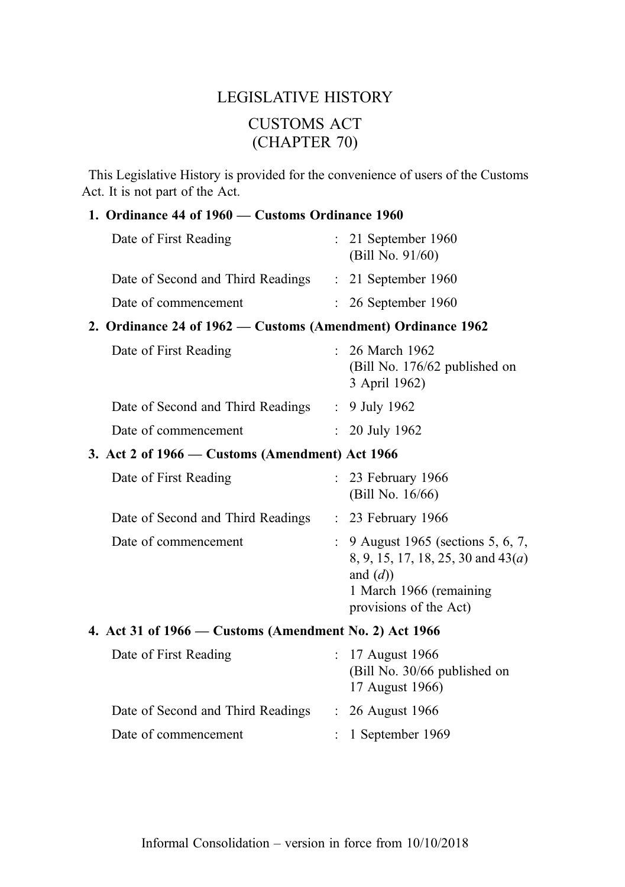# LEGISLATIVE HISTORY CUSTOMS ACT (CHAPTER 70)

This Legislative History is provided for the convenience of users of the Customs Act. It is not part of the Act.

#### 1. Ordinance 44 of 1960 — Customs Ordinance 1960

| Date of First Reading             | $: 21$ September 1960<br>(Bill No. $91/60$ ) |  |
|-----------------------------------|----------------------------------------------|--|
| Date of Second and Third Readings | $: 21$ September 1960                        |  |
| Date of commencement              | $: 26$ September 1960                        |  |

## 2. Ordinance 24 of 1962 — Customs (Amendment) Ordinance 1962

| Date of First Reading             | $\therefore$ 26 March 1962<br>(Bill No. 176/62 published on<br>3 April 1962) |
|-----------------------------------|------------------------------------------------------------------------------|
| Date of Second and Third Readings | : 9 July 1962                                                                |
| Date of commencement              | $: 20$ July 1962                                                             |

## 3. Act 2 of 1966 — Customs (Amendment) Act 1966

| Date of First Reading             | $: 23$ February 1966<br>(Bill No. 16/66)                                                                                                            |
|-----------------------------------|-----------------------------------------------------------------------------------------------------------------------------------------------------|
| Date of Second and Third Readings | $: 23$ February 1966                                                                                                                                |
| Date of commencement              | : 9 August 1965 (sections 5, 6, 7,<br>8, 9, 15, 17, 18, 25, 30 and 43( <i>a</i> )<br>and $(d)$<br>1 March 1966 (remaining<br>provisions of the Act) |

## 4. Act 31 of 1966 — Customs (Amendment No. 2) Act 1966

| Date of First Reading             | $: 17$ August 1966<br>(Bill No. 30/66 published on<br>17 August 1966) |
|-----------------------------------|-----------------------------------------------------------------------|
| Date of Second and Third Readings | $: 26$ August 1966                                                    |
| Date of commencement              | $: 1$ September 1969                                                  |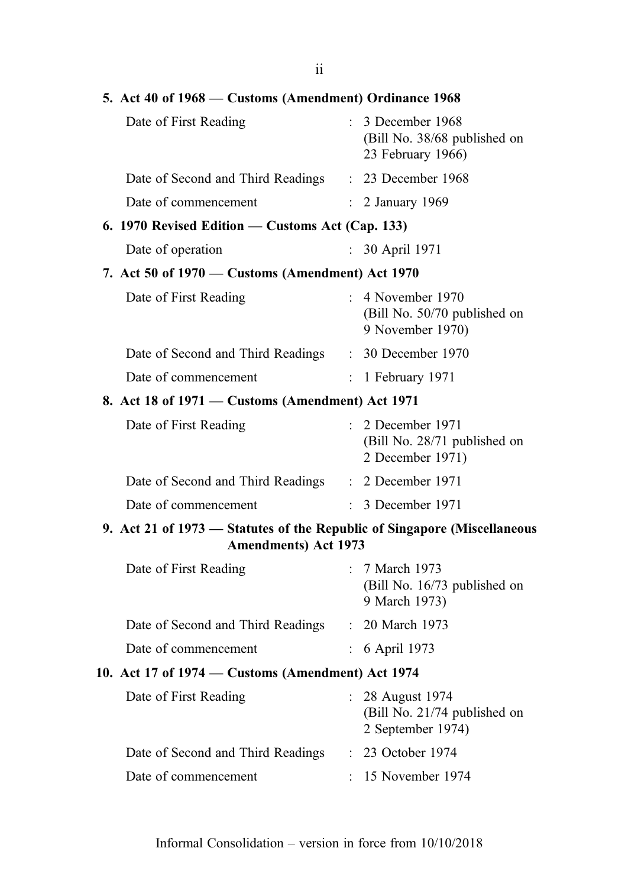| 5. Act 40 of 1968 – Customs (Amendment) Ordinance 1968                                                   |               |                                                                         |
|----------------------------------------------------------------------------------------------------------|---------------|-------------------------------------------------------------------------|
| Date of First Reading                                                                                    |               | : 3 December 1968<br>(Bill No. 38/68 published on<br>23 February 1966)  |
| Date of Second and Third Readings : 23 December 1968                                                     |               |                                                                         |
| Date of commencement                                                                                     |               | : 2 January 1969                                                        |
| 6. 1970 Revised Edition - Customs Act (Cap. 133)                                                         |               |                                                                         |
| Date of operation                                                                                        | $\mathcal{L}$ | 30 April 1971                                                           |
| 7. Act 50 of 1970 - Customs (Amendment) Act 1970                                                         |               |                                                                         |
| Date of First Reading                                                                                    |               | $: 4$ November 1970<br>(Bill No. 50/70 published on<br>9 November 1970) |
| Date of Second and Third Readings : 30 December 1970                                                     |               |                                                                         |
| Date of commencement                                                                                     |               | $: 1$ February 1971                                                     |
| 8. Act 18 of 1971 – Customs (Amendment) Act 1971                                                         |               |                                                                         |
| Date of First Reading                                                                                    |               | $: 2$ December 1971<br>(Bill No. 28/71 published on<br>2 December 1971) |
| Date of Second and Third Readings : 2 December 1971                                                      |               |                                                                         |
| Date of commencement                                                                                     |               | : 3 December 1971                                                       |
| 9. Act 21 of 1973 – Statutes of the Republic of Singapore (Miscellaneous<br><b>Amendments</b> ) Act 1973 |               |                                                                         |
| Date of First Reading                                                                                    |               | : 7 March 1973<br>(Bill No. 16/73 published on<br>9 March 1973)         |
| Date of Second and Third Readings                                                                        |               | : 20 March 1973                                                         |
| Date of commencement                                                                                     |               | 6 April 1973                                                            |
| 10. Act 17 of 1974 - Customs (Amendment) Act 1974                                                        |               |                                                                         |
| Date of First Reading                                                                                    |               | : 28 August 1974<br>(Bill No. 21/74 published on<br>2 September 1974)   |
| Date of Second and Third Readings                                                                        |               | : 23 October 1974                                                       |
| Date of commencement                                                                                     |               | : 15 November 1974                                                      |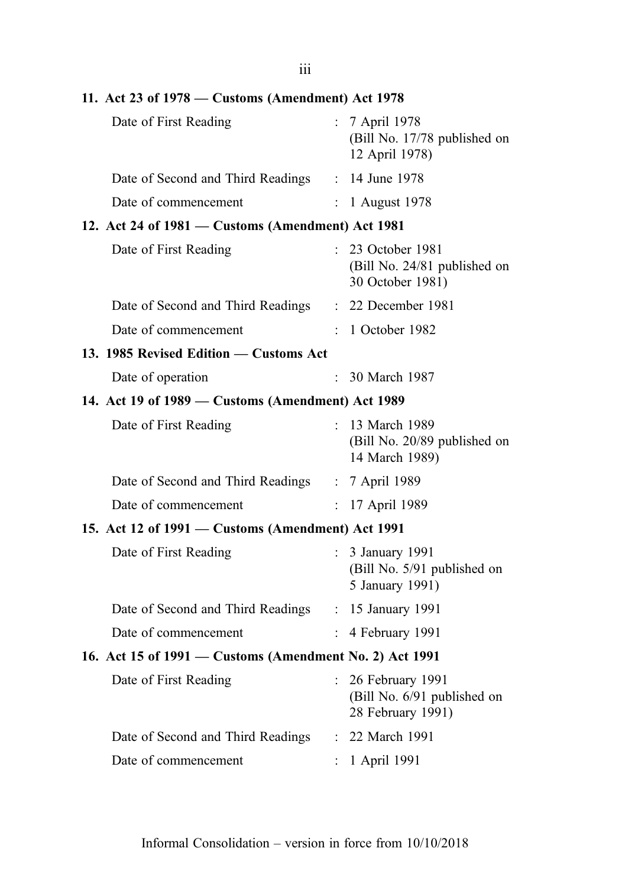iii

| 11. Act 23 of 1978 – Customs (Amendment) Act 1978       |                           |                                                                      |
|---------------------------------------------------------|---------------------------|----------------------------------------------------------------------|
| Date of First Reading                                   |                           | : 7 April 1978<br>(Bill No. 17/78 published on<br>12 April 1978)     |
| Date of Second and Third Readings : 14 June 1978        |                           |                                                                      |
| Date of commencement                                    |                           | $: 1$ August 1978                                                    |
| 12. Act 24 of 1981 – Customs (Amendment) Act 1981       |                           |                                                                      |
| Date of First Reading                                   | ÷.                        | 23 October 1981<br>(Bill No. 24/81 published on<br>30 October 1981)  |
| Date of Second and Third Readings : 22 December 1981    |                           |                                                                      |
| Date of commencement                                    |                           | : 1 October 1982                                                     |
| 13. 1985 Revised Edition — Customs Act                  |                           |                                                                      |
| Date of operation                                       |                           | : 30 March 1987                                                      |
| 14. Act 19 of 1989 – Customs (Amendment) Act 1989       |                           |                                                                      |
| Date of First Reading                                   | t.                        | 13 March 1989<br>(Bill No. 20/89 published on<br>14 March 1989)      |
| Date of Second and Third Readings : 7 April 1989        |                           |                                                                      |
| Date of commencement                                    | $\mathbb{R}^{\mathbb{Z}}$ | 17 April 1989                                                        |
| 15. Act 12 of 1991 – Customs (Amendment) Act 1991       |                           |                                                                      |
| Date of First Reading                                   |                           | : 3 January 1991<br>(Bill No. 5/91 published on<br>5 January 1991)   |
| Date of Second and Third Readings : 15 January 1991     |                           |                                                                      |
| Date of commencement                                    | $\mathbb{R}^{\mathbb{Z}}$ | 4 February 1991                                                      |
| 16. Act 15 of 1991 - Customs (Amendment No. 2) Act 1991 |                           |                                                                      |
| Date of First Reading                                   |                           | 26 February 1991<br>(Bill No. 6/91 published on<br>28 February 1991) |
| Date of Second and Third Readings                       |                           | 22 March 1991                                                        |
| Date of commencement                                    | $\ddot{\cdot}$            | 1 April 1991                                                         |
|                                                         |                           |                                                                      |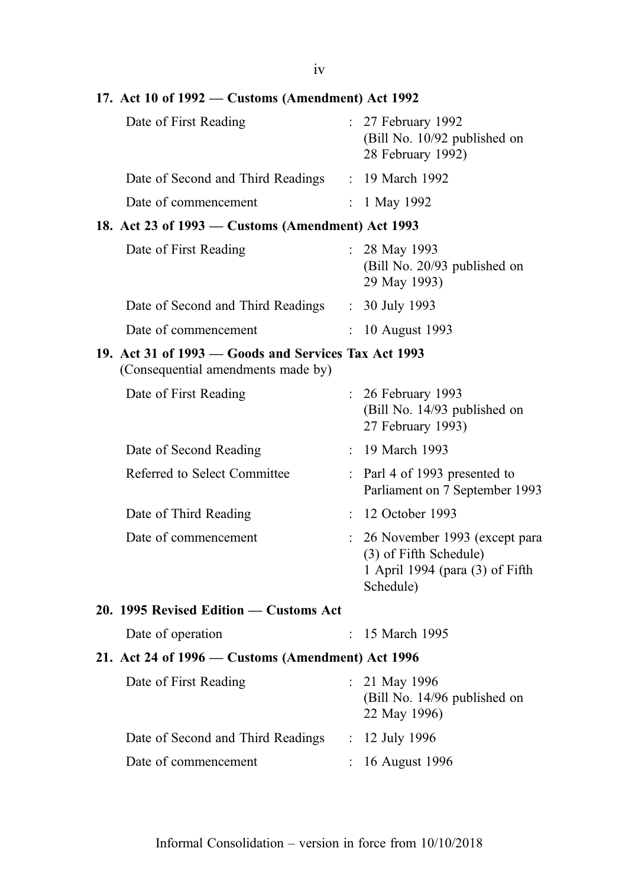17. Act 10 of 1992 — Customs (Amendment) Act 1992 Date of First Reading : 27 February 1992 (Bill No. 10/92 published on 28 February 1992) Date of Second and Third Readings : 19 March 1992 Date of commencement : 1 May 1992 18. Act 23 of 1993 — Customs (Amendment) Act 1993 Date of First Reading : 28 May 1993 (Bill No. 20/93 published on 29 May 1993) Date of Second and Third Readings : 30 July 1993 Date of commencement : 10 August 1993 19. Act 31 of 1993 — Goods and Services Tax Act 1993 (Consequential amendments made by) Date of First Reading : 26 February 1993 (Bill No. 14/93 published on 27 February 1993) Date of Second Reading : 19 March 1993 Referred to Select Committee : Parl 4 of 1993 presented to Parliament on 7 September 1993 Date of Third Reading : 12 October 1993 Date of commencement : 26 November 1993 (except para (3) of Fifth Schedule) 1 April 1994 (para (3) of Fifth Schedule) 20. 1995 Revised Edition — Customs Act Date of operation : 15 March 1995 21. Act 24 of 1996 — Customs (Amendment) Act 1996 Date of First Reading : 21 May 1996 (Bill No. 14/96 published on 22 May 1996) Date of Second and Third Readings : 12 July 1996 Date of commencement : 16 August 1996

iv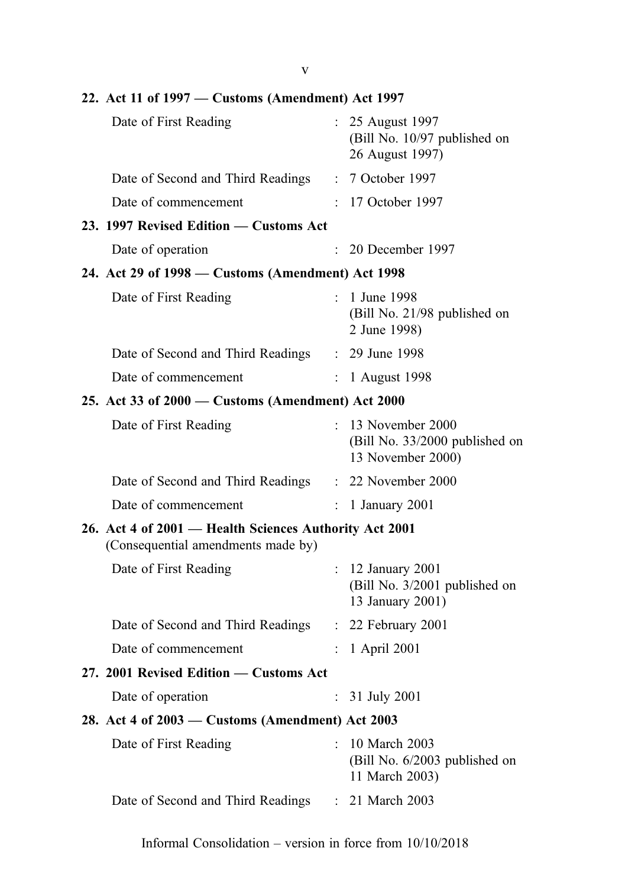v

| Date of First Reading                                                                        |                           | : 25 August 1997<br>(Bill No. 10/97 published on<br>26 August 1997)       |
|----------------------------------------------------------------------------------------------|---------------------------|---------------------------------------------------------------------------|
| Date of Second and Third Readings : 7 October 1997                                           |                           |                                                                           |
| Date of commencement                                                                         |                           | : 17 October 1997                                                         |
| 23. 1997 Revised Edition - Customs Act                                                       |                           |                                                                           |
| Date of operation                                                                            | ÷.                        | 20 December 1997                                                          |
| 24. Act 29 of 1998 - Customs (Amendment) Act 1998                                            |                           |                                                                           |
| Date of First Reading                                                                        |                           | : 1 June 1998<br>(Bill No. 21/98 published on<br>2 June 1998)             |
| Date of Second and Third Readings : 29 June 1998                                             |                           |                                                                           |
| Date of commencement                                                                         |                           | : 1 August 1998                                                           |
| 25. Act 33 of 2000 - Customs (Amendment) Act 2000                                            |                           |                                                                           |
| Date of First Reading                                                                        |                           | : 13 November 2000<br>(Bill No. 33/2000 published on<br>13 November 2000) |
| Date of Second and Third Readings : 22 November 2000                                         |                           |                                                                           |
| Date of commencement                                                                         | $\mathbb{R}^{\mathbb{Z}}$ | 1 January 2001                                                            |
| 26. Act 4 of 2001 – Health Sciences Authority Act 2001<br>(Consequential amendments made by) |                           |                                                                           |
| Date of First Reading                                                                        |                           | : 12 January 2001<br>(Bill No. 3/2001 published on<br>13 January 2001)    |
| Date of Second and Third Readings : 22 February 2001                                         |                           |                                                                           |
| Date of commencement                                                                         |                           | 1 April 2001                                                              |
| 27. 2001 Revised Edition - Customs Act                                                       |                           |                                                                           |
| Date of operation                                                                            | $\ddot{\phantom{0}}$      | 31 July 2001                                                              |
| 28. Act 4 of 2003 – Customs (Amendment) Act 2003                                             |                           |                                                                           |
| Date of First Reading                                                                        | $\bullet$                 | 10 March 2003<br>(Bill No. 6/2003 published on<br>11 March 2003)          |
| Date of Second and Third Readings                                                            |                           | : 21 March 2003                                                           |
|                                                                                              |                           |                                                                           |

## 22. Act 11 of 1997 — Customs (Amendment) Act 1997

Informal Consolidation – version in force from 10/10/2018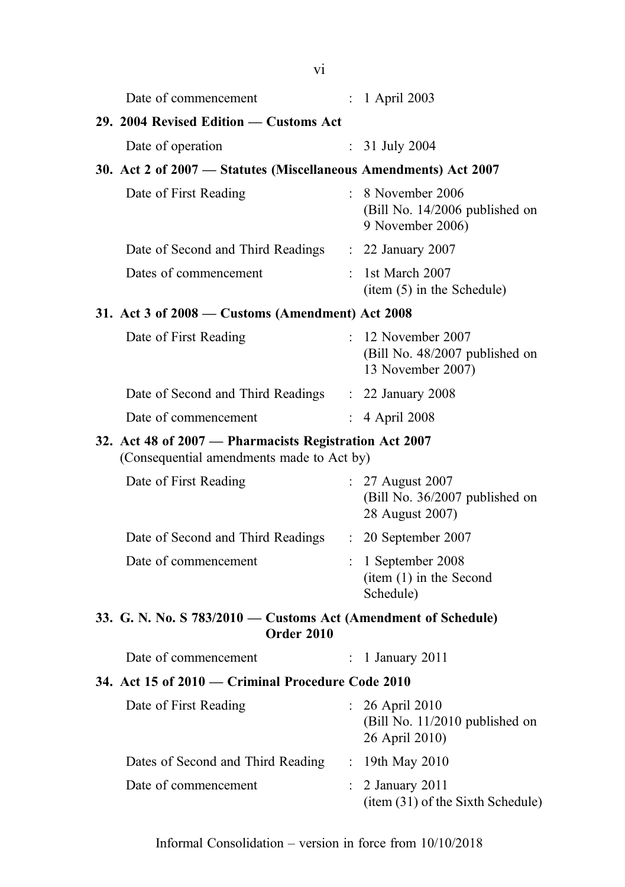|                                                                                                     | Date of commencement                                                                |               | : 1 April 2003                                                            |
|-----------------------------------------------------------------------------------------------------|-------------------------------------------------------------------------------------|---------------|---------------------------------------------------------------------------|
|                                                                                                     | 29. 2004 Revised Edition - Customs Act                                              |               |                                                                           |
|                                                                                                     | Date of operation                                                                   |               | : $31$ July 2004                                                          |
|                                                                                                     | 30. Act 2 of 2007 - Statutes (Miscellaneous Amendments) Act 2007                    |               |                                                                           |
|                                                                                                     | Date of First Reading                                                               |               | : 8 November 2006<br>(Bill No. 14/2006 published on<br>9 November 2006)   |
|                                                                                                     | Date of Second and Third Readings : 22 January 2007                                 |               |                                                                           |
|                                                                                                     | Dates of commencement                                                               |               | $:$ 1st March 2007<br>item (5) in the Schedule)                           |
|                                                                                                     | 31. Act 3 of 2008 – Customs (Amendment) Act 2008                                    |               |                                                                           |
|                                                                                                     | Date of First Reading                                                               |               | : 12 November 2007<br>(Bill No. 48/2007 published on<br>13 November 2007) |
|                                                                                                     | Date of Second and Third Readings : 22 January 2008                                 |               |                                                                           |
|                                                                                                     | Date of commencement                                                                |               | : 4 April 2008                                                            |
| 32. Act 48 of 2007 - Pharmacists Registration Act 2007<br>(Consequential amendments made to Act by) |                                                                                     |               |                                                                           |
|                                                                                                     | Date of First Reading                                                               |               | : 27 August 2007<br>(Bill No. 36/2007 published on<br>28 August 2007)     |
|                                                                                                     | Date of Second and Third Readings                                                   |               | $: 20$ September 2007                                                     |
|                                                                                                     | Date of commencement                                                                | $\mathcal{L}$ | 1 September 2008<br>item (1) in the Second<br>Schedule)                   |
|                                                                                                     | 33. G. N. No. S 783/2010 – Customs Act (Amendment of Schedule)<br><b>Order 2010</b> |               |                                                                           |
|                                                                                                     | Date of commencement                                                                | $\mathcal{L}$ | 1 January 2011                                                            |
|                                                                                                     | 34. Act 15 of 2010 – Criminal Procedure Code 2010                                   |               |                                                                           |
|                                                                                                     | Date of First Reading                                                               |               | $: 26$ April 2010<br>(Bill No. 11/2010 published on<br>26 April 2010)     |
|                                                                                                     | Dates of Second and Third Reading                                                   |               | : 19th May 2010                                                           |
|                                                                                                     | Date of commencement                                                                |               | 2 January 2011<br>(item (31) of the Sixth Schedule)                       |
|                                                                                                     |                                                                                     |               |                                                                           |

vi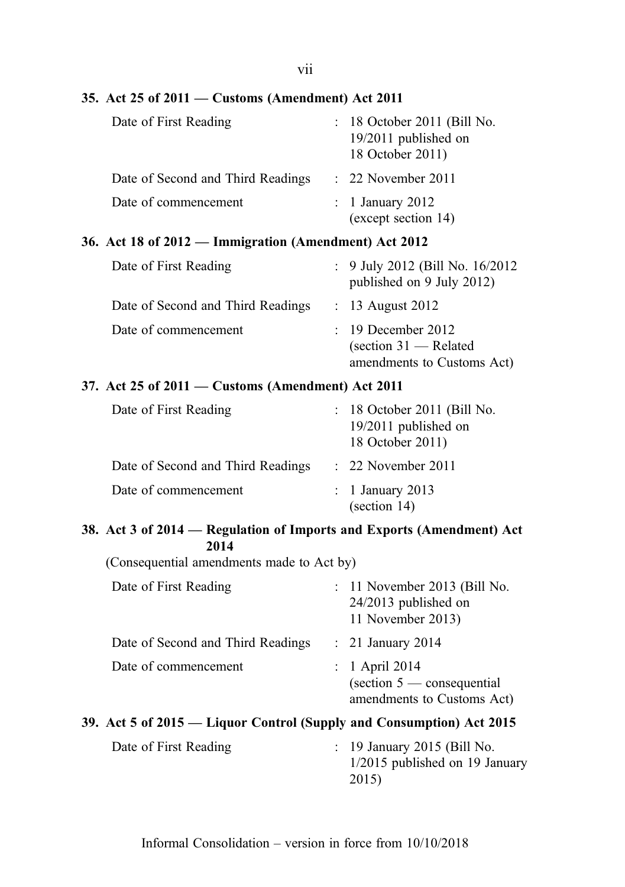vii

#### 35. Act 25 of 2011 — Customs (Amendment) Act 2011

| Date of First Reading             | $: 18$ October 2011 (Bill No.<br>19/2011 published on<br>18 October 2011) |
|-----------------------------------|---------------------------------------------------------------------------|
| Date of Second and Third Readings | $: 22$ November 2011                                                      |
| Date of commencement              | $\therefore$ 1 January 2012<br>(except section 14)                        |

#### 36. Act 18 of 2012 — Immigration (Amendment) Act 2012

| Date of First Reading             | : $9$ July 2012 (Bill No. 16/2012)<br>published on 9 July 2012)                                          |
|-----------------------------------|----------------------------------------------------------------------------------------------------------|
| Date of Second and Third Readings | $\therefore$ 13 August 2012                                                                              |
| Date of commencement              | $: 19$ December 2012<br>$\left(\text{section } 31 - \text{Related}\right)$<br>amendments to Customs Act) |

#### 37. Act 25 of 2011 — Customs (Amendment) Act 2011

| Date of First Reading             | $: 18$ October 2011 (Bill No.<br>19/2011 published on<br>18 October 2011) |
|-----------------------------------|---------------------------------------------------------------------------|
| Date of Second and Third Readings | $\therefore$ 22 November 2011                                             |
| Date of commencement              | $\therefore$ 1 January 2013<br>$\left( \text{section } 14 \right)$        |

#### 38. Act 3 of 2014 — Regulation of Imports and Exports (Amendment) Act 2014

(Consequential amendments made to Act by)

| Date of First Reading                                                | $: 11$ November 2013 (Bill No.<br>$24/2013$ published on<br>11 November 2013)                     |
|----------------------------------------------------------------------|---------------------------------------------------------------------------------------------------|
| Date of Second and Third Readings                                    | $\therefore$ 21 January 2014                                                                      |
| Date of commencement                                                 | $: 1$ April 2014<br>$\left(\text{section } 5 \right)$ consequential<br>amendments to Customs Act) |
| 39. Act 5 of 2015 — Liquor Control (Supply and Consumption) Act 2015 |                                                                                                   |

## Date of First Reading : 19 January 2015 (Bill No. 1/2015 published on 19 January 2015)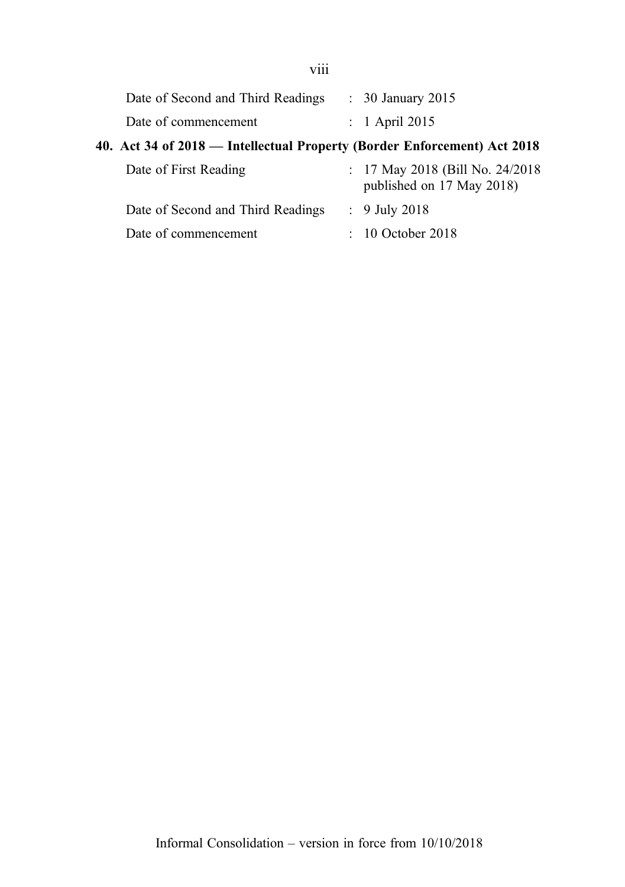| Date of Second and Third Readings | $\therefore$ 30 January 2015 |
|-----------------------------------|------------------------------|
| Date of commencement              | $\therefore$ 1 April 2015    |

## 40. Act 34 of 2018 — Intellectual Property (Border Enforcement) Act 2018

| Date of First Reading             | : 17 May 2018 (Bill No. 24/2018)<br>published on 17 May 2018) |
|-----------------------------------|---------------------------------------------------------------|
| Date of Second and Third Readings | $: 9$ July 2018                                               |
| Date of commencement              | $\therefore$ 10 October 2018                                  |

viii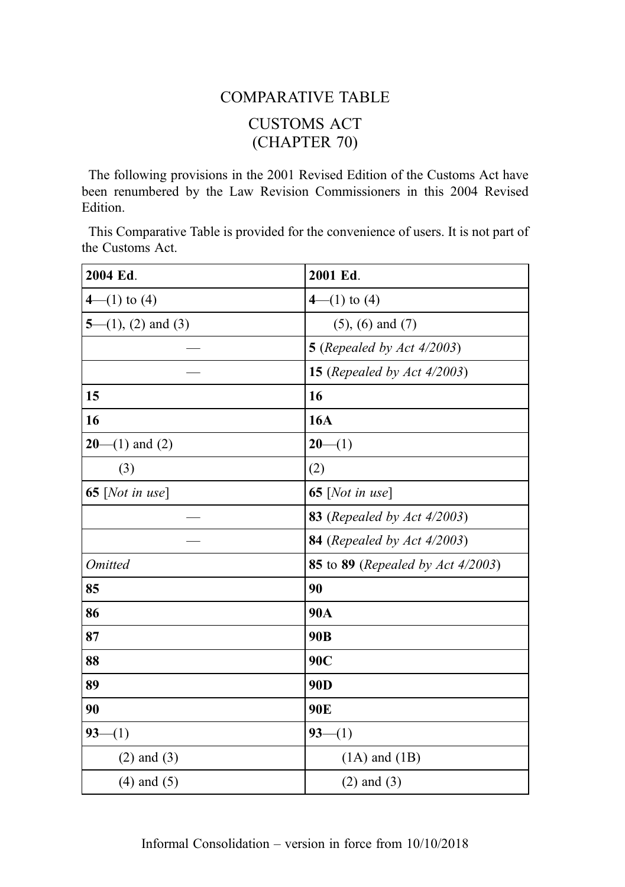# COMPARATIVE TABLE CUSTOMS ACT (CHAPTER 70)

The following provisions in the 2001 Revised Edition of the Customs Act have been renumbered by the Law Revision Commissioners in this 2004 Revised Edition.

This Comparative Table is provided for the convenience of users. It is not part of the Customs Act.

| 2004 Ed.           | 2001 Ed.                                                 |
|--------------------|----------------------------------------------------------|
| $4-(1)$ to (4)     | $4-(1)$ to (4)                                           |
| 5—(1), (2) and (3) | $(5)$ , $(6)$ and $(7)$                                  |
|                    | <b>5</b> (Repealed by Act 4/2003)                        |
|                    | <b>15</b> (Repealed by Act $4/2003$ )                    |
| 15                 | 16                                                       |
| 16                 | <b>16A</b>                                               |
| $20-(1)$ and (2)   | $20-(1)$                                                 |
| (3)                | (2)                                                      |
| 65 [Not in use]    | 65 [Not in use]                                          |
|                    | 83 (Repealed by Act 4/2003)                              |
|                    | <b>84</b> (Repealed by Act 4/2003)                       |
| <b>Omitted</b>     | <b>85</b> to <b>89</b> ( <i>Repealed by Act 4/2003</i> ) |
| 85                 | 90                                                       |
| 86                 | 90A                                                      |
| 87                 | 90 <sub>B</sub>                                          |
| 88                 | 90C                                                      |
| 89                 | 90 <sub>D</sub>                                          |
| 90                 | 90E                                                      |
| $93 -$<br>$- (1)$  | $93-(1)$                                                 |
| $(2)$ and $(3)$    | $(1A)$ and $(1B)$                                        |
| $(4)$ and $(5)$    | $(2)$ and $(3)$                                          |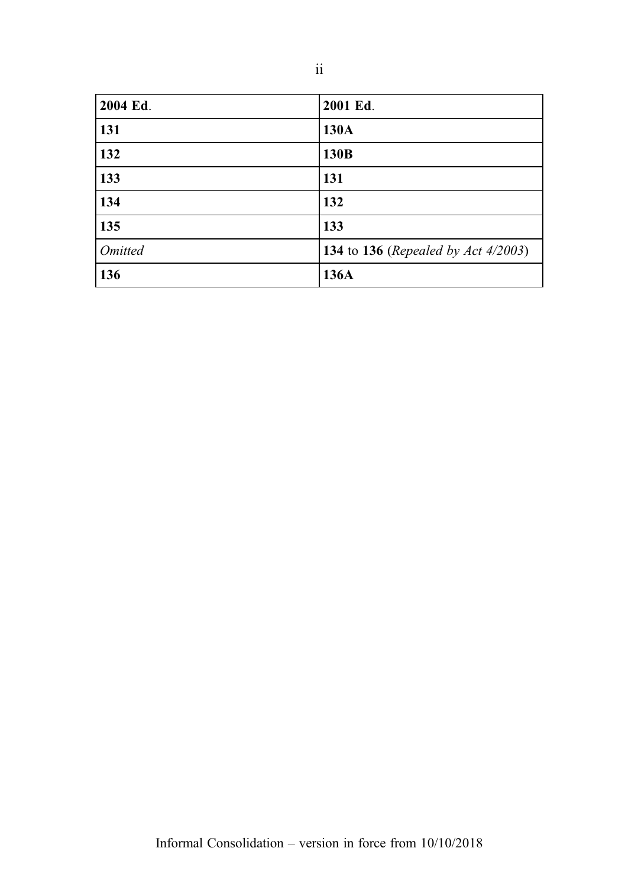| 2004 Ed.       | 2001 Ed.                                                   |
|----------------|------------------------------------------------------------|
| 131            | 130A                                                       |
| 132            | 130B                                                       |
| 133            | 131                                                        |
| 134            | 132                                                        |
| 135            | 133                                                        |
| <b>Omitted</b> | <b>134</b> to <b>136</b> ( <i>Repealed by Act 4/2003</i> ) |
| 136            | 136A                                                       |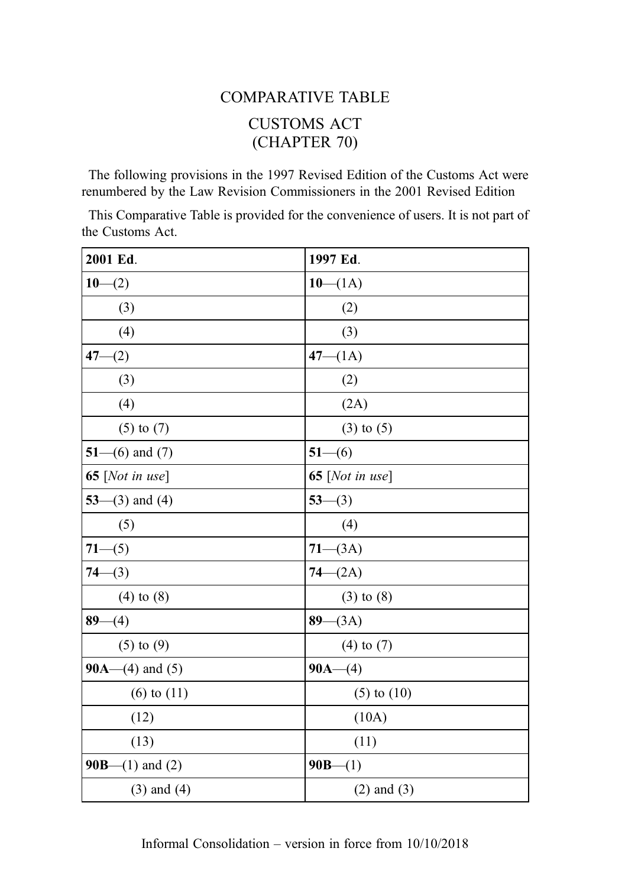# COMPARATIVE TABLE CUSTOMS ACT (CHAPTER 70)

The following provisions in the 1997 Revised Edition of the Customs Act were renumbered by the Law Revision Commissioners in the 2001 Revised Edition

This Comparative Table is provided for the convenience of users. It is not part of the Customs Act.

| 2001 Ed.                 | 1997 Ed.                 |
|--------------------------|--------------------------|
| $10-(2)$                 | $10-(1A)$                |
| (3)                      | (2)                      |
| (4)                      | (3)                      |
| $47 - (2)$               | $47 - (1A)$              |
| (3)                      | (2)                      |
| (4)                      | (2A)                     |
| $(5)$ to $(7)$           | $(3)$ to $(5)$           |
| 51– $(6)$ and $(7)$      | $51-(6)$                 |
| 65 [ <i>Not in use</i> ] | 65 [ <i>Not in use</i> ] |
| $53-(3)$ and (4)         | $53-(3)$                 |
| (5)                      | (4)                      |
| $71-(5)$                 | $71-(3A)$                |
| $74-(3)$                 | $74 - (2A)$              |
| $(4)$ to $(8)$           | $(3)$ to $(8)$           |
| $89-(4)$                 | $89 - (3A)$              |
| $(5)$ to $(9)$           | $(4)$ to $(7)$           |
| 90A— $(4)$ and $(5)$     | $90A-(4)$                |
| $(6)$ to $(11)$          | $(5)$ to $(10)$          |
| (12)                     | (10A)                    |
| (13)                     | (11)                     |
| <b>90B</b> —(1) and (2)  | $90B-(1)$                |
| $(3)$ and $(4)$          | $(2)$ and $(3)$          |